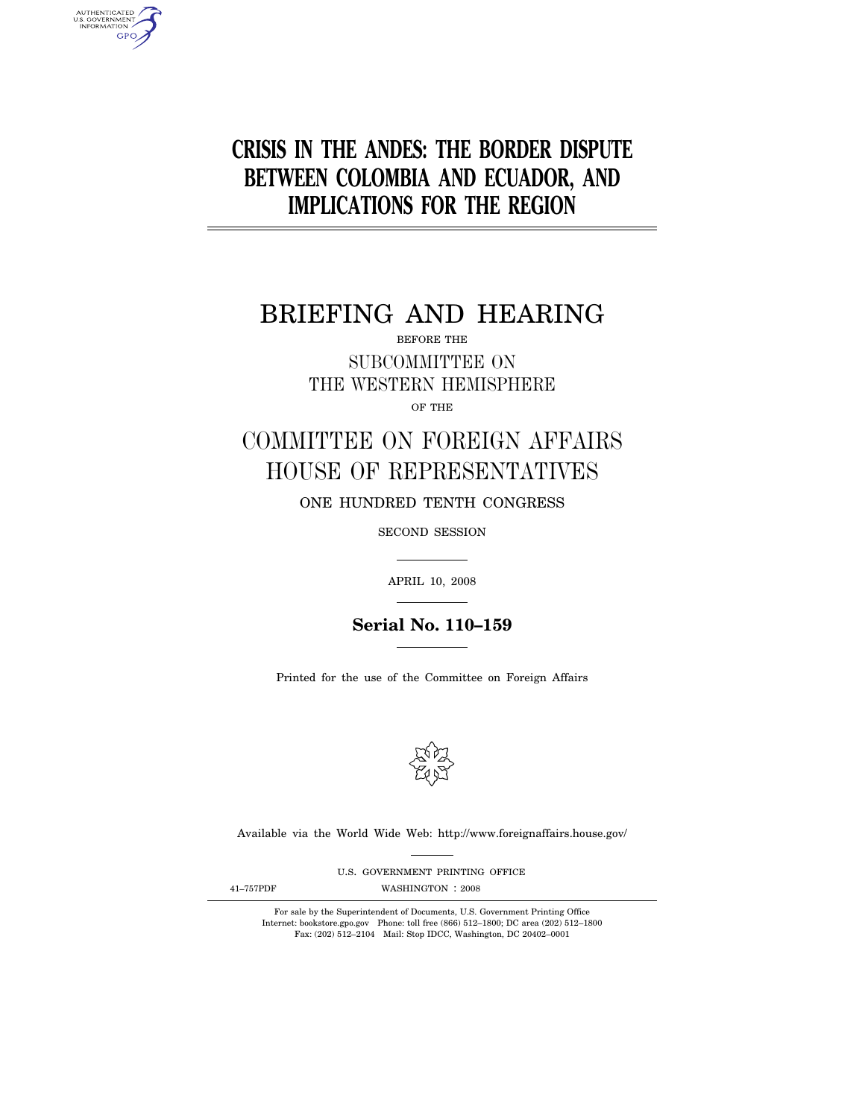# **CRISIS IN THE ANDES: THE BORDER DISPUTE BETWEEN COLOMBIA AND ECUADOR, AND IMPLICATIONS FOR THE REGION**

# BRIEFING AND HEARING

BEFORE THE SUBCOMMITTEE ON THE WESTERN HEMISPHERE

OF THE

# COMMITTEE ON FOREIGN AFFAIRS HOUSE OF REPRESENTATIVES

ONE HUNDRED TENTH CONGRESS

SECOND SESSION

APRIL 10, 2008

**Serial No. 110–159**

Printed for the use of the Committee on Foreign Affairs



Available via the World Wide Web: http://www.foreignaffairs.house.gov/

U.S. GOVERNMENT PRINTING OFFICE

AUTHENTICATED<br>U.S. GOVERNMENT<br>INFORMATION **GPO** 

41-757PDF WASHINGTON : 2008

For sale by the Superintendent of Documents, U.S. Government Printing Office Internet: bookstore.gpo.gov Phone: toll free (866) 512–1800; DC area (202) 512–1800 Fax: (202) 512–2104 Mail: Stop IDCC, Washington, DC 20402–0001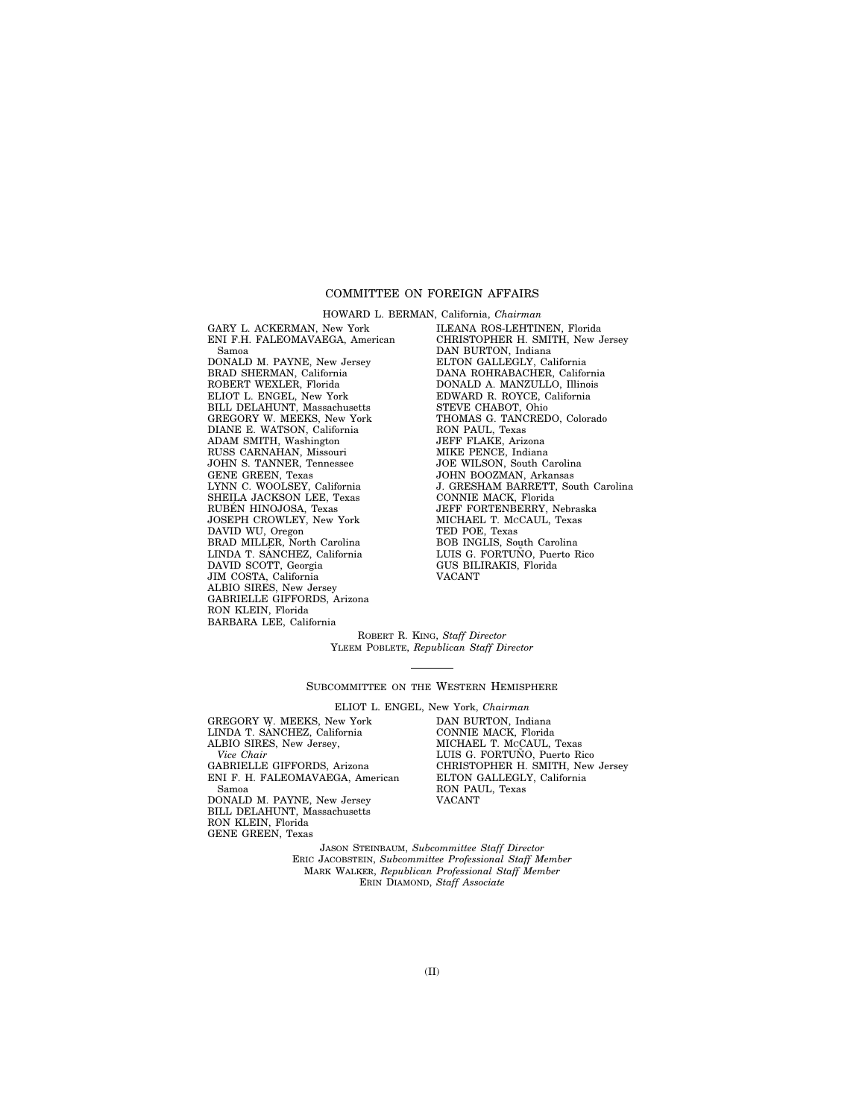## COMMITTEE ON FOREIGN AFFAIRS

GARY L. ACKERMAN, New York ENI F.H. FALEOMAVAEGA, American Samoa DONALD M. PAYNE, New Jersey BRAD SHERMAN, California ROBERT WEXLER, Florida ELIOT L. ENGEL, New York BILL DELAHUNT, Massachusetts GREGORY W. MEEKS, New York DIANE E. WATSON, California ADAM SMITH, Washington RUSS CARNAHAN, Missouri JOHN S. TANNER, Tennessee GENE GREEN, Texas LYNN C. WOOLSEY, California SHEILA JACKSON LEE, Texas RUBÉN HINOJOSA, Texas JOSEPH CROWLEY, New York DAVID WU, Oregon BRAD MILLER, North Carolina LINDA T. SANCHEZ, California DAVID SCOTT, Georgia JIM COSTA, California ALBIO SIRES, New Jersey GABRIELLE GIFFORDS, Arizona RON KLEIN, Florida BARBARA LEE, California

HOWARD L. BERMAN, California, *Chairman*  ILEANA ROS-LEHTINEN, Florida CHRISTOPHER H. SMITH, New Jersey DAN BURTON, Indiana ELTON GALLEGLY, California DANA ROHRABACHER, California DONALD A. MANZULLO, Illinois EDWARD R. ROYCE, California STEVE CHABOT, Ohio THOMAS G. TANCREDO, Colorado RON PAUL, Texas JEFF FLAKE, Arizona MIKE PENCE, Indiana JOE WILSON, South Carolina JOHN BOOZMAN, Arkansas J. GRESHAM BARRETT, South Carolina CONNIE MACK, Florida JEFF FORTENBERRY, Nebraska MICHAEL T. MCCAUL, Texas TED POE, Texas BOB INGLIS, South Carolina LUIS G. FORTUÑO, Puerto Rico GUS BILIRAKIS, Florida VACANT

ROBERT R. KING, *Staff Director*  YLEEM POBLETE, *Republican Staff Director* 

SUBCOMMITTEE ON THE WESTERN HEMISPHERE

ELIOT L. ENGEL, New York, *Chairman* 

GREGORY W. MEEKS, New York<br>LINDA T. SÁNCHEZ, California ALBIO SIRES, New Jersey, *Vice Chair*  GABRIELLE GIFFORDS, Arizona ENI F. H. FALEOMAVAEGA, American Samoa DONALD M. PAYNE, New Jersey BILL DELAHUNT, Massachusetts

RON KLEIN, Florida GENE GREEN, Texas DAN BURTON, Indiana CONNIE MACK, Florida MICHAEL T. MCCAUL, Texas LUIS G. FORTUÑO, Puerto Rico CHRISTOPHER H. SMITH, New Jersey ELTON GALLEGLY, California RON PAUL, Texas VACANT

JASON STEINBAUM, *Subcommittee Staff Director*  ERIC JACOBSTEIN, *Subcommittee Professional Staff Member*  MARK WALKER, *Republican Professional Staff Member*  ERIN DIAMOND, *Staff Associate*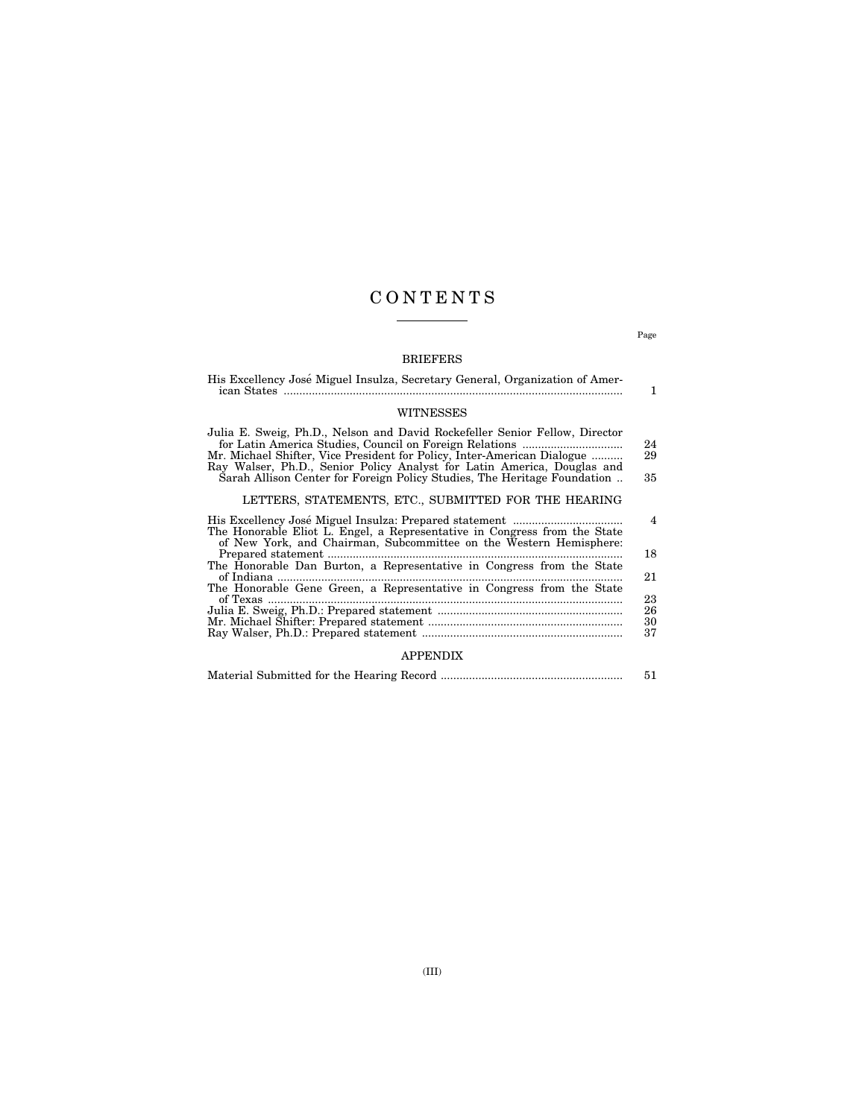## C O N T E N T S

## BRIEFERS

| His Excellency José Miguel Insulza, Secretary General, Organization of Amer-                                                                                                                                                                                                                                                                                                                                                                                                                                     | 1                    |  |
|------------------------------------------------------------------------------------------------------------------------------------------------------------------------------------------------------------------------------------------------------------------------------------------------------------------------------------------------------------------------------------------------------------------------------------------------------------------------------------------------------------------|----------------------|--|
| <b>WITNESSES</b>                                                                                                                                                                                                                                                                                                                                                                                                                                                                                                 |                      |  |
| Julia E. Sweig, Ph.D., Nelson and David Rockefeller Senior Fellow, Director<br>Mr. Michael Shifter, Vice President for Policy, Inter-American Dialogue<br>Ray Walser, Ph.D., Senior Policy Analyst for Latin America, Douglas and<br>Sarah Allison Center for Foreign Policy Studies, The Heritage Foundation                                                                                                                                                                                                    | 24<br>29<br>35       |  |
| LETTERS, STATEMENTS, ETC., SUBMITTED FOR THE HEARING                                                                                                                                                                                                                                                                                                                                                                                                                                                             |                      |  |
| The Honorable Eliot L. Engel, a Representative in Congress from the State<br>of New York, and Chairman, Subcommittee on the Western Hemisphere:                                                                                                                                                                                                                                                                                                                                                                  | $\overline{4}$<br>18 |  |
| $\begin{minipage}{0.9\linewidth} \textbf{Prepared statement} \textcolor{red}{\textbf{num}} \textbf{num} \textbf{num} \textbf{num} \textbf{num} \textbf{num} \textbf{num} \textbf{num} \textbf{num} \textbf{num} \textbf{num} \textbf{num} \textbf{num} \textbf{num} \textbf{num} \textbf{num} \textbf{num} \textbf{num} \textbf{num} \textbf{num} \textbf{num} \textbf{num} \textbf{num} \textbf{num} \textbf{num} \textbf{num} \textbf{num} \textbf{num} \textbf{num} \textbf{num} \textbf{num} \textbf{num} \$ | 21                   |  |
| The Honorable Gene Green, a Representative in Congress from the State                                                                                                                                                                                                                                                                                                                                                                                                                                            | 23                   |  |
|                                                                                                                                                                                                                                                                                                                                                                                                                                                                                                                  | 26<br>30             |  |
|                                                                                                                                                                                                                                                                                                                                                                                                                                                                                                                  | 37                   |  |

## APPENDIX

|  | 51 |
|--|----|
|--|----|

Page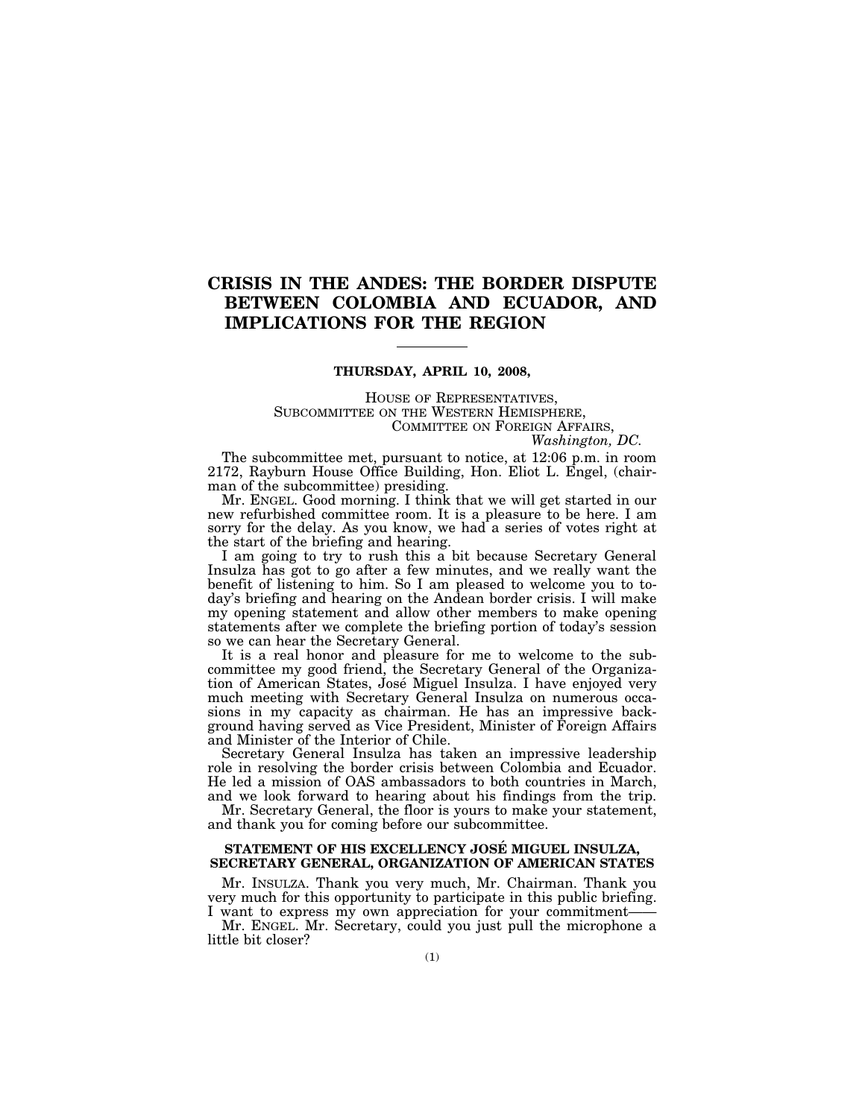## **CRISIS IN THE ANDES: THE BORDER DISPUTE BETWEEN COLOMBIA AND ECUADOR, AND IMPLICATIONS FOR THE REGION**

## **THURSDAY, APRIL 10, 2008,**

HOUSE OF REPRESENTATIVES, SUBCOMMITTEE ON THE WESTERN HEMISPHERE, COMMITTEE ON FOREIGN AFFAIRS,

*Washington, DC.* 

The subcommittee met, pursuant to notice, at 12:06 p.m. in room 2172, Rayburn House Office Building, Hon. Eliot L. Engel, (chairman of the subcommittee) presiding.

Mr. ENGEL. Good morning. I think that we will get started in our new refurbished committee room. It is a pleasure to be here. I am sorry for the delay. As you know, we had a series of votes right at the start of the briefing and hearing.

I am going to try to rush this a bit because Secretary General Insulza has got to go after a few minutes, and we really want the benefit of listening to him. So I am pleased to welcome you to today's briefing and hearing on the Andean border crisis. I will make my opening statement and allow other members to make opening statements after we complete the briefing portion of today's session so we can hear the Secretary General.

It is a real honor and pleasure for me to welcome to the subcommittee my good friend, the Secretary General of the Organization of American States, José Miguel Insulza. I have enjoyed very much meeting with Secretary General Insulza on numerous occasions in my capacity as chairman. He has an impressive background having served as Vice President, Minister of Foreign Affairs and Minister of the Interior of Chile.

Secretary General Insulza has taken an impressive leadership role in resolving the border crisis between Colombia and Ecuador. He led a mission of OAS ambassadors to both countries in March, and we look forward to hearing about his findings from the trip.

Mr. Secretary General, the floor is yours to make your statement, and thank you for coming before our subcommittee.

### **STATEMENT OF HIS EXCELLENCY JOSE´ MIGUEL INSULZA, SECRETARY GENERAL, ORGANIZATION OF AMERICAN STATES**

Mr. INSULZA. Thank you very much, Mr. Chairman. Thank you very much for this opportunity to participate in this public briefing. I want to express my own appreciation for your commitment——

Mr. ENGEL. Mr. Secretary, could you just pull the microphone a little bit closer?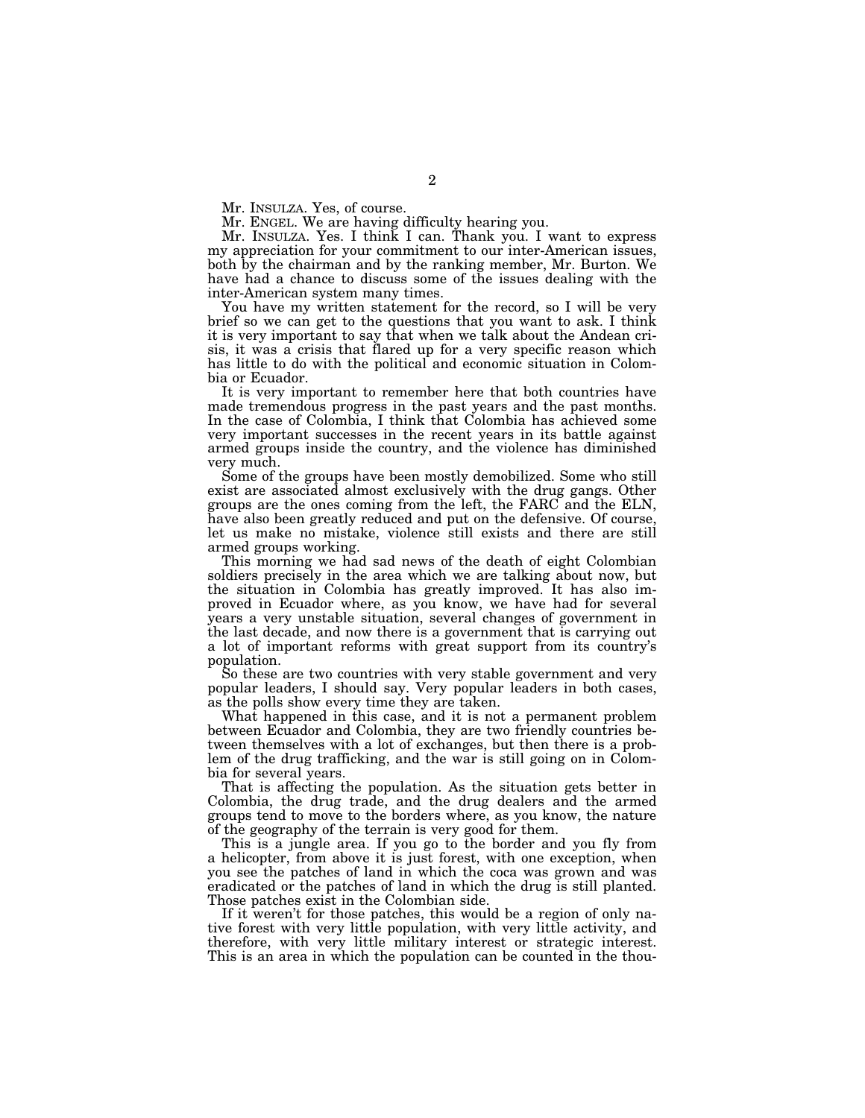Mr. INSULZA. Yes, of course.

Mr. ENGEL. We are having difficulty hearing you.

Mr. INSULZA. Yes. I think I can. Thank you. I want to express my appreciation for your commitment to our inter-American issues, both by the chairman and by the ranking member, Mr. Burton. We have had a chance to discuss some of the issues dealing with the inter-American system many times.

You have my written statement for the record, so I will be very brief so we can get to the questions that you want to ask. I think it is very important to say that when we talk about the Andean crisis, it was a crisis that flared up for a very specific reason which has little to do with the political and economic situation in Colombia or Ecuador.

It is very important to remember here that both countries have made tremendous progress in the past years and the past months. In the case of Colombia, I think that Colombia has achieved some very important successes in the recent years in its battle against armed groups inside the country, and the violence has diminished very much.

Some of the groups have been mostly demobilized. Some who still exist are associated almost exclusively with the drug gangs. Other groups are the ones coming from the left, the FARC and the ELN, have also been greatly reduced and put on the defensive. Of course, let us make no mistake, violence still exists and there are still armed groups working.

This morning we had sad news of the death of eight Colombian soldiers precisely in the area which we are talking about now, but the situation in Colombia has greatly improved. It has also improved in Ecuador where, as you know, we have had for several years a very unstable situation, several changes of government in the last decade, and now there is a government that is carrying out a lot of important reforms with great support from its country's population.

So these are two countries with very stable government and very popular leaders, I should say. Very popular leaders in both cases, as the polls show every time they are taken.

What happened in this case, and it is not a permanent problem between Ecuador and Colombia, they are two friendly countries between themselves with a lot of exchanges, but then there is a problem of the drug trafficking, and the war is still going on in Colombia for several years.

That is affecting the population. As the situation gets better in Colombia, the drug trade, and the drug dealers and the armed groups tend to move to the borders where, as you know, the nature of the geography of the terrain is very good for them.

This is a jungle area. If you go to the border and you fly from a helicopter, from above it is just forest, with one exception, when you see the patches of land in which the coca was grown and was eradicated or the patches of land in which the drug is still planted. Those patches exist in the Colombian side.

If it weren't for those patches, this would be a region of only native forest with very little population, with very little activity, and therefore, with very little military interest or strategic interest. This is an area in which the population can be counted in the thou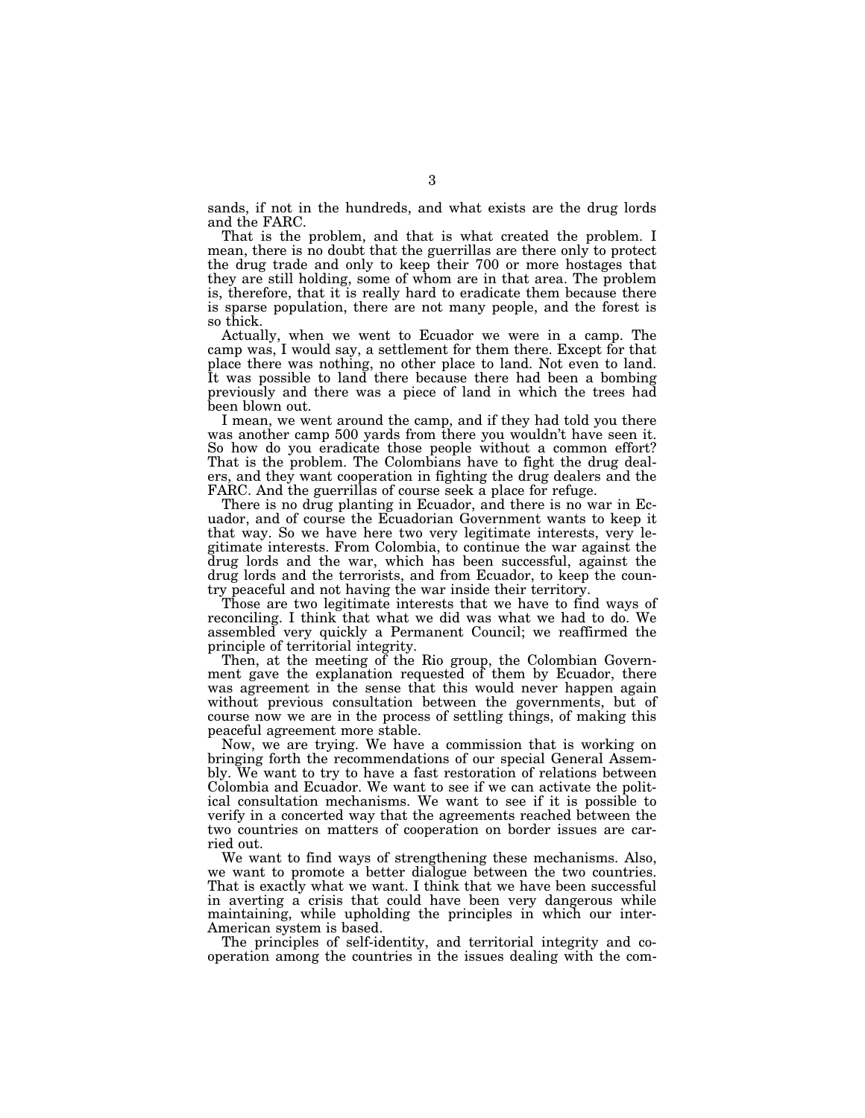sands, if not in the hundreds, and what exists are the drug lords and the FARC.

That is the problem, and that is what created the problem. I mean, there is no doubt that the guerrillas are there only to protect the drug trade and only to keep their 700 or more hostages that they are still holding, some of whom are in that area. The problem is, therefore, that it is really hard to eradicate them because there is sparse population, there are not many people, and the forest is so thick.

Actually, when we went to Ecuador we were in a camp. The camp was, I would say, a settlement for them there. Except for that place there was nothing, no other place to land. Not even to land. It was possible to land there because there had been a bombing previously and there was a piece of land in which the trees had been blown out.

I mean, we went around the camp, and if they had told you there was another camp 500 yards from there you wouldn't have seen it. So how do you eradicate those people without a common effort? That is the problem. The Colombians have to fight the drug dealers, and they want cooperation in fighting the drug dealers and the FARC. And the guerrillas of course seek a place for refuge.

There is no drug planting in Ecuador, and there is no war in Ecuador, and of course the Ecuadorian Government wants to keep it that way. So we have here two very legitimate interests, very legitimate interests. From Colombia, to continue the war against the drug lords and the war, which has been successful, against the drug lords and the terrorists, and from Ecuador, to keep the country peaceful and not having the war inside their territory.

Those are two legitimate interests that we have to find ways of reconciling. I think that what we did was what we had to do. We assembled very quickly a Permanent Council; we reaffirmed the principle of territorial integrity.

Then, at the meeting of the Rio group, the Colombian Government gave the explanation requested of them by Ecuador, there was agreement in the sense that this would never happen again without previous consultation between the governments, but of course now we are in the process of settling things, of making this peaceful agreement more stable.

Now, we are trying. We have a commission that is working on bringing forth the recommendations of our special General Assembly. We want to try to have a fast restoration of relations between Colombia and Ecuador. We want to see if we can activate the political consultation mechanisms. We want to see if it is possible to verify in a concerted way that the agreements reached between the two countries on matters of cooperation on border issues are carried out.

We want to find ways of strengthening these mechanisms. Also, we want to promote a better dialogue between the two countries. That is exactly what we want. I think that we have been successful in averting a crisis that could have been very dangerous while maintaining, while upholding the principles in which our inter-American system is based.

The principles of self-identity, and territorial integrity and cooperation among the countries in the issues dealing with the com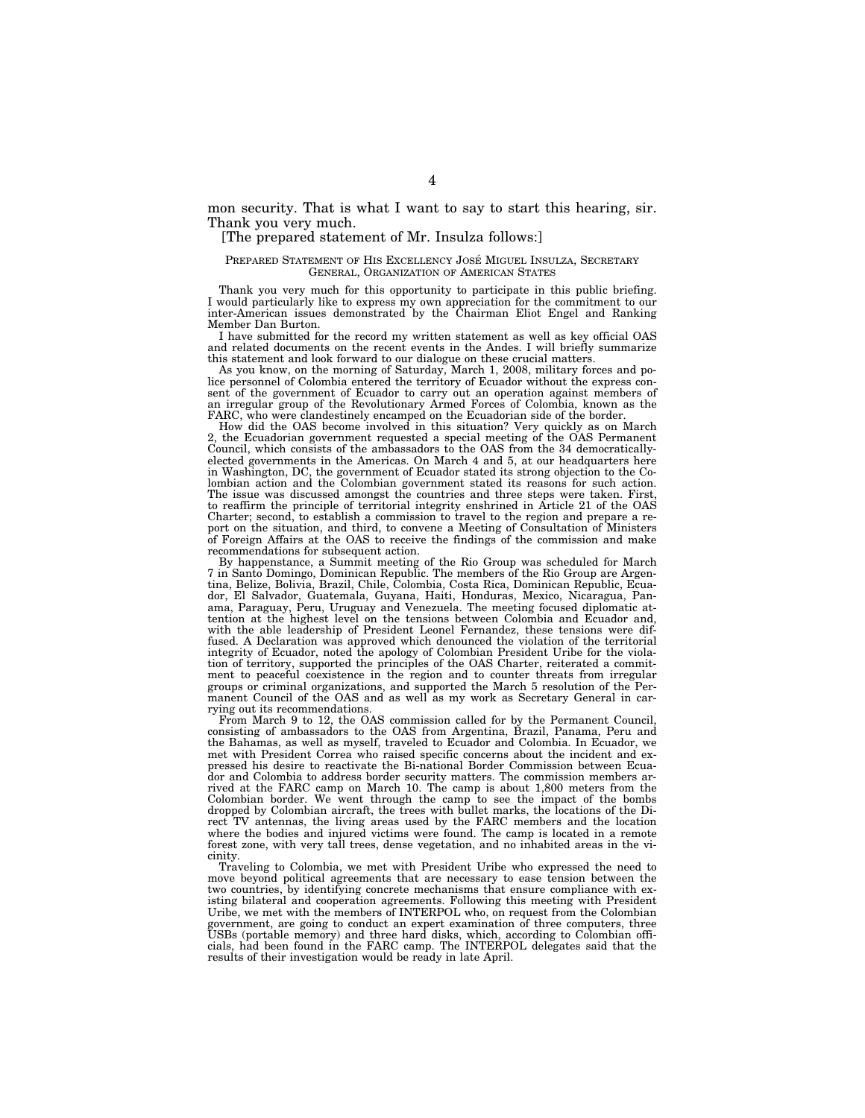mon security. That is what I want to say to start this hearing, sir. Thank you very much.

#### [The prepared statement of Mr. Insulza follows:]

#### PREPARED STATEMENT OF HIS EXCELLENCY JOSÉ MIGUEL INSULZA, SECRETARY GENERAL, ORGANIZATION OF AMERICAN STATES

Thank you very much for this opportunity to participate in this public briefing. I would particularly like to express my own appreciation for the commitment to our inter-American issues demonstrated by the Chairman Eliot Engel and Ranking Member Dan Burton.

I have submitted for the record my written statement as well as key official OAS and related documents on the recent events in the Andes. I will briefly summarize this statement and look forward to our dialogue on these crucial matters.

As you know, on the morning of Saturday, March 1, 2008, military forces and police personnel of Colombia entered the territory of Ecuador without the express consent of the government of Ecuador to carry out an operation against members of an irregular group of the Revolutionary Armed Forces of Colombia, known as the FARC, who were clandestinely encamped on the Ecuadorian side of the border.

How did the OAS become involved in this situation? Very quickly as on March 2, the Ecuadorian government requested a special meeting of the OAS Permanent Council, which consists of the ambassadors to the OAS from the 34 democraticallyelected governments in the Americas. On March 4 and 5, at our headquarters here in Washington, DC, the government of Ecuador stated its strong objection to the Colombian action and the Colombian government stated its reasons for such action. The issue was discussed amongst the countries and three steps were taken. First, to reaffirm the principle of territorial integrity enshrined in Article 21 of the OAS Charter; second, to establish a commission to travel to the region and prepare a report on the situation, and third, to convene a Meeting of Consultation of Ministers of Foreign Affairs at the OAS to receive the findings of the commission and make recommendations for subsequent action.

By happenstance, a Summit meeting of the Rio Group was scheduled for March 7 in Santo Domingo, Dominican Republic. The members of the Rio Group are Argentina, Belize, Bolivia, Brazil, Chile, Colombia, Costa Rica, Dominican Republic, Ecuador, El Salvador, Guatemala, Guyana, Haiti, Honduras, Mexico, Nicaragua, Panama, Paraguay, Peru, Uruguay and Venezuela. The meeting focused diplomatic attention at the highest level on the tensions between Colombia and Ecuador and, with the able leadership of President Leonel Fernandez, these tensions were diffused. A Declaration was approved which denounced the violation of the territorial integrity of Ecuador, noted the apology of Colombian President Uribe for the violation of territory, supported the principles of the OAS Charter, reiterated a commitment to peaceful coexistence in the region and to counter threats from irregular groups or criminal organizations, and supported the March 5 resolution of the Permanent Council of the OAS and as well as my work as Secretary General in carrying out its recommendations.

From March 9 to 12, the OAS commission called for by the Permanent Council, consisting of ambassadors to the OAS from Argentina, Brazil, Panama, Peru and the Bahamas, as well as myself, traveled to Ecuador and Colombia. In Ecuador, we met with President Correa who raised specific concerns about the incident and expressed his desire to reactivate the Bi-national Border Commission between Ecuador and Colombia to address border security matters. The commission members arrived at the FARC camp on March 10. The camp is about 1,800 meters from the Colombian border. We went through the camp to see the impact of the bombs dropped by Colombian aircraft, the trees with bullet marks, the locations of the Direct TV antennas, the living areas used by the FARC members and the location where the bodies and injured victims were found. The camp is located in a remote forest zone, with very tall trees, dense vegetation, and no inhabited areas in the vicinity.

Traveling to Colombia, we met with President Uribe who expressed the need to move beyond political agreements that are necessary to ease tension between the two countries, by identifying concrete mechanisms that ensure compliance with existing bilateral and cooperation agreements. Following this meeting with President Uribe, we met with the members of INTERPOL who, on request from the Colombian government, are going to conduct an expert examination of three computers, three USBs (portable memory) and three hard disks, which, according to Colombian offi-cials, had been found in the FARC camp. The INTERPOL delegates said that the results of their investigation would be ready in late April.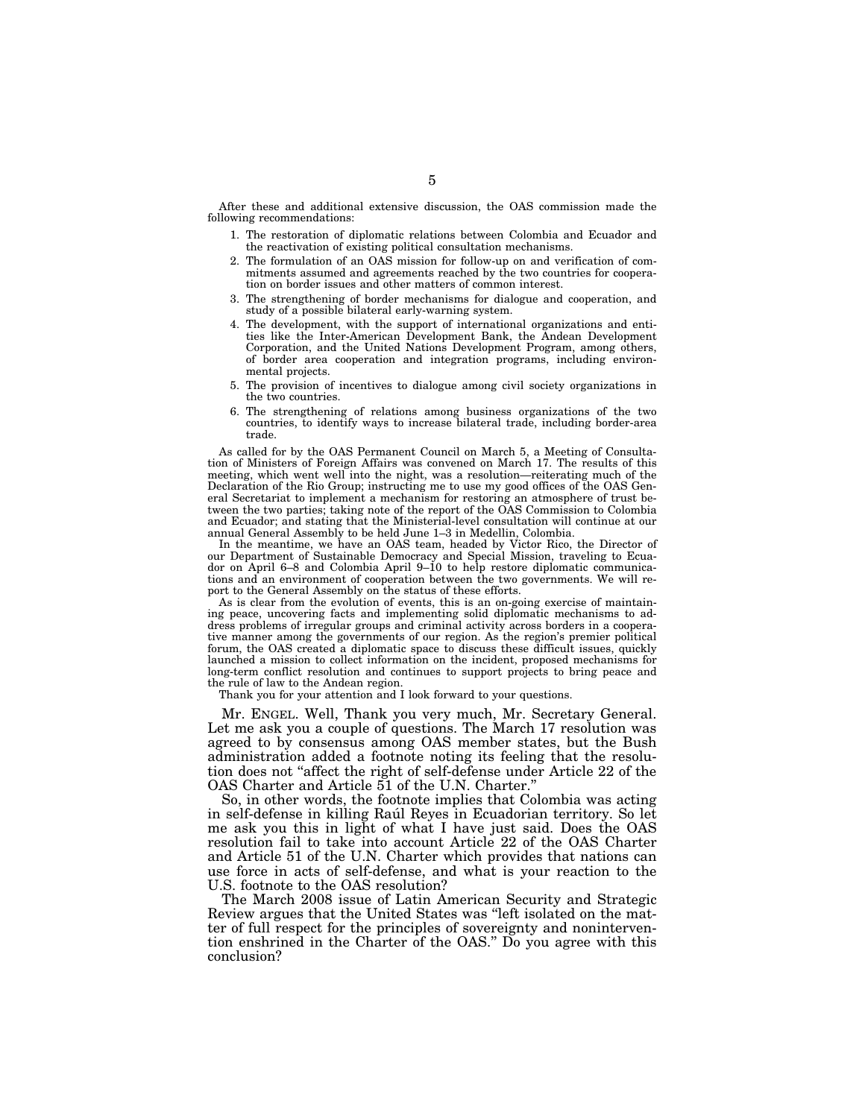After these and additional extensive discussion, the OAS commission made the following recommendations:

- 1. The restoration of diplomatic relations between Colombia and Ecuador and the reactivation of existing political consultation mechanisms.
- 2. The formulation of an OAS mission for follow-up on and verification of commitments assumed and agreements reached by the two countries for cooperation on border issues and other matters of common interest.
- 3. The strengthening of border mechanisms for dialogue and cooperation, and study of a possible bilateral early-warning system.
- 4. The development, with the support of international organizations and entities like the Inter-American Development Bank, the Andean Development Corporation, and the United Nations Development Program, among others, of border area cooperation and integration programs, including environmental projects.
- 5. The provision of incentives to dialogue among civil society organizations in the two countries.
- 6. The strengthening of relations among business organizations of the two countries, to identify ways to increase bilateral trade, including border-area trade.

As called for by the OAS Permanent Council on March 5, a Meeting of Consultation of Ministers of Foreign Affairs was convened on March 17. The results of this meeting, which went well into the night, was a resolution—reiterating much of the Declaration of the Rio Group; instructing me to use my good offices of the OAS General Secretariat to implement a mechanism for restoring an atmosphere of trust between the two parties; taking note of the report of the OAS Commission to Colombia and Ecuador; and stating that the Ministerial-level consultation will continue at our annual General Assembly to be held June 1–3 in Medellin, Colombia.

In the meantime, we have an OAS team, headed by Victor Rico, the Director of our Department of Sustainable Democracy and Special Mission, traveling to Ecuador on April 6–8 and Colombia April 9–10 to help restore diplomatic communications and an environment of cooperation between the two governments. We will report to the General Assembly on the status of these efforts.

As is clear from the evolution of events, this is an on-going exercise of maintaining peace, uncovering facts and implementing solid diplomatic mechanisms to address problems of irregular groups and criminal activity across borders in a cooperative manner among the governments of our region. As the region's premier political forum, the OAS created a diplomatic space to discuss these difficult issues, quickly launched a mission to collect information on the incident, proposed mechanisms for long-term conflict resolution and continues to support projects to bring peace and the rule of law to the Andean region.

Thank you for your attention and I look forward to your questions.

Mr. ENGEL. Well, Thank you very much, Mr. Secretary General. Let me ask you a couple of questions. The March 17 resolution was agreed to by consensus among OAS member states, but the Bush administration added a footnote noting its feeling that the resolution does not ''affect the right of self-defense under Article 22 of the OAS Charter and Article 51 of the U.N. Charter.''

So, in other words, the footnote implies that Colombia was acting in self-defense in killing Raul Reyes in Ecuadorian territory. So let me ask you this in light of what I have just said. Does the OAS resolution fail to take into account Article 22 of the OAS Charter and Article 51 of the U.N. Charter which provides that nations can use force in acts of self-defense, and what is your reaction to the U.S. footnote to the OAS resolution?

The March 2008 issue of Latin American Security and Strategic Review argues that the United States was ''left isolated on the matter of full respect for the principles of sovereignty and nonintervention enshrined in the Charter of the OAS.'' Do you agree with this conclusion?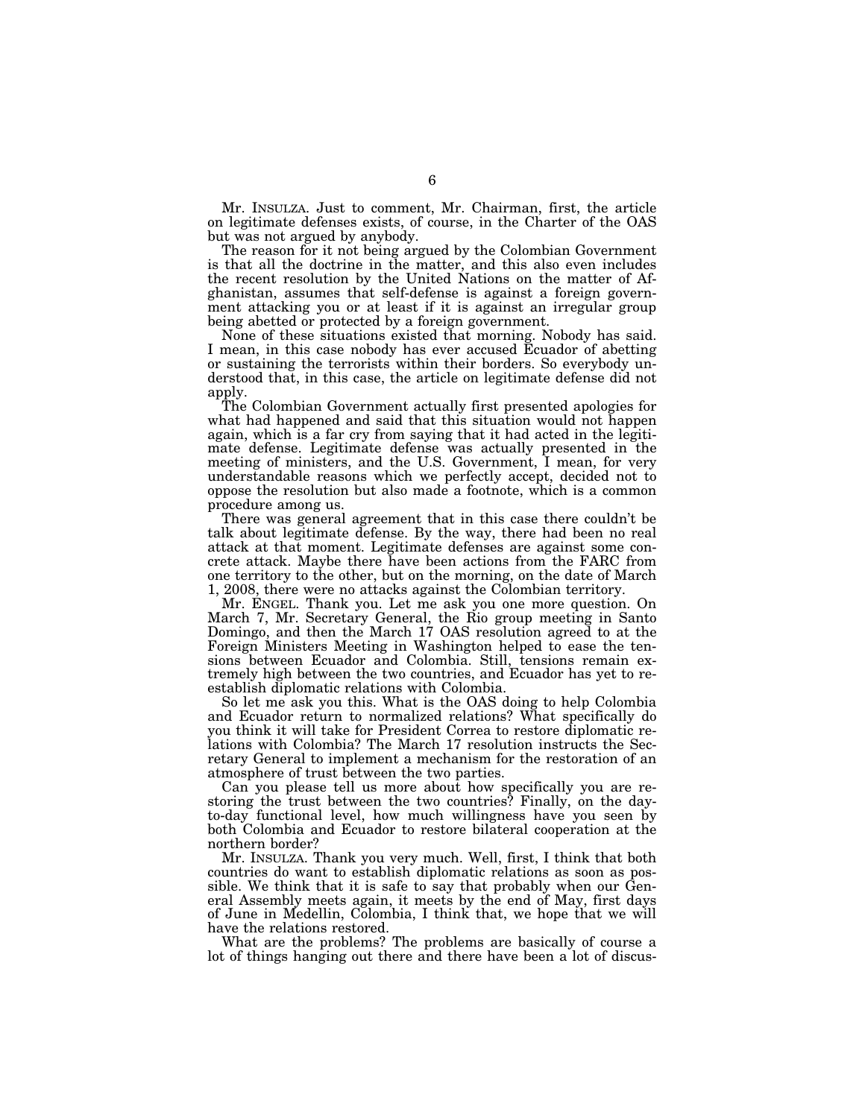Mr. INSULZA. Just to comment, Mr. Chairman, first, the article on legitimate defenses exists, of course, in the Charter of the OAS but was not argued by anybody.

The reason for it not being argued by the Colombian Government is that all the doctrine in the matter, and this also even includes the recent resolution by the United Nations on the matter of Afghanistan, assumes that self-defense is against a foreign government attacking you or at least if it is against an irregular group being abetted or protected by a foreign government.

None of these situations existed that morning. Nobody has said. I mean, in this case nobody has ever accused Ecuador of abetting or sustaining the terrorists within their borders. So everybody understood that, in this case, the article on legitimate defense did not apply.

The Colombian Government actually first presented apologies for what had happened and said that this situation would not happen again, which is a far cry from saying that it had acted in the legitimate defense. Legitimate defense was actually presented in the meeting of ministers, and the U.S. Government, I mean, for very understandable reasons which we perfectly accept, decided not to oppose the resolution but also made a footnote, which is a common procedure among us.

There was general agreement that in this case there couldn't be talk about legitimate defense. By the way, there had been no real attack at that moment. Legitimate defenses are against some concrete attack. Maybe there have been actions from the FARC from one territory to the other, but on the morning, on the date of March 1, 2008, there were no attacks against the Colombian territory.

Mr. ENGEL. Thank you. Let me ask you one more question. On March 7, Mr. Secretary General, the Rio group meeting in Santo Domingo, and then the March 17 OAS resolution agreed to at the Foreign Ministers Meeting in Washington helped to ease the tensions between Ecuador and Colombia. Still, tensions remain extremely high between the two countries, and Ecuador has yet to reestablish diplomatic relations with Colombia.

So let me ask you this. What is the OAS doing to help Colombia and Ecuador return to normalized relations? What specifically do you think it will take for President Correa to restore diplomatic relations with Colombia? The March 17 resolution instructs the Secretary General to implement a mechanism for the restoration of an atmosphere of trust between the two parties.

Can you please tell us more about how specifically you are restoring the trust between the two countries? Finally, on the dayto-day functional level, how much willingness have you seen by both Colombia and Ecuador to restore bilateral cooperation at the northern border?

Mr. INSULZA. Thank you very much. Well, first, I think that both countries do want to establish diplomatic relations as soon as possible. We think that it is safe to say that probably when our General Assembly meets again, it meets by the end of May, first days of June in Medellin, Colombia, I think that, we hope that we will have the relations restored.

What are the problems? The problems are basically of course a lot of things hanging out there and there have been a lot of discus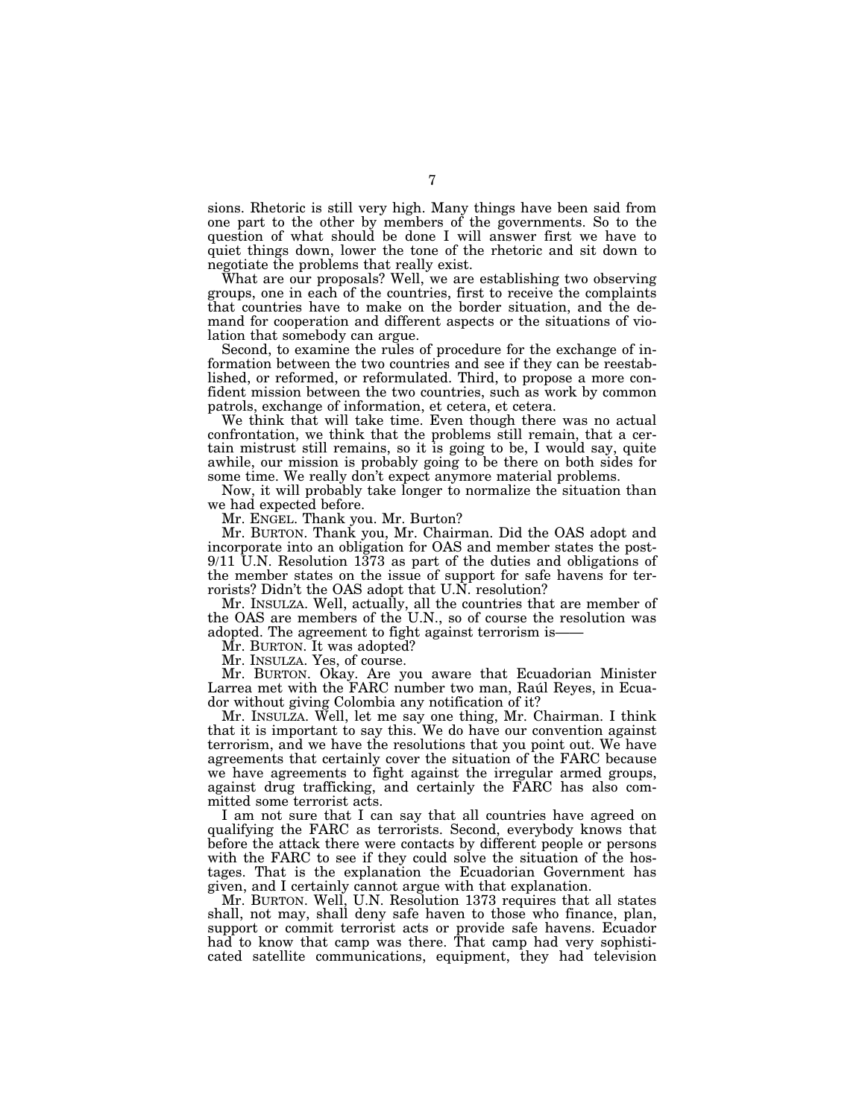sions. Rhetoric is still very high. Many things have been said from one part to the other by members of the governments. So to the question of what should be done I will answer first we have to quiet things down, lower the tone of the rhetoric and sit down to negotiate the problems that really exist.

What are our proposals? Well, we are establishing two observing groups, one in each of the countries, first to receive the complaints that countries have to make on the border situation, and the demand for cooperation and different aspects or the situations of violation that somebody can argue.

Second, to examine the rules of procedure for the exchange of information between the two countries and see if they can be reestablished, or reformed, or reformulated. Third, to propose a more confident mission between the two countries, such as work by common patrols, exchange of information, et cetera, et cetera.

We think that will take time. Even though there was no actual confrontation, we think that the problems still remain, that a certain mistrust still remains, so it is going to be, I would say, quite awhile, our mission is probably going to be there on both sides for some time. We really don't expect anymore material problems.

Now, it will probably take longer to normalize the situation than we had expected before.

Mr. ENGEL. Thank you. Mr. Burton?

Mr. BURTON. Thank you, Mr. Chairman. Did the OAS adopt and incorporate into an obligation for OAS and member states the post-9/11 U.N. Resolution 1373 as part of the duties and obligations of the member states on the issue of support for safe havens for terrorists? Didn't the OAS adopt that U.N. resolution?

Mr. INSULZA. Well, actually, all the countries that are member of the OAS are members of the U.N., so of course the resolution was adopted. The agreement to fight against terrorism is-

Mr. BURTON. It was adopted?

Mr. INSULZA. Yes, of course.

Mr. BURTON. Okay. Are you aware that Ecuadorian Minister Larrea met with the FARC number two man, Rau<sup>l</sup> Reyes, in Ecuador without giving Colombia any notification of it?

Mr. INSULZA. Well, let me say one thing, Mr. Chairman. I think that it is important to say this. We do have our convention against terrorism, and we have the resolutions that you point out. We have agreements that certainly cover the situation of the FARC because we have agreements to fight against the irregular armed groups, against drug trafficking, and certainly the FARC has also committed some terrorist acts.

I am not sure that I can say that all countries have agreed on qualifying the FARC as terrorists. Second, everybody knows that before the attack there were contacts by different people or persons with the FARC to see if they could solve the situation of the hostages. That is the explanation the Ecuadorian Government has given, and I certainly cannot argue with that explanation.

Mr. BURTON. Well, U.N. Resolution 1373 requires that all states shall, not may, shall deny safe haven to those who finance, plan, support or commit terrorist acts or provide safe havens. Ecuador had to know that camp was there. That camp had very sophisticated satellite communications, equipment, they had television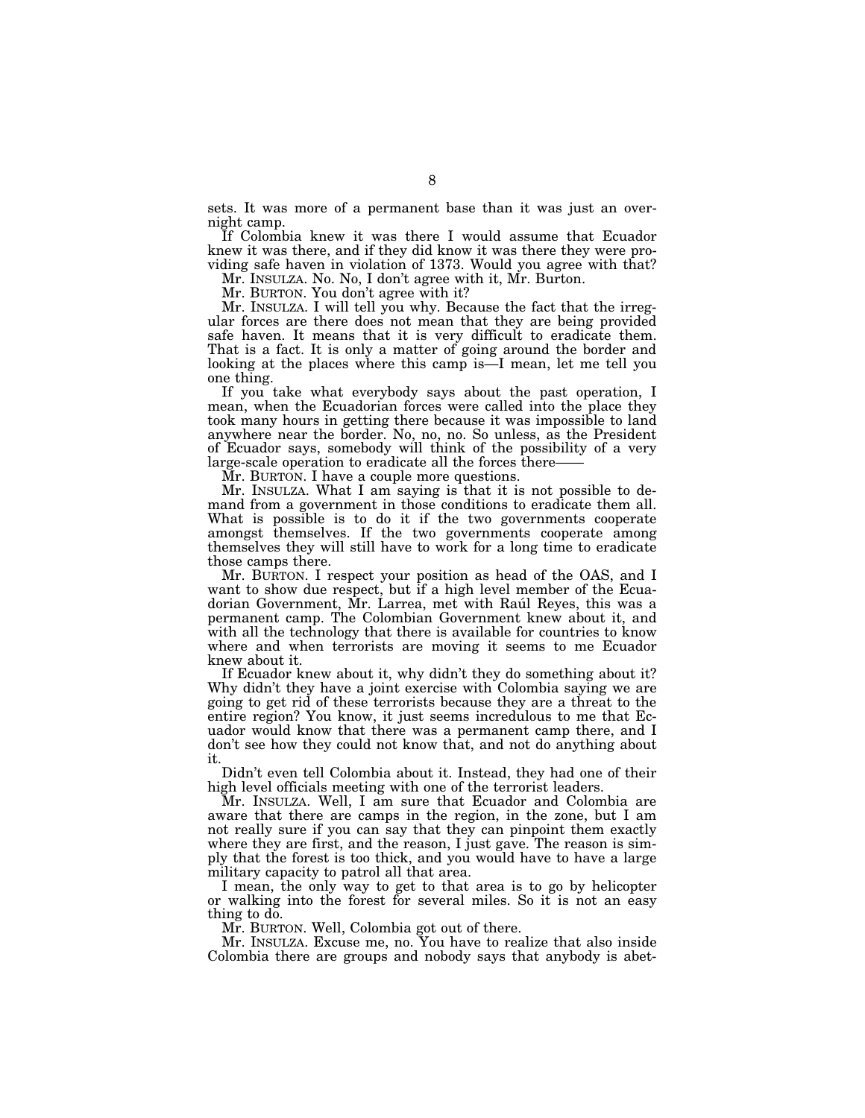sets. It was more of a permanent base than it was just an overnight camp.

If Colombia knew it was there I would assume that Ecuador knew it was there, and if they did know it was there they were providing safe haven in violation of 1373. Would you agree with that?

Mr. INSULZA. No. No, I don't agree with it, Mr. Burton.

Mr. BURTON. You don't agree with it?

Mr. INSULZA. I will tell you why. Because the fact that the irregular forces are there does not mean that they are being provided safe haven. It means that it is very difficult to eradicate them. That is a fact. It is only a matter of going around the border and looking at the places where this camp is—I mean, let me tell you one thing.

If you take what everybody says about the past operation, I mean, when the Ecuadorian forces were called into the place they took many hours in getting there because it was impossible to land anywhere near the border. No, no, no. So unless, as the President of Ecuador says, somebody will think of the possibility of a very large-scale operation to eradicate all the forces there-

Mr. BURTON. I have a couple more questions.

Mr. INSULZA. What I am saying is that it is not possible to demand from a government in those conditions to eradicate them all. What is possible is to do it if the two governments cooperate amongst themselves. If the two governments cooperate among themselves they will still have to work for a long time to eradicate those camps there.

Mr. BURTON. I respect your position as head of the OAS, and I want to show due respect, but if a high level member of the Ecuadorian Government, Mr. Larrea, met with Raúl Reyes, this was a permanent camp. The Colombian Government knew about it, and with all the technology that there is available for countries to know where and when terrorists are moving it seems to me Ecuador knew about it.

If Ecuador knew about it, why didn't they do something about it? Why didn't they have a joint exercise with Colombia saying we are going to get rid of these terrorists because they are a threat to the entire region? You know, it just seems incredulous to me that Ecuador would know that there was a permanent camp there, and I don't see how they could not know that, and not do anything about it.

Didn't even tell Colombia about it. Instead, they had one of their high level officials meeting with one of the terrorist leaders.

Mr. INSULZA. Well, I am sure that Ecuador and Colombia are aware that there are camps in the region, in the zone, but I am not really sure if you can say that they can pinpoint them exactly where they are first, and the reason, I just gave. The reason is simply that the forest is too thick, and you would have to have a large military capacity to patrol all that area.

I mean, the only way to get to that area is to go by helicopter or walking into the forest for several miles. So it is not an easy thing to do.

Mr. BURTON. Well, Colombia got out of there.

Mr. INSULZA. Excuse me, no. You have to realize that also inside Colombia there are groups and nobody says that anybody is abet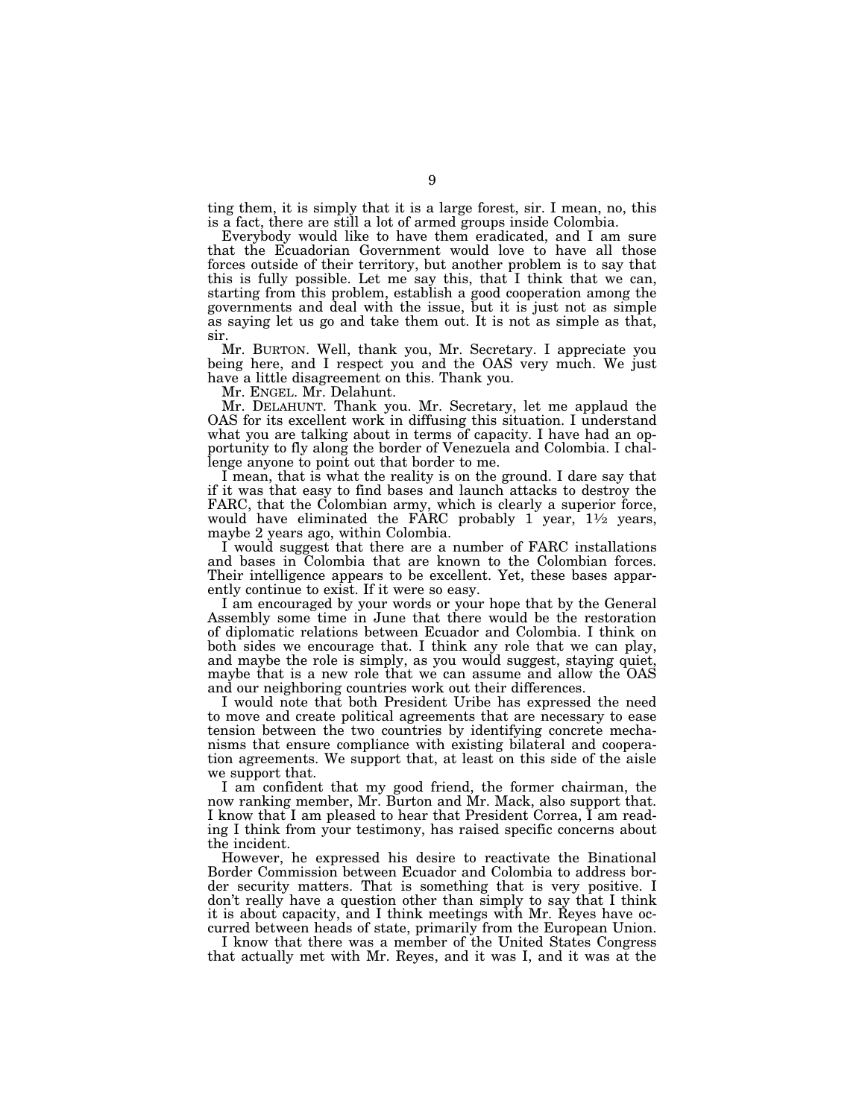ting them, it is simply that it is a large forest, sir. I mean, no, this is a fact, there are still a lot of armed groups inside Colombia.

Everybody would like to have them eradicated, and I am sure that the Ecuadorian Government would love to have all those forces outside of their territory, but another problem is to say that this is fully possible. Let me say this, that I think that we can, starting from this problem, establish a good cooperation among the governments and deal with the issue, but it is just not as simple as saying let us go and take them out. It is not as simple as that, sir.

Mr. BURTON. Well, thank you, Mr. Secretary. I appreciate you being here, and I respect you and the OAS very much. We just have a little disagreement on this. Thank you.

Mr. ENGEL. Mr. Delahunt.

Mr. DELAHUNT. Thank you. Mr. Secretary, let me applaud the OAS for its excellent work in diffusing this situation. I understand what you are talking about in terms of capacity. I have had an opportunity to fly along the border of Venezuela and Colombia. I challenge anyone to point out that border to me.

I mean, that is what the reality is on the ground. I dare say that if it was that easy to find bases and launch attacks to destroy the FARC, that the Colombian army, which is clearly a superior force, would have eliminated the FARC probably  $1$  year,  $1\frac{1}{2}$  years, maybe 2 years ago, within Colombia.

I would suggest that there are a number of FARC installations and bases in Colombia that are known to the Colombian forces. Their intelligence appears to be excellent. Yet, these bases apparently continue to exist. If it were so easy.

I am encouraged by your words or your hope that by the General Assembly some time in June that there would be the restoration of diplomatic relations between Ecuador and Colombia. I think on both sides we encourage that. I think any role that we can play, and maybe the role is simply, as you would suggest, staying quiet, maybe that is a new role that we can assume and allow the OAS and our neighboring countries work out their differences.

I would note that both President Uribe has expressed the need to move and create political agreements that are necessary to ease tension between the two countries by identifying concrete mechanisms that ensure compliance with existing bilateral and cooperation agreements. We support that, at least on this side of the aisle we support that.

I am confident that my good friend, the former chairman, the now ranking member, Mr. Burton and Mr. Mack, also support that. I know that I am pleased to hear that President Correa, I am reading I think from your testimony, has raised specific concerns about the incident.

However, he expressed his desire to reactivate the Binational Border Commission between Ecuador and Colombia to address border security matters. That is something that is very positive. I don't really have a question other than simply to say that I think it is about capacity, and I think meetings with Mr. Reyes have occurred between heads of state, primarily from the European Union.

I know that there was a member of the United States Congress that actually met with Mr. Reyes, and it was I, and it was at the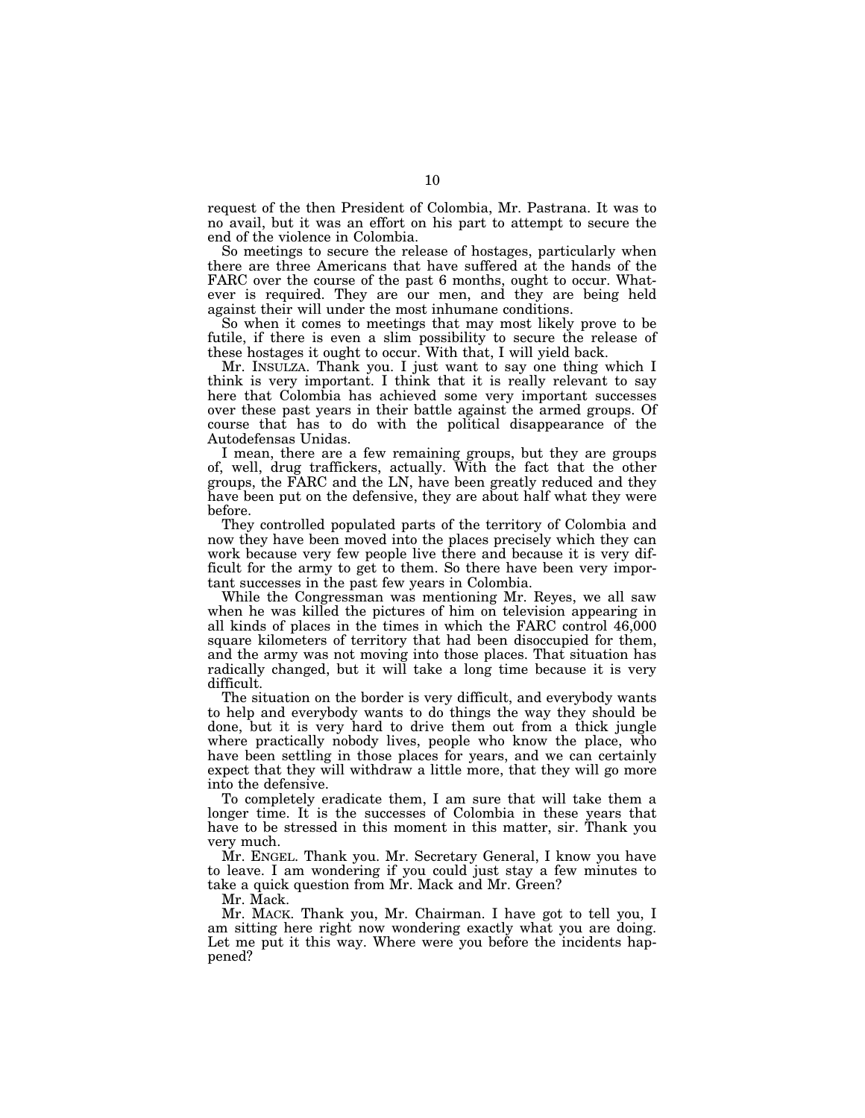request of the then President of Colombia, Mr. Pastrana. It was to no avail, but it was an effort on his part to attempt to secure the end of the violence in Colombia.

So meetings to secure the release of hostages, particularly when there are three Americans that have suffered at the hands of the FARC over the course of the past 6 months, ought to occur. Whatever is required. They are our men, and they are being held against their will under the most inhumane conditions.

So when it comes to meetings that may most likely prove to be futile, if there is even a slim possibility to secure the release of these hostages it ought to occur. With that, I will yield back.

Mr. INSULZA. Thank you. I just want to say one thing which I think is very important. I think that it is really relevant to say here that Colombia has achieved some very important successes over these past years in their battle against the armed groups. Of course that has to do with the political disappearance of the Autodefensas Unidas.

I mean, there are a few remaining groups, but they are groups of, well, drug traffickers, actually. With the fact that the other groups, the FARC and the LN, have been greatly reduced and they have been put on the defensive, they are about half what they were before.

They controlled populated parts of the territory of Colombia and now they have been moved into the places precisely which they can work because very few people live there and because it is very difficult for the army to get to them. So there have been very important successes in the past few years in Colombia.

While the Congressman was mentioning Mr. Reyes, we all saw when he was killed the pictures of him on television appearing in all kinds of places in the times in which the FARC control 46,000 square kilometers of territory that had been disoccupied for them, and the army was not moving into those places. That situation has radically changed, but it will take a long time because it is very difficult.

The situation on the border is very difficult, and everybody wants to help and everybody wants to do things the way they should be done, but it is very hard to drive them out from a thick jungle where practically nobody lives, people who know the place, who have been settling in those places for years, and we can certainly expect that they will withdraw a little more, that they will go more into the defensive.

To completely eradicate them, I am sure that will take them a longer time. It is the successes of Colombia in these years that have to be stressed in this moment in this matter, sir. Thank you very much.

Mr. ENGEL. Thank you. Mr. Secretary General, I know you have to leave. I am wondering if you could just stay a few minutes to take a quick question from Mr. Mack and Mr. Green?

Mr. Mack.

Mr. MACK. Thank you, Mr. Chairman. I have got to tell you, I am sitting here right now wondering exactly what you are doing. Let me put it this way. Where were you before the incidents happened?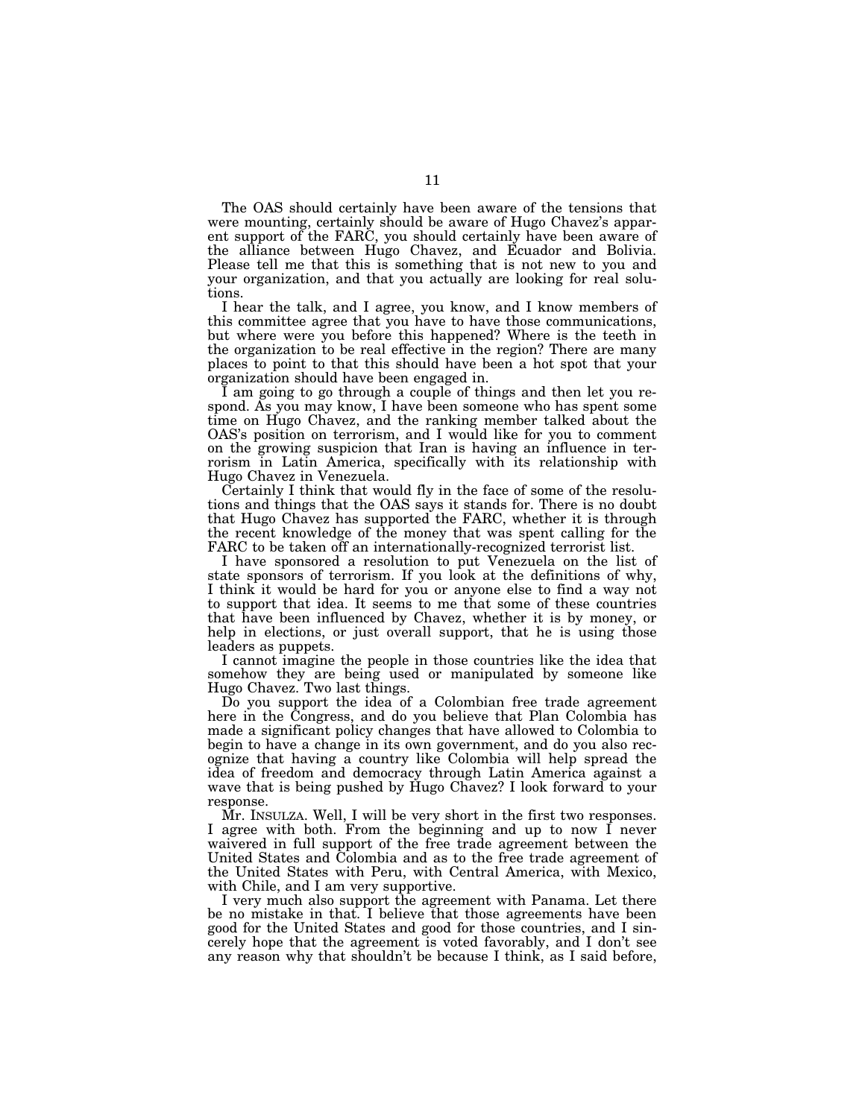The OAS should certainly have been aware of the tensions that were mounting, certainly should be aware of Hugo Chavez's apparent support of the FARC, you should certainly have been aware of the alliance between Hugo Chavez, and Ecuador and Bolivia. Please tell me that this is something that is not new to you and your organization, and that you actually are looking for real solutions.

I hear the talk, and I agree, you know, and I know members of this committee agree that you have to have those communications, but where were you before this happened? Where is the teeth in the organization to be real effective in the region? There are many places to point to that this should have been a hot spot that your organization should have been engaged in.

I am going to go through a couple of things and then let you respond. As you may know, I have been someone who has spent some time on Hugo Chavez, and the ranking member talked about the OAS's position on terrorism, and I would like for you to comment on the growing suspicion that Iran is having an influence in terrorism in Latin America, specifically with its relationship with Hugo Chavez in Venezuela.

Certainly I think that would fly in the face of some of the resolutions and things that the OAS says it stands for. There is no doubt that Hugo Chavez has supported the FARC, whether it is through the recent knowledge of the money that was spent calling for the FARC to be taken off an internationally-recognized terrorist list.

I have sponsored a resolution to put Venezuela on the list of state sponsors of terrorism. If you look at the definitions of why, I think it would be hard for you or anyone else to find a way not to support that idea. It seems to me that some of these countries that have been influenced by Chavez, whether it is by money, or help in elections, or just overall support, that he is using those leaders as puppets.

I cannot imagine the people in those countries like the idea that somehow they are being used or manipulated by someone like Hugo Chavez. Two last things.

Do you support the idea of a Colombian free trade agreement here in the Congress, and do you believe that Plan Colombia has made a significant policy changes that have allowed to Colombia to begin to have a change in its own government, and do you also recognize that having a country like Colombia will help spread the idea of freedom and democracy through Latin America against a wave that is being pushed by Hugo Chavez? I look forward to your response.

Mr. INSULZA. Well, I will be very short in the first two responses. I agree with both. From the beginning and up to now I never waivered in full support of the free trade agreement between the United States and Colombia and as to the free trade agreement of the United States with Peru, with Central America, with Mexico, with Chile, and I am very supportive.

I very much also support the agreement with Panama. Let there be no mistake in that. I believe that those agreements have been good for the United States and good for those countries, and I sincerely hope that the agreement is voted favorably, and I don't see any reason why that shouldn't be because I think, as I said before,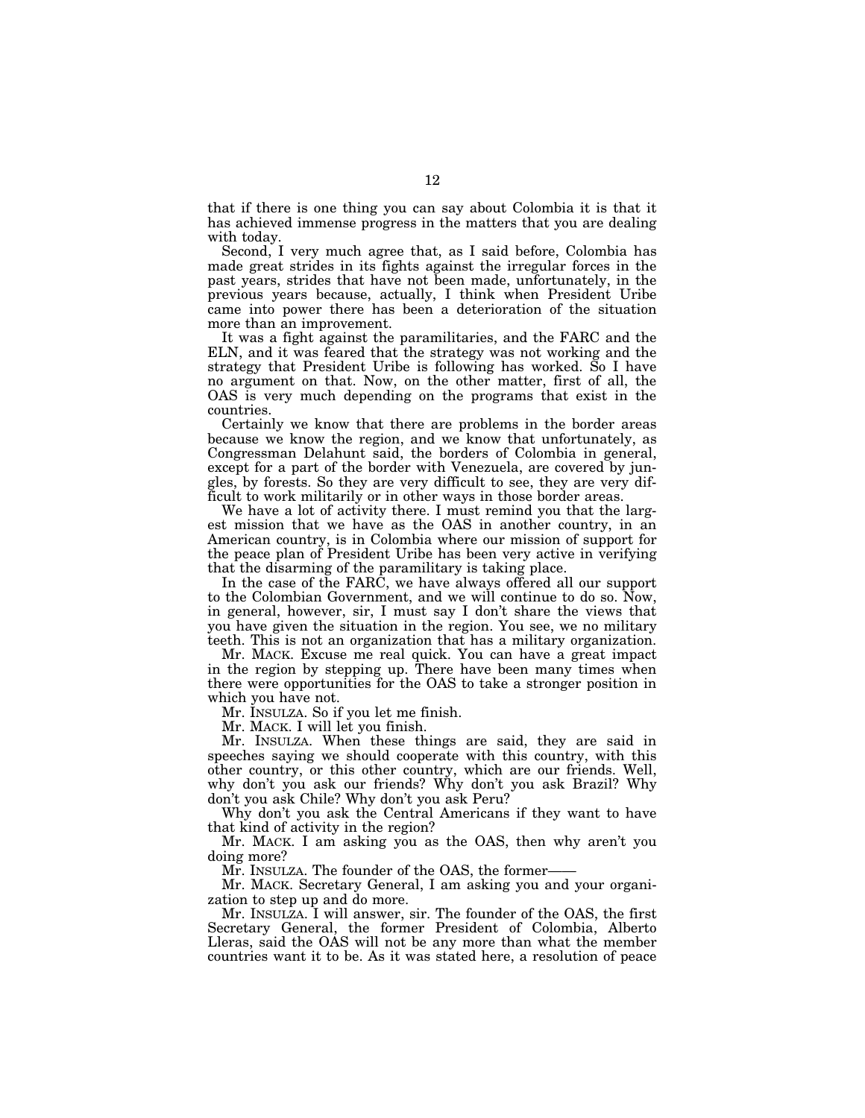that if there is one thing you can say about Colombia it is that it has achieved immense progress in the matters that you are dealing with today.

Second, I very much agree that, as I said before, Colombia has made great strides in its fights against the irregular forces in the past years, strides that have not been made, unfortunately, in the previous years because, actually, I think when President Uribe came into power there has been a deterioration of the situation more than an improvement.

It was a fight against the paramilitaries, and the FARC and the ELN, and it was feared that the strategy was not working and the strategy that President Uribe is following has worked. So I have no argument on that. Now, on the other matter, first of all, the OAS is very much depending on the programs that exist in the countries.

Certainly we know that there are problems in the border areas because we know the region, and we know that unfortunately, as Congressman Delahunt said, the borders of Colombia in general, except for a part of the border with Venezuela, are covered by jungles, by forests. So they are very difficult to see, they are very difficult to work militarily or in other ways in those border areas.

We have a lot of activity there. I must remind you that the largest mission that we have as the OAS in another country, in an American country, is in Colombia where our mission of support for the peace plan of President Uribe has been very active in verifying that the disarming of the paramilitary is taking place.

In the case of the FARC, we have always offered all our support to the Colombian Government, and we will continue to do so. Now, in general, however, sir, I must say I don't share the views that you have given the situation in the region. You see, we no military teeth. This is not an organization that has a military organization.

Mr. MACK. Excuse me real quick. You can have a great impact in the region by stepping up. There have been many times when there were opportunities for the OAS to take a stronger position in which you have not.

Mr. INSULZA. So if you let me finish.

Mr. MACK. I will let you finish.

Mr. INSULZA. When these things are said, they are said in speeches saying we should cooperate with this country, with this other country, or this other country, which are our friends. Well, why don't you ask our friends? Why don't you ask Brazil? Why don't you ask Chile? Why don't you ask Peru?

Why don't you ask the Central Americans if they want to have that kind of activity in the region?

Mr. MACK. I am asking you as the OAS, then why aren't you doing more?

Mr. INSULZA. The founder of the OAS, the former-

Mr. MACK. Secretary General, I am asking you and your organization to step up and do more.

Mr. INSULZA. I will answer, sir. The founder of the OAS, the first Secretary General, the former President of Colombia, Alberto Lleras, said the OAS will not be any more than what the member countries want it to be. As it was stated here, a resolution of peace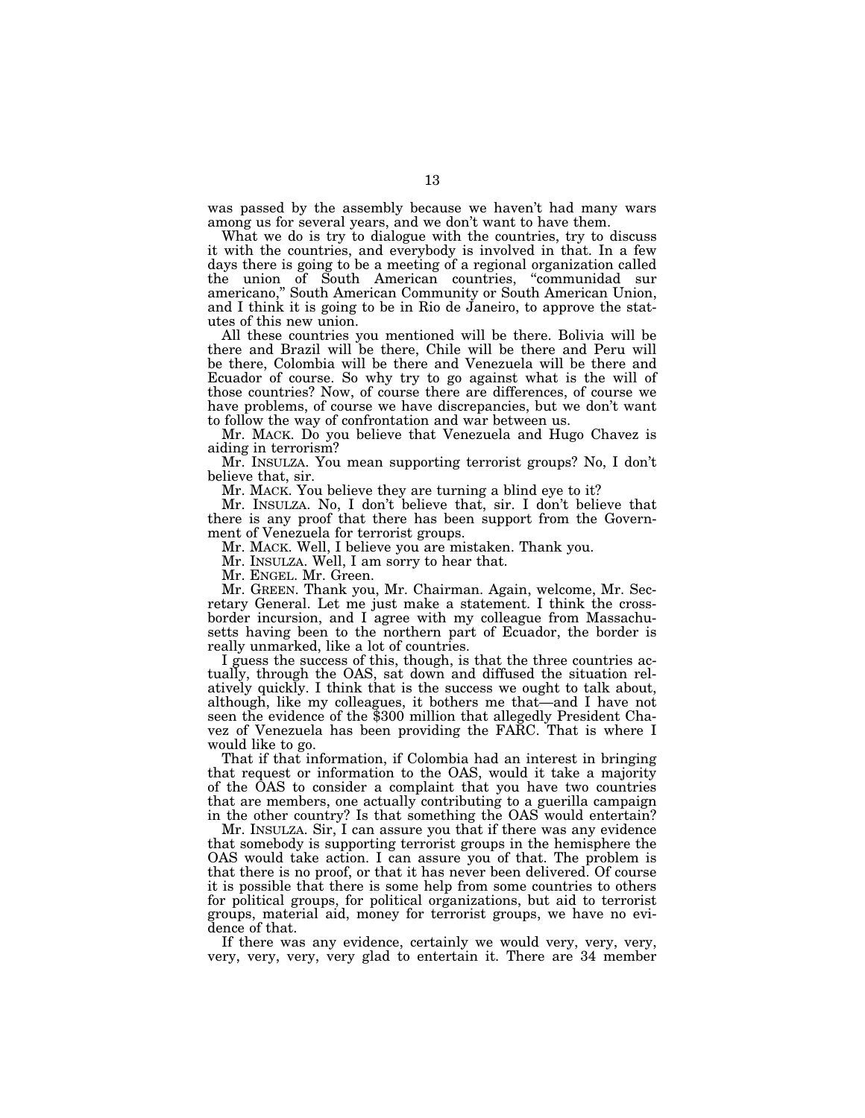was passed by the assembly because we haven't had many wars among us for several years, and we don't want to have them.

What we do is try to dialogue with the countries, try to discuss it with the countries, and everybody is involved in that. In a few days there is going to be a meeting of a regional organization called the union of South American countries, ''communidad sur americano," South American Community or South American Union, and I think it is going to be in Rio de Janeiro, to approve the statutes of this new union.

All these countries you mentioned will be there. Bolivia will be there and Brazil will be there, Chile will be there and Peru will be there, Colombia will be there and Venezuela will be there and Ecuador of course. So why try to go against what is the will of those countries? Now, of course there are differences, of course we have problems, of course we have discrepancies, but we don't want to follow the way of confrontation and war between us.

Mr. MACK. Do you believe that Venezuela and Hugo Chavez is aiding in terrorism?

Mr. INSULZA. You mean supporting terrorist groups? No, I don't believe that, sir.

Mr. MACK. You believe they are turning a blind eye to it?

Mr. INSULZA. No, I don't believe that, sir. I don't believe that there is any proof that there has been support from the Government of Venezuela for terrorist groups.

Mr. MACK. Well, I believe you are mistaken. Thank you.

Mr. INSULZA. Well, I am sorry to hear that.

Mr. ENGEL. Mr. Green.

Mr. GREEN. Thank you, Mr. Chairman. Again, welcome, Mr. Secretary General. Let me just make a statement. I think the crossborder incursion, and I agree with my colleague from Massachusetts having been to the northern part of Ecuador, the border is really unmarked, like a lot of countries.

I guess the success of this, though, is that the three countries actually, through the OAS, sat down and diffused the situation relatively quickly. I think that is the success we ought to talk about, although, like my colleagues, it bothers me that—and I have not seen the evidence of the \$300 million that allegedly President Chavez of Venezuela has been providing the FARC. That is where I would like to go.

That if that information, if Colombia had an interest in bringing that request or information to the OAS, would it take a majority of the OAS to consider a complaint that you have two countries that are members, one actually contributing to a guerilla campaign in the other country? Is that something the OAS would entertain?

Mr. INSULZA. Sir, I can assure you that if there was any evidence that somebody is supporting terrorist groups in the hemisphere the OAS would take action. I can assure you of that. The problem is that there is no proof, or that it has never been delivered. Of course it is possible that there is some help from some countries to others for political groups, for political organizations, but aid to terrorist groups, material aid, money for terrorist groups, we have no evidence of that.

If there was any evidence, certainly we would very, very, very, very, very, very, very glad to entertain it. There are 34 member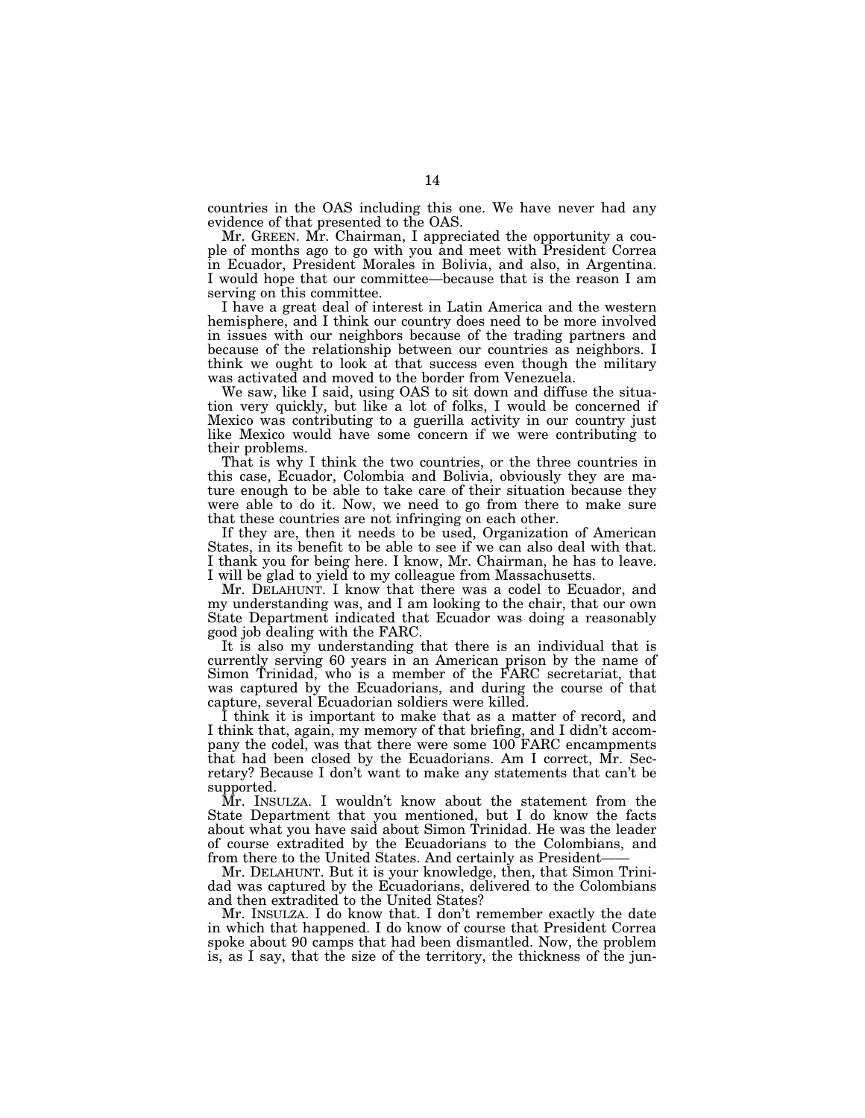countries in the OAS including this one. We have never had any evidence of that presented to the OAS.

Mr. GREEN. Mr. Chairman, I appreciated the opportunity a couple of months ago to go with you and meet with President Correa in Ecuador, President Morales in Bolivia, and also, in Argentina. I would hope that our committee—because that is the reason I am serving on this committee.

I have a great deal of interest in Latin America and the western hemisphere, and I think our country does need to be more involved in issues with our neighbors because of the trading partners and because of the relationship between our countries as neighbors. I think we ought to look at that success even though the military was activated and moved to the border from Venezuela.

We saw, like I said, using OAS to sit down and diffuse the situation very quickly, but like a lot of folks, I would be concerned if Mexico was contributing to a guerilla activity in our country just like Mexico would have some concern if we were contributing to their problems.

That is why I think the two countries, or the three countries in this case, Ecuador, Colombia and Bolivia, obviously they are mature enough to be able to take care of their situation because they were able to do it. Now, we need to go from there to make sure that these countries are not infringing on each other.

If they are, then it needs to be used, Organization of American States, in its benefit to be able to see if we can also deal with that. I thank you for being here. I know, Mr. Chairman, he has to leave. I will be glad to yield to my colleague from Massachusetts.

Mr. DELAHUNT. I know that there was a codel to Ecuador, and my understanding was, and I am looking to the chair, that our own State Department indicated that Ecuador was doing a reasonably good job dealing with the FARC.

It is also my understanding that there is an individual that is currently serving 60 years in an American prison by the name of Simon Trinidad, who is a member of the FARC secretariat, that was captured by the Ecuadorians, and during the course of that capture, several Ecuadorian soldiers were killed.

I think it is important to make that as a matter of record, and I think that, again, my memory of that briefing, and I didn't accompany the codel, was that there were some 100 FARC encampments that had been closed by the Ecuadorians. Am I correct, Mr. Secretary? Because I don't want to make any statements that can't be supported.

Mr. INSULZA. I wouldn't know about the statement from the State Department that you mentioned, but I do know the facts about what you have said about Simon Trinidad. He was the leader of course extradited by the Ecuadorians to the Colombians, and from there to the United States. And certainly as President-

Mr. DELAHUNT. But it is your knowledge, then, that Simon Trinidad was captured by the Ecuadorians, delivered to the Colombians and then extradited to the United States?

Mr. INSULZA. I do know that. I don't remember exactly the date in which that happened. I do know of course that President Correa spoke about 90 camps that had been dismantled. Now, the problem is, as I say, that the size of the territory, the thickness of the jun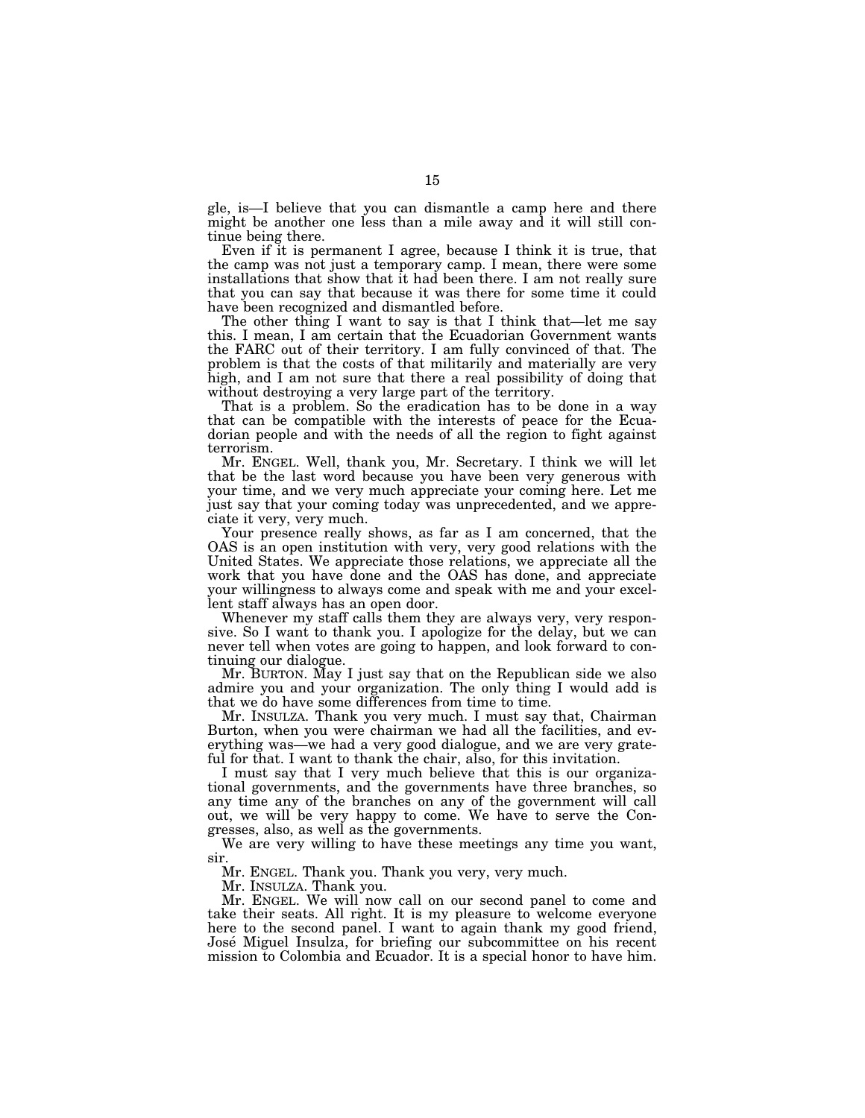gle, is—I believe that you can dismantle a camp here and there might be another one less than a mile away and it will still continue being there.

Even if it is permanent I agree, because I think it is true, that the camp was not just a temporary camp. I mean, there were some installations that show that it had been there. I am not really sure that you can say that because it was there for some time it could have been recognized and dismantled before.

The other thing I want to say is that I think that—let me say this. I mean, I am certain that the Ecuadorian Government wants the FARC out of their territory. I am fully convinced of that. The problem is that the costs of that militarily and materially are very high, and I am not sure that there a real possibility of doing that without destroying a very large part of the territory.

That is a problem. So the eradication has to be done in a way that can be compatible with the interests of peace for the Ecuadorian people and with the needs of all the region to fight against terrorism.

Mr. ENGEL. Well, thank you, Mr. Secretary. I think we will let that be the last word because you have been very generous with your time, and we very much appreciate your coming here. Let me just say that your coming today was unprecedented, and we appreciate it very, very much.

Your presence really shows, as far as I am concerned, that the OAS is an open institution with very, very good relations with the United States. We appreciate those relations, we appreciate all the work that you have done and the OAS has done, and appreciate your willingness to always come and speak with me and your excellent staff always has an open door.

Whenever my staff calls them they are always very, very responsive. So I want to thank you. I apologize for the delay, but we can never tell when votes are going to happen, and look forward to continuing our dialogue.

Mr. BURTON. May I just say that on the Republican side we also admire you and your organization. The only thing I would add is that we do have some differences from time to time.

Mr. INSULZA. Thank you very much. I must say that, Chairman Burton, when you were chairman we had all the facilities, and everything was—we had a very good dialogue, and we are very grateful for that. I want to thank the chair, also, for this invitation.

I must say that I very much believe that this is our organizational governments, and the governments have three branches, so any time any of the branches on any of the government will call out, we will be very happy to come. We have to serve the Congresses, also, as well as the governments.

We are very willing to have these meetings any time you want, sir.

Mr. ENGEL. Thank you. Thank you very, very much.

Mr. INSULZA. Thank you.

Mr. ENGEL. We will now call on our second panel to come and take their seats. All right. It is my pleasure to welcome everyone here to the second panel. I want to again thank my good friend, Jose´ Miguel Insulza, for briefing our subcommittee on his recent mission to Colombia and Ecuador. It is a special honor to have him.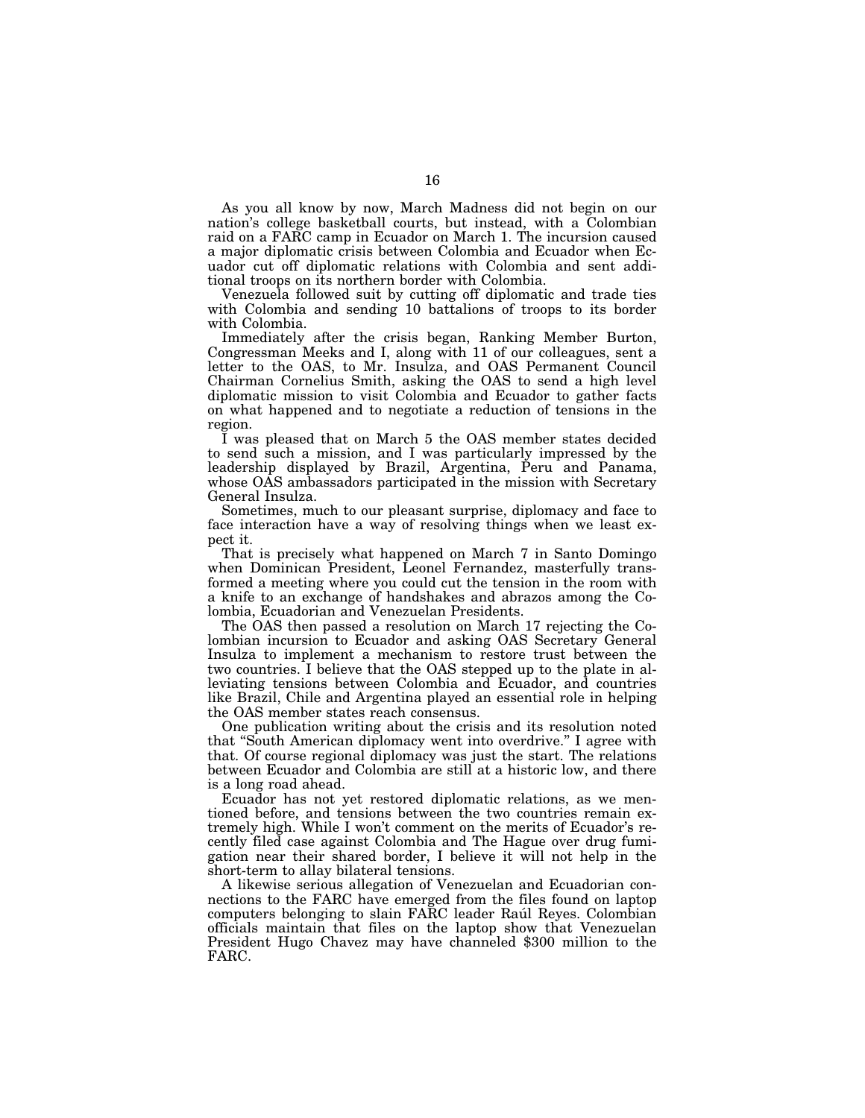As you all know by now, March Madness did not begin on our nation's college basketball courts, but instead, with a Colombian raid on a FARC camp in Ecuador on March 1. The incursion caused a major diplomatic crisis between Colombia and Ecuador when Ecuador cut off diplomatic relations with Colombia and sent additional troops on its northern border with Colombia.

Venezuela followed suit by cutting off diplomatic and trade ties with Colombia and sending 10 battalions of troops to its border with Colombia.

Immediately after the crisis began, Ranking Member Burton, Congressman Meeks and I, along with 11 of our colleagues, sent a letter to the OAS, to Mr. Insulza, and OAS Permanent Council Chairman Cornelius Smith, asking the OAS to send a high level diplomatic mission to visit Colombia and Ecuador to gather facts on what happened and to negotiate a reduction of tensions in the region.

I was pleased that on March 5 the OAS member states decided to send such a mission, and I was particularly impressed by the leadership displayed by Brazil, Argentina, Peru and Panama, whose OAS ambassadors participated in the mission with Secretary General Insulza.

Sometimes, much to our pleasant surprise, diplomacy and face to face interaction have a way of resolving things when we least expect it.

That is precisely what happened on March 7 in Santo Domingo when Dominican President, Leonel Fernandez, masterfully transformed a meeting where you could cut the tension in the room with a knife to an exchange of handshakes and abrazos among the Colombia, Ecuadorian and Venezuelan Presidents.

The OAS then passed a resolution on March 17 rejecting the Colombian incursion to Ecuador and asking OAS Secretary General Insulza to implement a mechanism to restore trust between the two countries. I believe that the OAS stepped up to the plate in alleviating tensions between Colombia and Ecuador, and countries like Brazil, Chile and Argentina played an essential role in helping the OAS member states reach consensus.

One publication writing about the crisis and its resolution noted that ''South American diplomacy went into overdrive.'' I agree with that. Of course regional diplomacy was just the start. The relations between Ecuador and Colombia are still at a historic low, and there is a long road ahead.

Ecuador has not yet restored diplomatic relations, as we mentioned before, and tensions between the two countries remain extremely high. While I won't comment on the merits of Ecuador's recently filed case against Colombia and The Hague over drug fumigation near their shared border, I believe it will not help in the short-term to allay bilateral tensions.

A likewise serious allegation of Venezuelan and Ecuadorian connections to the FARC have emerged from the files found on laptop computers belonging to slain FARC leader Rau l Reyes. Colombian officials maintain that files on the laptop show that Venezuelan President Hugo Chavez may have channeled \$300 million to the FARC.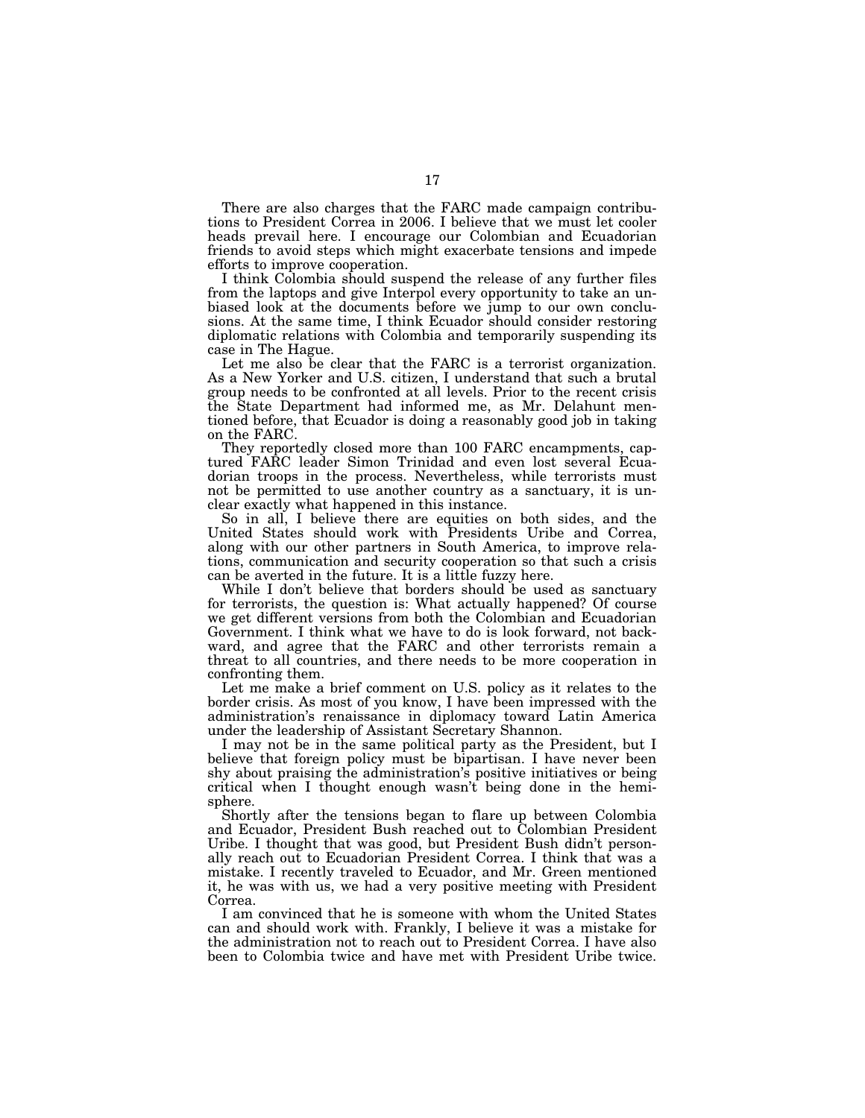There are also charges that the FARC made campaign contributions to President Correa in 2006. I believe that we must let cooler heads prevail here. I encourage our Colombian and Ecuadorian friends to avoid steps which might exacerbate tensions and impede efforts to improve cooperation.

I think Colombia should suspend the release of any further files from the laptops and give Interpol every opportunity to take an unbiased look at the documents before we jump to our own conclusions. At the same time, I think Ecuador should consider restoring diplomatic relations with Colombia and temporarily suspending its case in The Hague.

Let me also be clear that the FARC is a terrorist organization. As a New Yorker and U.S. citizen, I understand that such a brutal group needs to be confronted at all levels. Prior to the recent crisis the State Department had informed me, as Mr. Delahunt mentioned before, that Ecuador is doing a reasonably good job in taking on the FARC.

They reportedly closed more than 100 FARC encampments, captured FARC leader Simon Trinidad and even lost several Ecuadorian troops in the process. Nevertheless, while terrorists must not be permitted to use another country as a sanctuary, it is unclear exactly what happened in this instance.

So in all, I believe there are equities on both sides, and the United States should work with Presidents Uribe and Correa, along with our other partners in South America, to improve relations, communication and security cooperation so that such a crisis can be averted in the future. It is a little fuzzy here.

While I don't believe that borders should be used as sanctuary for terrorists, the question is: What actually happened? Of course we get different versions from both the Colombian and Ecuadorian Government. I think what we have to do is look forward, not backward, and agree that the FARC and other terrorists remain a threat to all countries, and there needs to be more cooperation in confronting them.

Let me make a brief comment on U.S. policy as it relates to the border crisis. As most of you know, I have been impressed with the administration's renaissance in diplomacy toward Latin America under the leadership of Assistant Secretary Shannon.

I may not be in the same political party as the President, but I believe that foreign policy must be bipartisan. I have never been shy about praising the administration's positive initiatives or being critical when I thought enough wasn't being done in the hemisphere.

Shortly after the tensions began to flare up between Colombia and Ecuador, President Bush reached out to Colombian President Uribe. I thought that was good, but President Bush didn't personally reach out to Ecuadorian President Correa. I think that was a mistake. I recently traveled to Ecuador, and Mr. Green mentioned it, he was with us, we had a very positive meeting with President Correa.

I am convinced that he is someone with whom the United States can and should work with. Frankly, I believe it was a mistake for the administration not to reach out to President Correa. I have also been to Colombia twice and have met with President Uribe twice.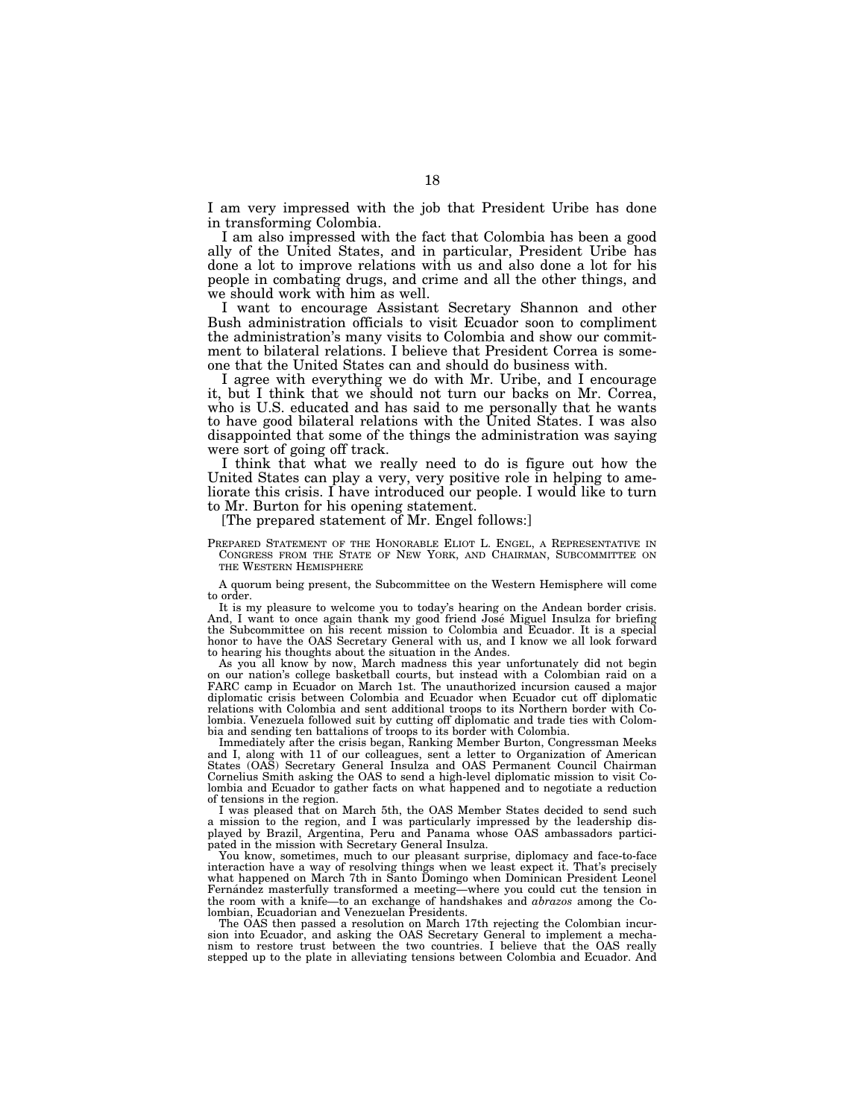I am very impressed with the job that President Uribe has done in transforming Colombia.

I am also impressed with the fact that Colombia has been a good ally of the United States, and in particular, President Uribe has done a lot to improve relations with us and also done a lot for his people in combating drugs, and crime and all the other things, and we should work with him as well.

I want to encourage Assistant Secretary Shannon and other Bush administration officials to visit Ecuador soon to compliment the administration's many visits to Colombia and show our commitment to bilateral relations. I believe that President Correa is someone that the United States can and should do business with.

I agree with everything we do with Mr. Uribe, and I encourage it, but I think that we should not turn our backs on Mr. Correa, who is U.S. educated and has said to me personally that he wants to have good bilateral relations with the United States. I was also disappointed that some of the things the administration was saying were sort of going off track.

I think that what we really need to do is figure out how the United States can play a very, very positive role in helping to ameliorate this crisis. I have introduced our people. I would like to turn to Mr. Burton for his opening statement.

[The prepared statement of Mr. Engel follows:]

PREPARED STATEMENT OF THE HONORABLE ELIOT L. ENGEL, A REPRESENTATIVE IN CONGRESS FROM THE STATE OF NEW YORK, AND CHAIRMAN, SUBCOMMITTEE ON THE WESTERN HEMISPHERE

A quorum being present, the Subcommittee on the Western Hemisphere will come to order.

It is my pleasure to welcome you to today's hearing on the Andean border crisis. And, I want to once again thank my good friend José Miguel Insulza for briefing the Subcommittee on his recent mission to Colombia and Ecuador. It is a special honor to have the OAS Secretary General with us, and I know we all look forward to hearing his thoughts about the situation in the Andes.

As you all know by now, March madness this year unfortunately did not begin on our nation's college basketball courts, but instead with a Colombian raid on a FARC camp in Ecuador on March 1st. The unauthorized incursion caused a major diplomatic crisis between Colombia and Ecuador when Ecuador cut off diplomatic relations with Colombia and sent additional troops to its Northern border with Colombia. Venezuela followed suit by cutting off diplomatic and trade ties with Colombia and sending ten battalions of troops to its border with Colombia.

Immediately after the crisis began, Ranking Member Burton, Congressman Meeks and I, along with 11 of our colleagues, sent a letter to Organization of American States (OAS) Secretary General Insulza and OAS Permanent Council Chairman Cornelius Smith asking the OAS to send a high-level diplomatic mission to visit Colombia and Ecuador to gather facts on what happened and to negotiate a reduction of tensions in the region.

I was pleased that on March 5th, the OAS Member States decided to send such a mission to the region, and I was particularly impressed by the leadership displayed by Brazil, Argentina, Peru and Panama whose OAS ambassadors participated in the mission with Secretary General Insulza.

You know, sometimes, much to our pleasant surprise, diplomacy and face-to-face interaction have a way of resolving things when we least expect it. That's precisely what happened on March 7th in Santo Domingo when Dominican President Leonel Fernandez masterfully transformed a meeting—where you could cut the tension in the room with a knife—to an exchange of handshakes and *abrazos* among the Colombian, Ecuadorian and Venezuelan Presidents.

The OAS then passed a resolution on March 17th rejecting the Colombian incursion into Ecuador, and asking the OAS Secretary General to implement a mechanism to restore trust between the two countries. I believe that the OAS really stepped up to the plate in alleviating tensions between Colombia and Ecuador. And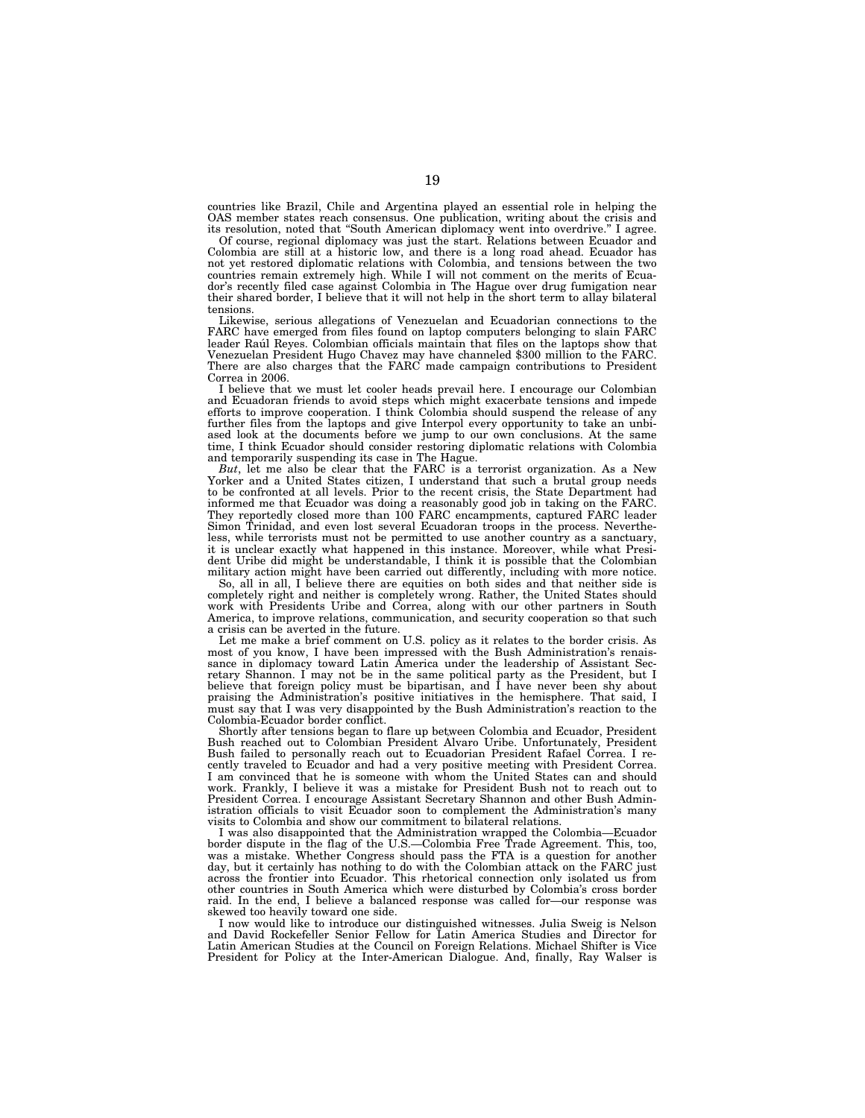countries like Brazil, Chile and Argentina played an essential role in helping the OAS member states reach consensus. One publication, writing about the crisis and its resolution, noted that ''South American diplomacy went into overdrive.'' I agree.

Of course, regional diplomacy was just the start. Relations between Ecuador and Colombia are still at a historic low, and there is a long road ahead. Ecuador has not yet restored diplomatic relations with Colombia, and tensions between the two countries remain extremely high. While I will not comment on the merits of Ecuador's recently filed case against Colombia in The Hague over drug fumigation near their shared border, I believe that it will not help in the short term to allay bilateral tensions.

Likewise, serious allegations of Venezuelan and Ecuadorian connections to the FARC have emerged from files found on laptop computers belonging to slain FARC leader Raul Reyes. Colombian officials maintain that files on the laptops show that Venezuelan President Hugo Chavez may have channeled \$300 million to the FARC. There are also charges that the FARC made campaign contributions to President Correa in 2006.

I believe that we must let cooler heads prevail here. I encourage our Colombian and Ecuadoran friends to avoid steps which might exacerbate tensions and impede efforts to improve cooperation. I think Colombia should suspend the release of any further files from the laptops and give Interpol every opportunity to take an unbiased look at the documents before we jump to our own conclusions. At the same time, I think Ecuador should consider restoring diplomatic relations with Colombia and temporarily suspending its case in The Hague.

*But*, let me also be clear that the FARC is a terrorist organization. As a New Yorker and a United States citizen, I understand that such a brutal group needs to be confronted at all levels. Prior to the recent crisis, the State Department had informed me that Ecuador was doing a reasonably good job in taking on the FARC. They reportedly closed more than 100 FARC encampments, captured FARC leader Simon Trinidad, and even lost several Ecuadoran troops in the process. Nevertheless, while terrorists must not be permitted to use another country as a sanctuary, it is unclear exactly what happened in this instance. Moreover, while what President Uribe did might be understandable, I think it is possible that the Colombian military action might have been carried out differently, including with more notice.

So, all in all, I believe there are equities on both sides and that neither side is completely right and neither is completely wrong. Rather, the United States should work with Presidents Uribe and Correa, along with our other partners in South America, to improve relations, communication, and security cooperation so that such a crisis can be averted in the future.

Let me make a brief comment on U.S. policy as it relates to the border crisis. As most of you know, I have been impressed with the Bush Administration's renaissance in diplomacy toward Latin America under the leadership of Assistant Secretary Shannon. I may not be in the same political party as the President, but I believe that foreign policy must be bipartisan, and I have never been shy about praising the Administration's positive initiatives in the hemisphere. That said, I must say that I was very disappointed by the Bush Administration's reaction to the Colombia-Ecuador border conflict.

Shortly after tensions began to flare up between Colombia and Ecuador, President Bush reached out to Colombian President Alvaro Uribe. Unfortunately, President Bush failed to personally reach out to Ecuadorian President Rafael Correa. I recently traveled to Ecuador and had a very positive meeting with President Correa. I am convinced that he is someone with whom the United States can and should work. Frankly, I believe it was a mistake for President Bush not to reach out to President Correa. I encourage Assistant Secretary Shannon and other Bush Administration officials to visit Ecuador soon to complement the Administration's many visits to Colombia and show our commitment to bilateral relations.

I was also disappointed that the Administration wrapped the Colombia—Ecuador border dispute in the flag of the U.S.—Colombia Free Trade Agreement. This, too, was a mistake. Whether Congress should pass the FTA is a question for another day, but it certainly has nothing to do with the Colombian attack on the FARC just across the frontier into Ecuador. This rhetorical connection only isolated us from other countries in South America which were disturbed by Colombia's cross border raid. In the end, I believe a balanced response was called for—our response was skewed too heavily toward one side.

I now would like to introduce our distinguished witnesses. Julia Sweig is Nelson and David Rockefeller Senior Fellow for Latin America Studies and Director for Latin American Studies at the Council on Foreign Relations. Michael Shifter is Vice President for Policy at the Inter-American Dialogue. And, finally, Ray Walser is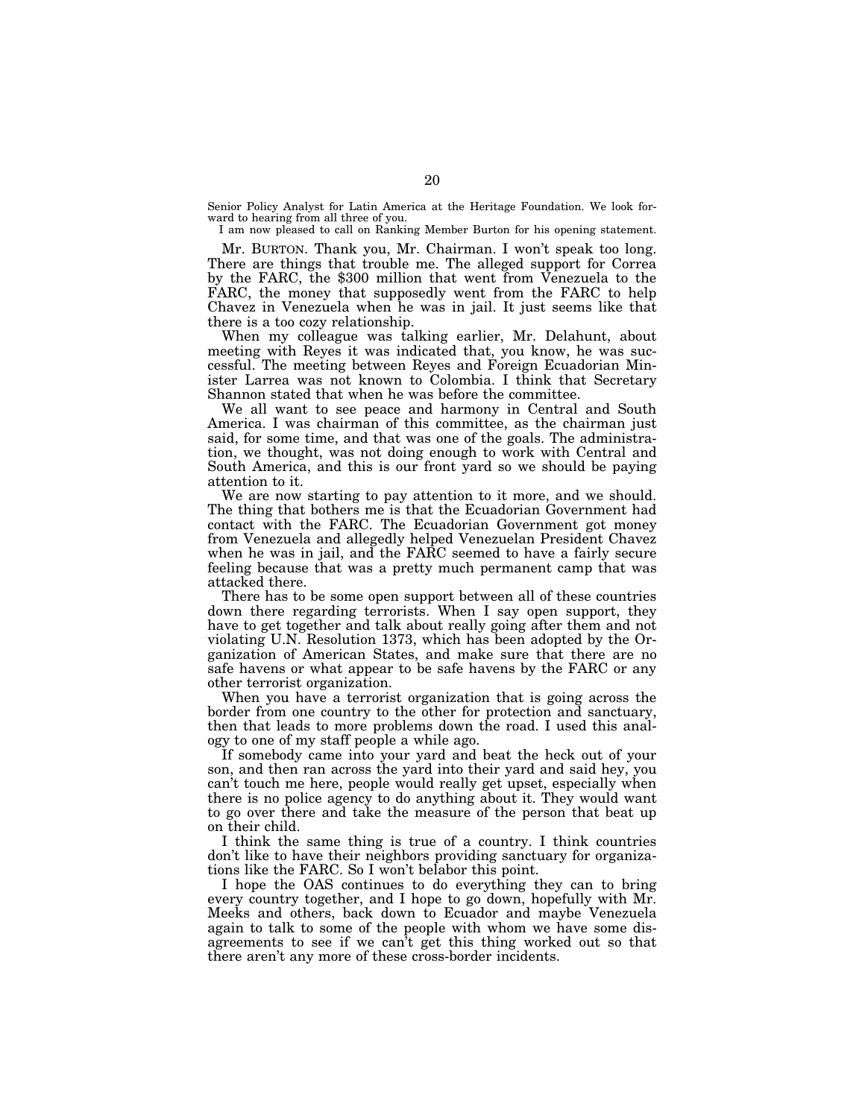Senior Policy Analyst for Latin America at the Heritage Foundation. We look forward to hearing from all three of you.

I am now pleased to call on Ranking Member Burton for his opening statement.

Mr. BURTON. Thank you, Mr. Chairman. I won't speak too long. There are things that trouble me. The alleged support for Correa by the FARC, the \$300 million that went from Venezuela to the FARC, the money that supposedly went from the FARC to help Chavez in Venezuela when he was in jail. It just seems like that there is a too cozy relationship.

When my colleague was talking earlier, Mr. Delahunt, about meeting with Reyes it was indicated that, you know, he was successful. The meeting between Reyes and Foreign Ecuadorian Minister Larrea was not known to Colombia. I think that Secretary Shannon stated that when he was before the committee.

We all want to see peace and harmony in Central and South America. I was chairman of this committee, as the chairman just said, for some time, and that was one of the goals. The administration, we thought, was not doing enough to work with Central and South America, and this is our front yard so we should be paying attention to it.

We are now starting to pay attention to it more, and we should. The thing that bothers me is that the Ecuadorian Government had contact with the FARC. The Ecuadorian Government got money from Venezuela and allegedly helped Venezuelan President Chavez when he was in jail, and the FARC seemed to have a fairly secure feeling because that was a pretty much permanent camp that was attacked there.

There has to be some open support between all of these countries down there regarding terrorists. When I say open support, they have to get together and talk about really going after them and not violating U.N. Resolution 1373, which has been adopted by the Organization of American States, and make sure that there are no safe havens or what appear to be safe havens by the FARC or any other terrorist organization.

When you have a terrorist organization that is going across the border from one country to the other for protection and sanctuary, then that leads to more problems down the road. I used this analogy to one of my staff people a while ago.

If somebody came into your yard and beat the heck out of your son, and then ran across the yard into their yard and said hey, you can't touch me here, people would really get upset, especially when there is no police agency to do anything about it. They would want to go over there and take the measure of the person that beat up on their child.

I think the same thing is true of a country. I think countries don't like to have their neighbors providing sanctuary for organizations like the FARC. So I won't belabor this point.

I hope the OAS continues to do everything they can to bring every country together, and I hope to go down, hopefully with Mr. Meeks and others, back down to Ecuador and maybe Venezuela again to talk to some of the people with whom we have some disagreements to see if we can't get this thing worked out so that there aren't any more of these cross-border incidents.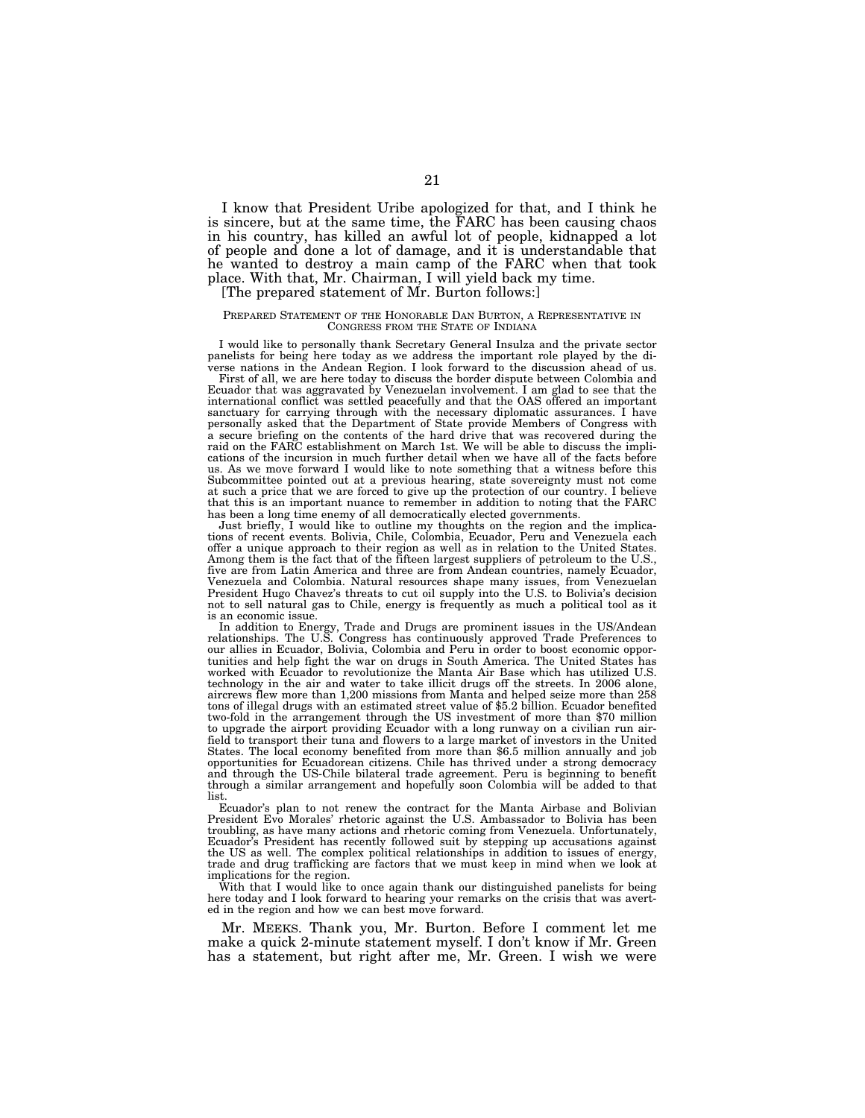I know that President Uribe apologized for that, and I think he is sincere, but at the same time, the FARC has been causing chaos in his country, has killed an awful lot of people, kidnapped a lot of people and done a lot of damage, and it is understandable that he wanted to destroy a main camp of the FARC when that took place. With that, Mr. Chairman, I will yield back my time.

## [The prepared statement of Mr. Burton follows:]

#### PREPARED STATEMENT OF THE HONORABLE DAN BURTON, A REPRESENTATIVE IN CONGRESS FROM THE STATE OF INDIANA

I would like to personally thank Secretary General Insulza and the private sector panelists for being here today as we address the important role played by the diverse nations in the Andean Region. I look forward to the discussion ahead of us.

First of all, we are here today to discuss the border dispute between Colombia and Ecuador that was aggravated by Venezuelan involvement. I am glad to see that the international conflict was settled peacefully and that the OAS offered an important sanctuary for carrying through with the necessary diplomatic assurances. I have personally asked that the Department of State provide Members of Congress with a secure briefing on the contents of the hard drive that was recovered during the raid on the FARC establishment on March 1st. We will be able to discuss the implications of the incursion in much further detail when we have all of the facts before us. As we move forward I would like to note something that a witness before this Subcommittee pointed out at a previous hearing, state sovereignty must not come at such a price that we are forced to give up the protection of our country. I believe that this is an important nuance to remember in addition to noting that the FARC has been a long time enemy of all democratically elected governments.

Just briefly, I would like to outline my thoughts on the region and the implications of recent events. Bolivia, Chile, Colombia, Ecuador, Peru and Venezuela each offer a unique approach to their region as well as in relation to the United States. Among them is the fact that of the fifteen largest suppliers of petroleum to the U.S., five are from Latin America and three are from Andean countries, namely Ecuador, Venezuela and Colombia. Natural resources shape many issues, from Venezuelan President Hugo Chavez's threats to cut oil supply into the U.S. to Bolivia's decision not to sell natural gas to Chile, energy is frequently as much a political tool as it is an economic issue.

In addition to Energy, Trade and Drugs are prominent issues in the US/Andean relationships. The U.S. Congress has continuously approved Trade Preferences to our allies in Ecuador, Bolivia, Colombia and Peru in order to boost economic opportunities and help fight the war on drugs in South America. The United States has worked with Ecuador to revolutionize the Manta Air Base which has utilized U.S. technology in the air and water to take illicit drugs off the streets. In 2006 alone, aircrews flew more than 1,200 missions from Manta and helped seize more than 258 tons of illegal drugs with an estimated street value of \$5.2 billion. Ecuador benefited two-fold in the arrangement through the US investment of more than \$70 million to upgrade the airport providing Ecuador with a long runway on a civilian run airfield to transport their tuna and flowers to a large market of investors in the United States. The local economy benefited from more than \$6.5 million annually and job opportunities for Ecuadorean citizens. Chile has thrived under a strong democracy and through the US-Chile bilateral trade agreement. Peru is beginning to benefit through a similar arrangement and hopefully soon Colombia will be added to that list.

Ecuador's plan to not renew the contract for the Manta Airbase and Bolivian President Evo Morales' rhetoric against the U.S. Ambassador to Bolivia has been troubling, as have many actions and rhetoric coming from Venezuela. Unfortunately, Ecuador's President has recently followed suit by stepping up accusations against the US as well. The complex political relationships in addition to issues of energy, trade and drug trafficking are factors that we must keep in mind when we look at implications for the region.

With that I would like to once again thank our distinguished panelists for being here today and I look forward to hearing your remarks on the crisis that was averted in the region and how we can best move forward.

Mr. MEEKS. Thank you, Mr. Burton. Before I comment let me make a quick 2-minute statement myself. I don't know if Mr. Green has a statement, but right after me, Mr. Green. I wish we were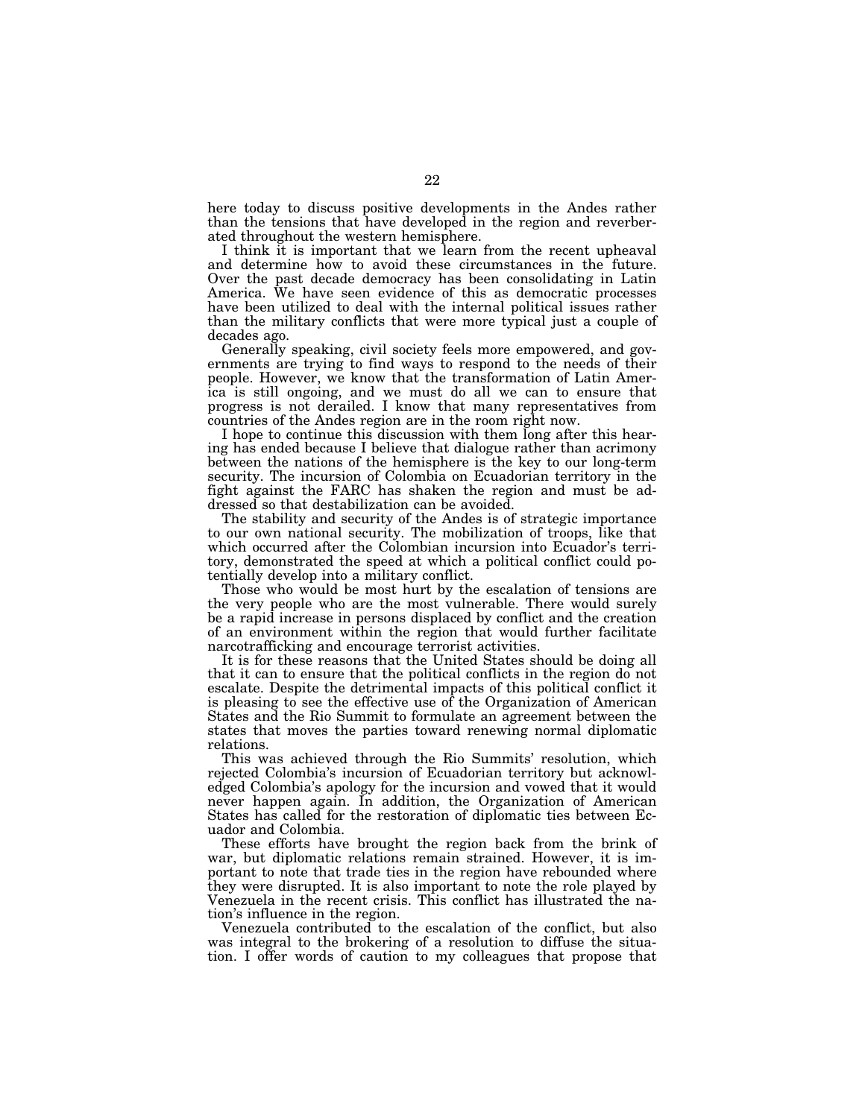here today to discuss positive developments in the Andes rather than the tensions that have developed in the region and reverberated throughout the western hemisphere.

I think it is important that we learn from the recent upheaval and determine how to avoid these circumstances in the future. Over the past decade democracy has been consolidating in Latin America. We have seen evidence of this as democratic processes have been utilized to deal with the internal political issues rather than the military conflicts that were more typical just a couple of decades ago.

Generally speaking, civil society feels more empowered, and governments are trying to find ways to respond to the needs of their people. However, we know that the transformation of Latin America is still ongoing, and we must do all we can to ensure that progress is not derailed. I know that many representatives from countries of the Andes region are in the room right now.

I hope to continue this discussion with them long after this hearing has ended because I believe that dialogue rather than acrimony between the nations of the hemisphere is the key to our long-term security. The incursion of Colombia on Ecuadorian territory in the fight against the FARC has shaken the region and must be addressed so that destabilization can be avoided.

The stability and security of the Andes is of strategic importance to our own national security. The mobilization of troops, like that which occurred after the Colombian incursion into Ecuador's territory, demonstrated the speed at which a political conflict could potentially develop into a military conflict.

Those who would be most hurt by the escalation of tensions are the very people who are the most vulnerable. There would surely be a rapid increase in persons displaced by conflict and the creation of an environment within the region that would further facilitate narcotrafficking and encourage terrorist activities.

It is for these reasons that the United States should be doing all that it can to ensure that the political conflicts in the region do not escalate. Despite the detrimental impacts of this political conflict it is pleasing to see the effective use of the Organization of American States and the Rio Summit to formulate an agreement between the states that moves the parties toward renewing normal diplomatic relations.

This was achieved through the Rio Summits' resolution, which rejected Colombia's incursion of Ecuadorian territory but acknowledged Colombia's apology for the incursion and vowed that it would never happen again. In addition, the Organization of American States has called for the restoration of diplomatic ties between Ecuador and Colombia.

These efforts have brought the region back from the brink of war, but diplomatic relations remain strained. However, it is important to note that trade ties in the region have rebounded where they were disrupted. It is also important to note the role played by Venezuela in the recent crisis. This conflict has illustrated the nation's influence in the region.

Venezuela contributed to the escalation of the conflict, but also was integral to the brokering of a resolution to diffuse the situation. I offer words of caution to my colleagues that propose that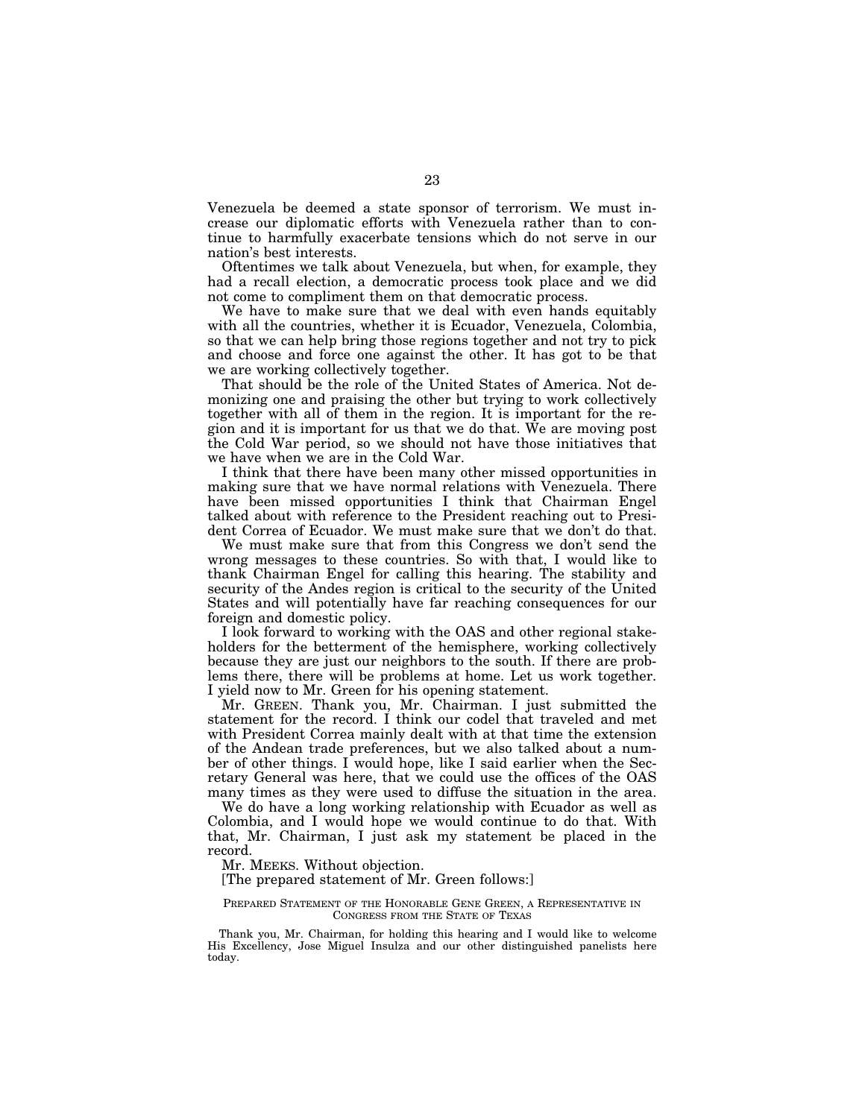Venezuela be deemed a state sponsor of terrorism. We must increase our diplomatic efforts with Venezuela rather than to continue to harmfully exacerbate tensions which do not serve in our nation's best interests.

Oftentimes we talk about Venezuela, but when, for example, they had a recall election, a democratic process took place and we did not come to compliment them on that democratic process.

We have to make sure that we deal with even hands equitably with all the countries, whether it is Ecuador, Venezuela, Colombia, so that we can help bring those regions together and not try to pick and choose and force one against the other. It has got to be that we are working collectively together.

That should be the role of the United States of America. Not demonizing one and praising the other but trying to work collectively together with all of them in the region. It is important for the region and it is important for us that we do that. We are moving post the Cold War period, so we should not have those initiatives that we have when we are in the Cold War.

I think that there have been many other missed opportunities in making sure that we have normal relations with Venezuela. There have been missed opportunities I think that Chairman Engel talked about with reference to the President reaching out to President Correa of Ecuador. We must make sure that we don't do that.

We must make sure that from this Congress we don't send the wrong messages to these countries. So with that, I would like to thank Chairman Engel for calling this hearing. The stability and security of the Andes region is critical to the security of the United States and will potentially have far reaching consequences for our foreign and domestic policy.

I look forward to working with the OAS and other regional stakeholders for the betterment of the hemisphere, working collectively because they are just our neighbors to the south. If there are problems there, there will be problems at home. Let us work together. I yield now to Mr. Green for his opening statement.

Mr. GREEN. Thank you, Mr. Chairman. I just submitted the statement for the record. I think our codel that traveled and met with President Correa mainly dealt with at that time the extension of the Andean trade preferences, but we also talked about a number of other things. I would hope, like I said earlier when the Secretary General was here, that we could use the offices of the OAS many times as they were used to diffuse the situation in the area.

We do have a long working relationship with Ecuador as well as Colombia, and I would hope we would continue to do that. With that, Mr. Chairman, I just ask my statement be placed in the record.

Mr. MEEKS. Without objection.

### [The prepared statement of Mr. Green follows:]

#### PREPARED STATEMENT OF THE HONORABLE GENE GREEN, A REPRESENTATIVE IN CONGRESS FROM THE STATE OF TEXAS

Thank you, Mr. Chairman, for holding this hearing and I would like to welcome His Excellency, Jose Miguel Insulza and our other distinguished panelists here today.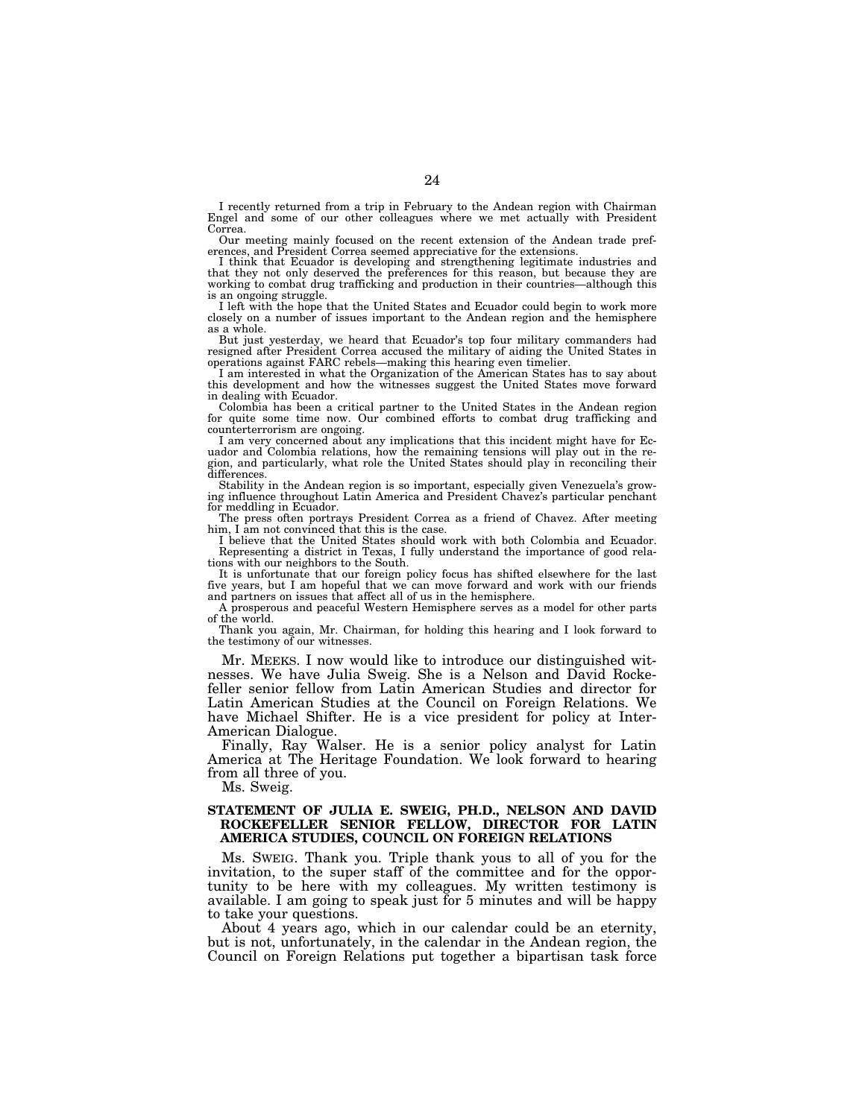I recently returned from a trip in February to the Andean region with Chairman Engel and some of our other colleagues where we met actually with President Correa.

Our meeting mainly focused on the recent extension of the Andean trade preferences, and President Correa seemed appreciative for the extensions.

I think that Ecuador is developing and strengthening legitimate industries and that they not only deserved the preferences for this reason, but because they are working to combat drug trafficking and production in their countries—although this is an ongoing struggle.

I left with the hope that the United States and Ecuador could begin to work more closely on a number of issues important to the Andean region and the hemisphere as a whole.

But just yesterday, we heard that Ecuador's top four military commanders had resigned after President Correa accused the military of aiding the United States in operations against FARC rebels—making this hearing even timelier.

I am interested in what the Organization of the American States has to say about this development and how the witnesses suggest the United States move forward in dealing with Ecuador.

Colombia has been a critical partner to the United States in the Andean region for quite some time now. Our combined efforts to combat drug trafficking and counterterrorism are ongoing.

I am very concerned about any implications that this incident might have for Ec-uador and Colombia relations, how the remaining tensions will play out in the region, and particularly, what role the United States should play in reconciling their differences.

Stability in the Andean region is so important, especially given Venezuela's grow-ing influence throughout Latin America and President Chavez's particular penchant for meddling in Ecuador. The press often portrays President Correa as a friend of Chavez. After meeting

him, I am not convinced that this is the case.

I believe that the United States should work with both Colombia and Ecuador. Representing a district in Texas, I fully understand the importance of good relations with our neighbors to the South.

It is unfortunate that our foreign policy focus has shifted elsewhere for the last five years, but I am hopeful that we can move forward and work with our friends and partners on issues that affect all of us in the hemisphere.

A prosperous and peaceful Western Hemisphere serves as a model for other parts of the world.

Thank you again, Mr. Chairman, for holding this hearing and I look forward to the testimony of our witnesses.

Mr. MEEKS. I now would like to introduce our distinguished witnesses. We have Julia Sweig. She is a Nelson and David Rockefeller senior fellow from Latin American Studies and director for Latin American Studies at the Council on Foreign Relations. We have Michael Shifter. He is a vice president for policy at Inter-American Dialogue.

Finally, Ray Walser. He is a senior policy analyst for Latin America at The Heritage Foundation. We look forward to hearing from all three of you.

Ms. Sweig.

## **STATEMENT OF JULIA E. SWEIG, PH.D., NELSON AND DAVID ROCKEFELLER SENIOR FELLOW, DIRECTOR FOR LATIN AMERICA STUDIES, COUNCIL ON FOREIGN RELATIONS**

Ms. SWEIG. Thank you. Triple thank yous to all of you for the invitation, to the super staff of the committee and for the opportunity to be here with my colleagues. My written testimony is available. I am going to speak just for 5 minutes and will be happy to take your questions.

About 4 years ago, which in our calendar could be an eternity, but is not, unfortunately, in the calendar in the Andean region, the Council on Foreign Relations put together a bipartisan task force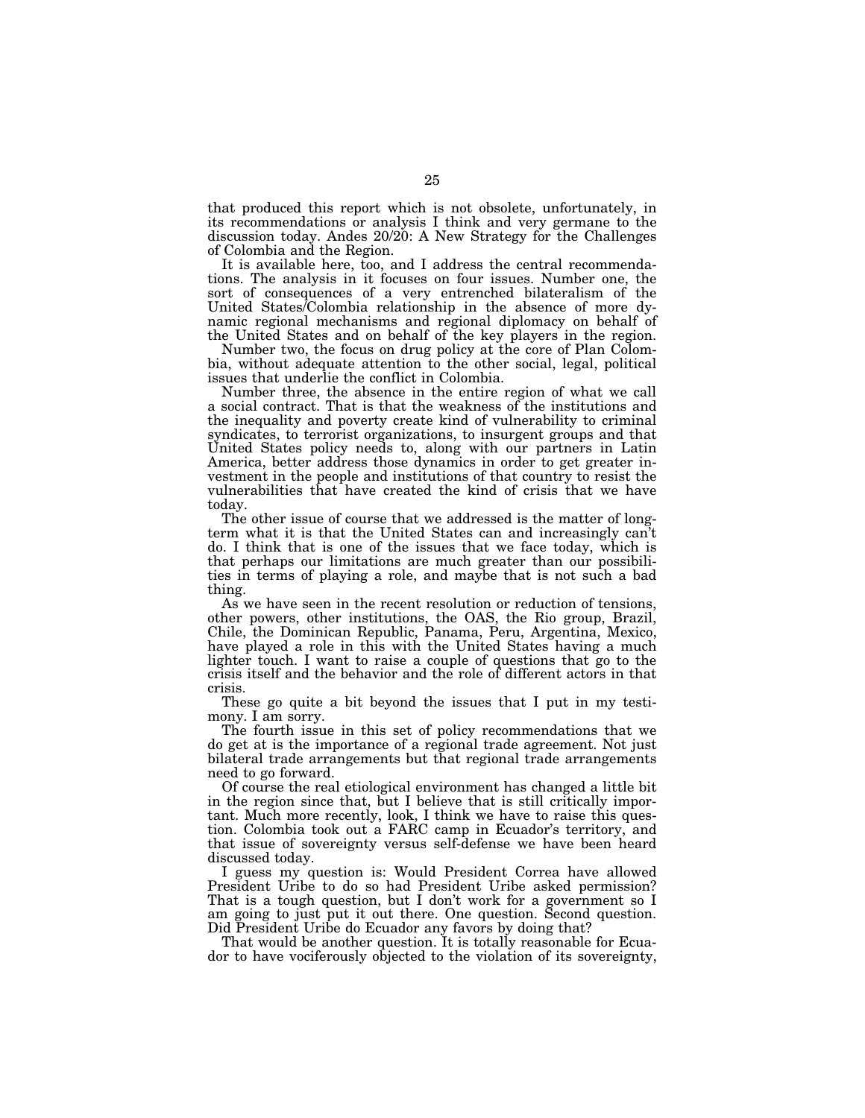that produced this report which is not obsolete, unfortunately, in its recommendations or analysis I think and very germane to the discussion today. Andes 20/20: A New Strategy for the Challenges of Colombia and the Region.

It is available here, too, and I address the central recommendations. The analysis in it focuses on four issues. Number one, the sort of consequences of a very entrenched bilateralism of the United States/Colombia relationship in the absence of more dynamic regional mechanisms and regional diplomacy on behalf of the United States and on behalf of the key players in the region.

Number two, the focus on drug policy at the core of Plan Colombia, without adequate attention to the other social, legal, political issues that underlie the conflict in Colombia.

Number three, the absence in the entire region of what we call a social contract. That is that the weakness of the institutions and the inequality and poverty create kind of vulnerability to criminal syndicates, to terrorist organizations, to insurgent groups and that United States policy needs to, along with our partners in Latin America, better address those dynamics in order to get greater investment in the people and institutions of that country to resist the vulnerabilities that have created the kind of crisis that we have today.

The other issue of course that we addressed is the matter of longterm what it is that the United States can and increasingly can't do. I think that is one of the issues that we face today, which is that perhaps our limitations are much greater than our possibilities in terms of playing a role, and maybe that is not such a bad thing.

As we have seen in the recent resolution or reduction of tensions, other powers, other institutions, the OAS, the Rio group, Brazil, Chile, the Dominican Republic, Panama, Peru, Argentina, Mexico, have played a role in this with the United States having a much lighter touch. I want to raise a couple of questions that go to the crisis itself and the behavior and the role of different actors in that crisis.

These go quite a bit beyond the issues that I put in my testimony. I am sorry.

The fourth issue in this set of policy recommendations that we do get at is the importance of a regional trade agreement. Not just bilateral trade arrangements but that regional trade arrangements need to go forward.

Of course the real etiological environment has changed a little bit in the region since that, but I believe that is still critically important. Much more recently, look, I think we have to raise this question. Colombia took out a FARC camp in Ecuador's territory, and that issue of sovereignty versus self-defense we have been heard discussed today.

I guess my question is: Would President Correa have allowed President Uribe to do so had President Uribe asked permission? That is a tough question, but I don't work for a government so I am going to just put it out there. One question. Second question. Did President Uribe do Ecuador any favors by doing that?

That would be another question. It is totally reasonable for Ecuador to have vociferously objected to the violation of its sovereignty,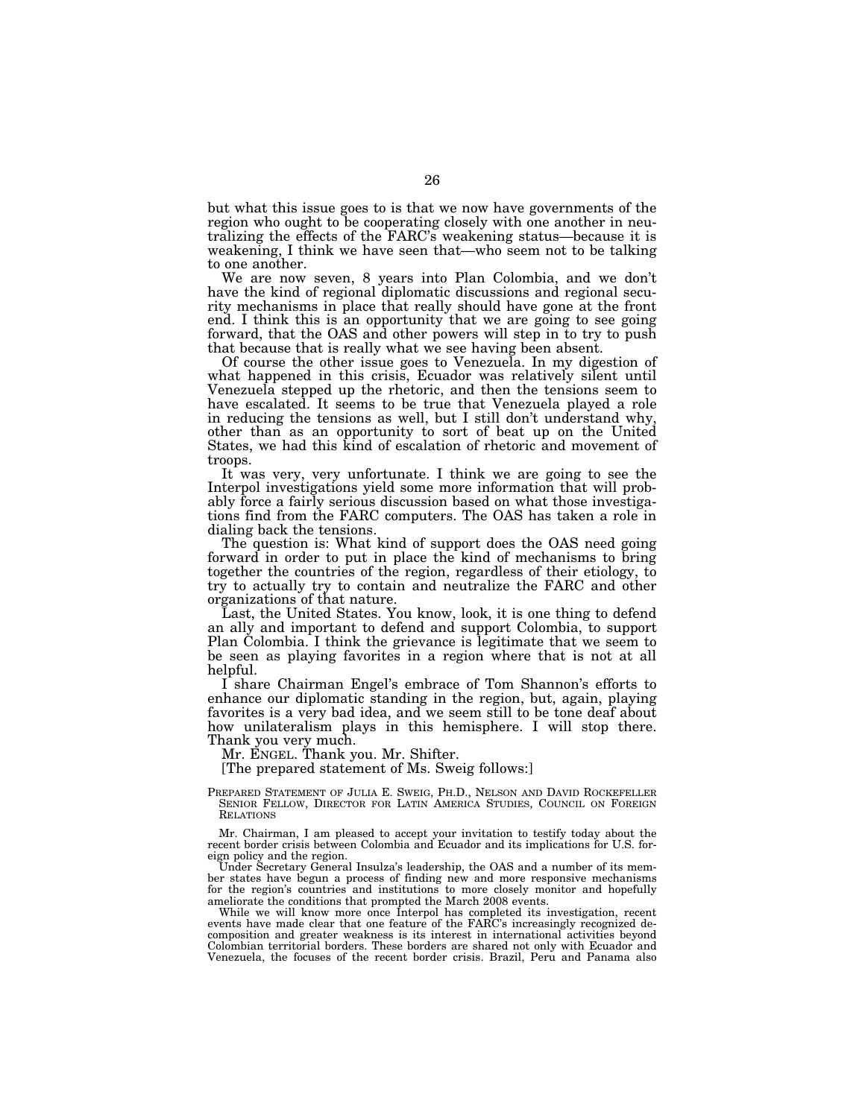but what this issue goes to is that we now have governments of the region who ought to be cooperating closely with one another in neutralizing the effects of the FARC's weakening status—because it is weakening, I think we have seen that—who seem not to be talking to one another.

We are now seven, 8 years into Plan Colombia, and we don't have the kind of regional diplomatic discussions and regional security mechanisms in place that really should have gone at the front end. I think this is an opportunity that we are going to see going forward, that the OAS and other powers will step in to try to push that because that is really what we see having been absent.

Of course the other issue goes to Venezuela. In my digestion of what happened in this crisis, Ecuador was relatively silent until Venezuela stepped up the rhetoric, and then the tensions seem to have escalated. It seems to be true that Venezuela played a role in reducing the tensions as well, but I still don't understand why, other than as an opportunity to sort of beat up on the United States, we had this kind of escalation of rhetoric and movement of troops.

It was very, very unfortunate. I think we are going to see the Interpol investigations yield some more information that will probably force a fairly serious discussion based on what those investigations find from the FARC computers. The OAS has taken a role in dialing back the tensions.

The question is: What kind of support does the OAS need going forward in order to put in place the kind of mechanisms to bring together the countries of the region, regardless of their etiology, to try to actually try to contain and neutralize the FARC and other organizations of that nature.

Last, the United States. You know, look, it is one thing to defend an ally and important to defend and support Colombia, to support Plan Colombia. I think the grievance is legitimate that we seem to be seen as playing favorites in a region where that is not at all helpful.

I share Chairman Engel's embrace of Tom Shannon's efforts to enhance our diplomatic standing in the region, but, again, playing favorites is a very bad idea, and we seem still to be tone deaf about how unilateralism plays in this hemisphere. I will stop there. Thank you very much.

Mr. ENGEL. Thank you. Mr. Shifter.

[The prepared statement of Ms. Sweig follows:]

PREPARED STATEMENT OF JULIA E. SWEIG, PH.D., NELSON AND DAVID ROCKEFELLER SENIOR FELLOW, DIRECTOR FOR LATIN AMERICA STUDIES, COUNCIL ON FOREIGN RELATIONS

Mr. Chairman, I am pleased to accept your invitation to testify today about the recent border crisis between Colombia and Ecuador and its implications for U.S. foreign policy and the region.

Under Secretary General Insulza's leadership, the OAS and a number of its member states have begun a process of finding new and more responsive mechanisms for the region's countries and institutions to more closely monitor and hopefully ameliorate the conditions that prompted the March 2008 events.

While we will know more once Interpol has completed its investigation, recent events have made clear that one feature of the FARC's increasingly recognized decomposition and greater weakness is its interest in international activities beyond Colombian territorial borders. These borders are shared not only with Ecuador and Venezuela, the focuses of the recent border crisis. Brazil, Peru and Panama also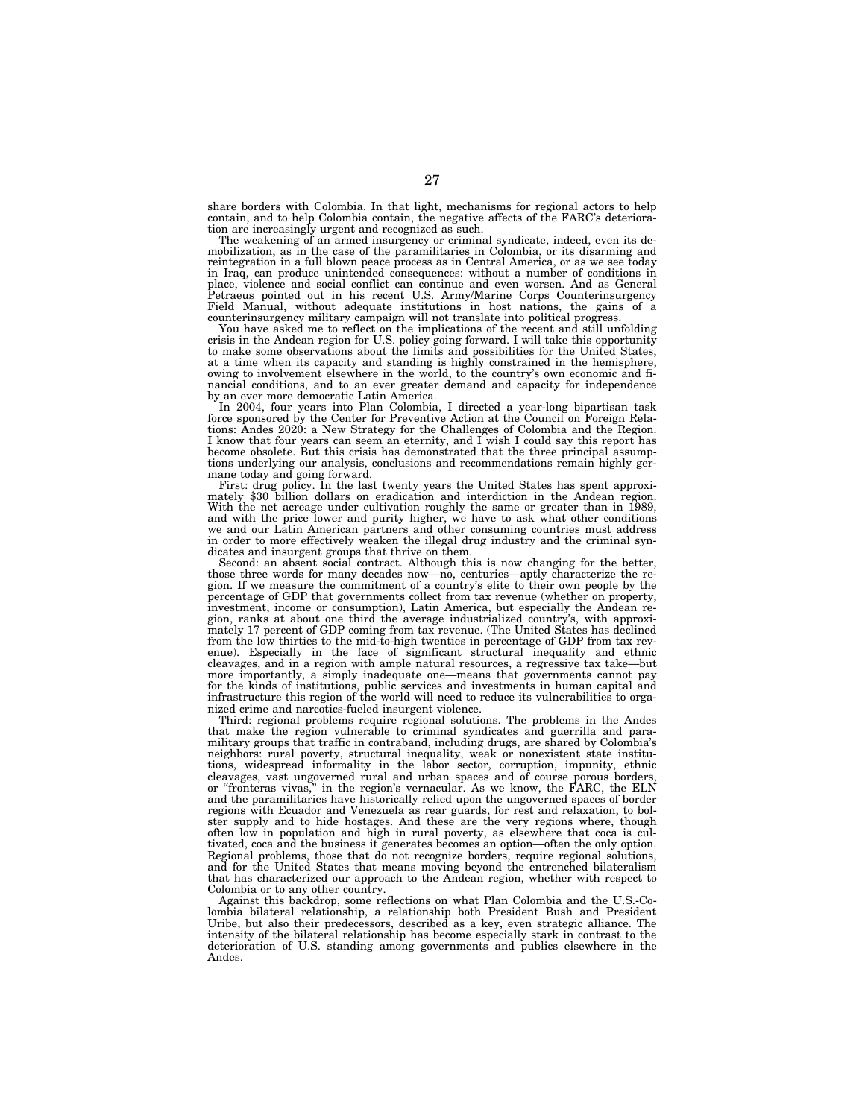share borders with Colombia. In that light, mechanisms for regional actors to help contain, and to help Colombia contain, the negative affects of the FARC's deterioration are increasingly urgent and recognized as such.

The weakening of an armed insurgency or criminal syndicate, indeed, even its demobilization, as in the case of the paramilitaries in Colombia, or its disarming and reintegration in a full blown peace process as in Central America, or as we see today in Iraq, can produce unintended consequences: without a number of conditions in place, violence and social conflict can continue and even worsen. And as General Petraeus pointed out in his recent U.S. Army/Marine Corps Counterinsurgency Field Manual, without adequate institutions in host nations, the gains of a

counterinsurgency military campaign will not translate into political progress. You have asked me to reflect on the implications of the recent and still unfolding crisis in the Andean region for U.S. policy going forward. I will take this opportunity to make some observations about the limits and possibilities for the United States, at a time when its capacity and standing is highly constrained in the hemisphere, owing to involvement elsewhere in the world, to the country's own economic and financial conditions, and to an ever greater demand and capacity for independence by an ever more democratic Latin America.

In 2004, four years into Plan Colombia, I directed a year-long bipartisan task force sponsored by the Center for Preventive Action at the Council on Foreign Rela-tions: Andes 2020: a New Strategy for the Challenges of Colombia and the Region. I know that four years can seem an eternity, and I wish I could say this report has become obsolete. But this crisis has demonstrated that the three principal assumptions underlying our analysis, conclusions and recommendations remain highly ger-mane today and going forward.

First: drug policy. In the last twenty years the United States has spent approxi- mately \$30 billion dollars on eradication and interdiction in the Andean region. With the net acreage under cultivation roughly the same or greater than in 1989, and with the price lower and purity higher, we have to ask what other conditions we and our Latin American partners and other consuming countries must address in order to more effectively weaken the illegal drug industry and the criminal syndicates and insurgent groups that thrive on them.

Second: an absent social contract. Although this is now changing for the better, those three words for many decades now—no, centuries—aptly characterize the region. If we measure the commitment of a country's elite to their own people by the percentage of GDP that governments collect from tax revenue (whether on property, investment, income or consumption), Latin America, but especially the Andean region, ranks at about one third the average industrialized country's, with approximately 17 percent of GDP coming from tax revenue. (The United States has declined from the low thirties to the mid-to-high twenties in percentage of GDP from tax revenue). Especially in the face of significant structural inequality and ethnic cleavages, and in a region with ample natural resources, a regressive tax take—but more importantly, a simply inadequate one—means that governments cannot pay for the kinds of institutions, public services and investments in human capital and infrastructure this region of the world will need to reduce its vulnerabilities to organized crime and narcotics-fueled insurgent violence.

Third: regional problems require regional solutions. The problems in the Andes that make the region vulnerable to criminal syndicates and guerrilla and paramilitary groups that traffic in contraband, including drugs, are shared by Colombia's neighbors: rural poverty, structural inequality, weak or nonexistent state institutions, widespread informality in the labor sector, corruption, impunity, ethnic cleavages, vast ungoverned rural and urban spaces and of course porous borders, or ''fronteras vivas,'' in the region's vernacular. As we know, the FARC, the ELN and the paramilitaries have historically relied upon the ungoverned spaces of border regions with Ecuador and Venezuela as rear guards, for rest and relaxation, to bolster supply and to hide hostages. And these are the very regions where, though often low in population and high in rural poverty, as elsewhere that coca is cultivated, coca and the business it generates becomes an option—often the only option. Regional problems, those that do not recognize borders, require regional solutions, and for the United States that means moving beyond the entrenched bilateralism that has characterized our approach to the Andean region, whether with respect to Colombia or to any other country.

Against this backdrop, some reflections on what Plan Colombia and the U.S.-Colombia bilateral relationship, a relationship both President Bush and President Uribe, but also their predecessors, described as a key, even strategic alliance. The intensity of the bilateral relationship has become especially stark in contrast to the deterioration of U.S. standing among governments and publics elsewhere in the Andes.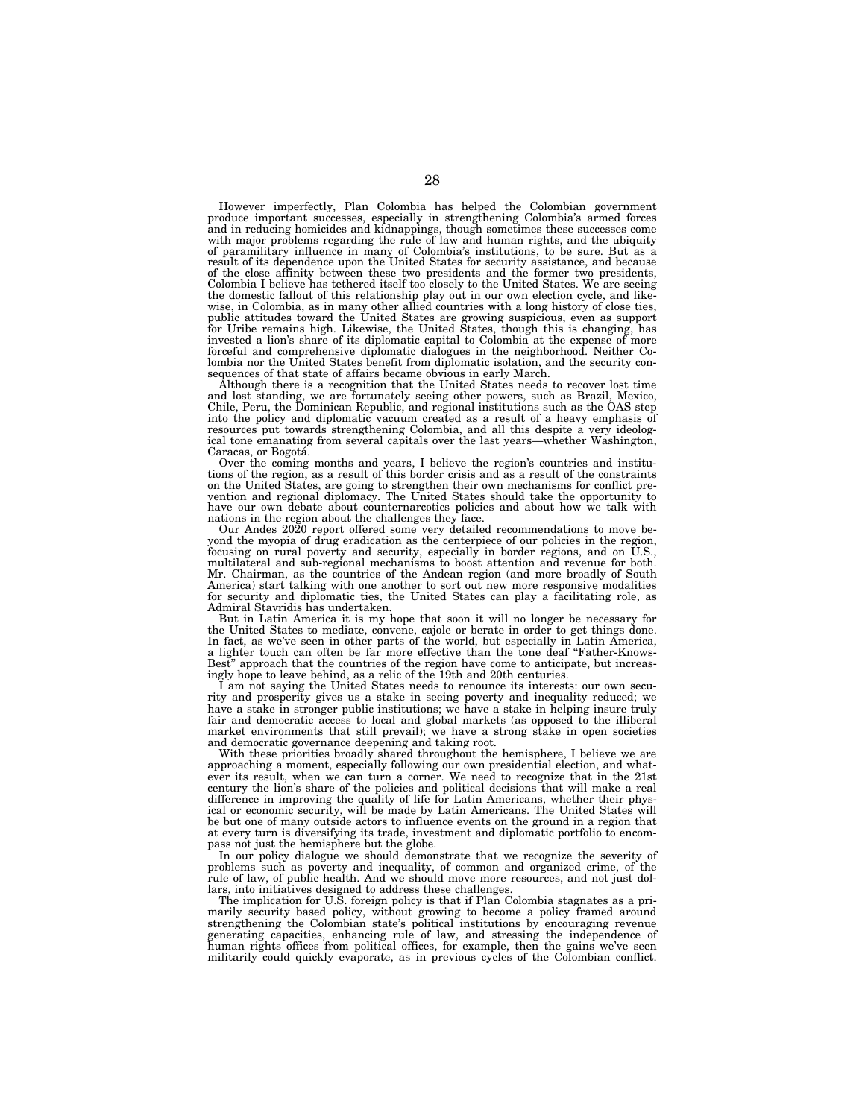However imperfectly, Plan Colombia has helped the Colombian government produce important successes, especially in strengthening Colombia's armed forces and in reducing homicides and kidnappings, though sometimes these successes come with major problems regarding the rule of law and human rights, and the ubiquity of paramilitary influence in many of Colombia's institutions, to be sure. But as a result of its dependence upon the United States for security assistance, and because of the close affinity between these two presidents and the former two presidents, Colombia I believe has tethered itself too closely to the United States. We are seeing the domestic fallout of this relationship play out in our own election cycle, and like-<br>wise, in Colombia, as in many other allied countries with a long history of close ties,<br>public attitudes toward the United States are forceful and comprehensive diplomatic dialogues in the neighborhood. Neither Colombia nor the United States benefit from diplomatic isolation, and the security con-

sequences of that state of affairs became obvious in early March. Although there is a recognition that the United States needs to recover lost time and lost standing, we are fortunately seeing other powers, such as Brazil, Mexico, Chile, Peru, the Dominican Republic, and regional institutions such as the OAS step into the policy and diplomatic vacuum created as a result of a heavy emphasis of resources put towards strengthening Colombia, and all this despite a very ideological tone emanating from several capitals over the last years—whether Washington,

Caracas, or Bogotá.<br>
Over the coming months and years, I believe the region's countries and institu-<br>
tions of the region, as a result of this border crisis and as a result of the constraints on the United States, are going to strengthen their own mechanisms for conflict pre-vention and regional diplomacy. The United States should take the opportunity to have our own debate about counternarcotics policies and about how we talk with nations in the region about the challenges they face.

Our Andes 2020 report offered some very detailed recommendations to move beyond the myopia of drug eradication as the centerpiece of our policies in the region, focusing on rural poverty and security, especially in border regions, and on U.S., multilateral and sub-regional mechanisms to boost attention and revenue for both. Mr. Chairman, as the countries of the Andean region (and more broadly of South America) start talking with one another to sort out new more responsive modalities for security and diplomatic ties, the United States can play a facilitating role, as Admiral Stavridis has undertaken.

But in Latin America it is my hope that soon it will no longer be necessary for the United States to mediate, convene, cajole or berate in order to get things done. In fact, as we've seen in other parts of the world, but especially in Latin America, a lighter touch can often be far more effective than the tone deaf "Father-Knows-Best'' approach that the countries of the region have come to anticipate, but increasingly hope to leave behind, as a relic of the 19th and 20th centuries.

I am not saying the United States needs to renounce its interests: our own security and prosperity gives us a stake in seeing poverty and inequality reduced; we have a stake in stronger public institutions; we have a stake in helping insure truly fair and democratic access to local and global markets (as opposed to the illiberal market environments that still prevail); we have a strong stake in open societies and democratic governance deepening and taking root.

With these priorities broadly shared throughout the hemisphere, I believe we are approaching a moment, especially following our own presidential election, and whatever its result, when we can turn a corner. We need to recognize that in the 21st century the lion's share of the policies and political decisions that will make a real difference in improving the quality of life for Latin Americans, whether their physical or economic security, will be made by Latin Americans. The United States will be but one of many outside actors to influence events on the ground in a region that at every turn is diversifying its trade, investment and diplomatic portfolio to encompass not just the hemisphere but the globe.

In our policy dialogue we should demonstrate that we recognize the severity of problems such as poverty and inequality, of common and organized crime, of the rule of law, of public health. And we should move more resources, and not just dollars, into initiatives designed to address these challenges.

The implication for U.S. foreign policy is that if Plan Colombia stagnates as a primarily security based policy, without growing to become a policy framed around strengthening the Colombian state's political institutions by encouraging revenue generating capacities, enhancing rule of law, and stressing the independence of human rights offices from political offices, for example, then the gains we've seen militarily could quickly evaporate, as in previous cycles of the Colombian conflict.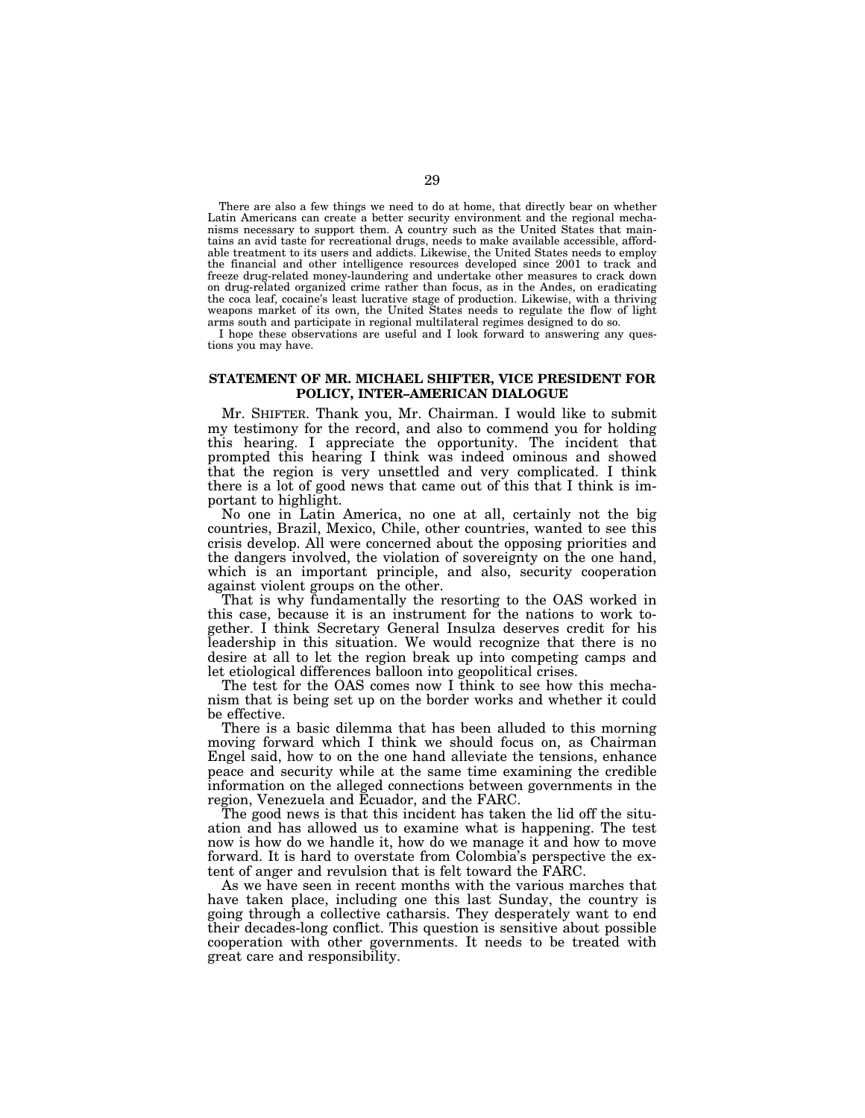There are also a few things we need to do at home, that directly bear on whether Latin Americans can create a better security environment and the regional mechanisms necessary to support them. A country such as the United States that maintains an avid taste for recreational drugs, needs to make available accessible, affordable treatment to its users and addicts. Likewise, the United States needs to employ the financial and other intelligence resources developed since 2001 to track and freeze drug-related money-laundering and undertake other measures to crack down on drug-related organized crime rather than focus, as in the Andes, on eradicating the coca leaf, cocaine's least lucrative stage of production. Likewise, with a thriving weapons market of its own, the United States needs to regulate the flow of light arms south and participate in regional multilateral regimes designed to do so.

I hope these observations are useful and I look forward to answering any questions you may have.

## **STATEMENT OF MR. MICHAEL SHIFTER, VICE PRESIDENT FOR POLICY, INTER–AMERICAN DIALOGUE**

Mr. SHIFTER. Thank you, Mr. Chairman. I would like to submit my testimony for the record, and also to commend you for holding this hearing. I appreciate the opportunity. The incident that prompted this hearing I think was indeed ominous and showed that the region is very unsettled and very complicated. I think there is a lot of good news that came out of this that I think is important to highlight.

No one in Latin America, no one at all, certainly not the big countries, Brazil, Mexico, Chile, other countries, wanted to see this crisis develop. All were concerned about the opposing priorities and the dangers involved, the violation of sovereignty on the one hand, which is an important principle, and also, security cooperation against violent groups on the other.

That is why fundamentally the resorting to the OAS worked in this case, because it is an instrument for the nations to work together. I think Secretary General Insulza deserves credit for his leadership in this situation. We would recognize that there is no desire at all to let the region break up into competing camps and let etiological differences balloon into geopolitical crises.

The test for the OAS comes now I think to see how this mechanism that is being set up on the border works and whether it could be effective.

There is a basic dilemma that has been alluded to this morning moving forward which I think we should focus on, as Chairman Engel said, how to on the one hand alleviate the tensions, enhance peace and security while at the same time examining the credible information on the alleged connections between governments in the region, Venezuela and Ecuador, and the FARC.

The good news is that this incident has taken the lid off the situation and has allowed us to examine what is happening. The test now is how do we handle it, how do we manage it and how to move forward. It is hard to overstate from Colombia's perspective the extent of anger and revulsion that is felt toward the FARC.

As we have seen in recent months with the various marches that have taken place, including one this last Sunday, the country is going through a collective catharsis. They desperately want to end their decades-long conflict. This question is sensitive about possible cooperation with other governments. It needs to be treated with great care and responsibility.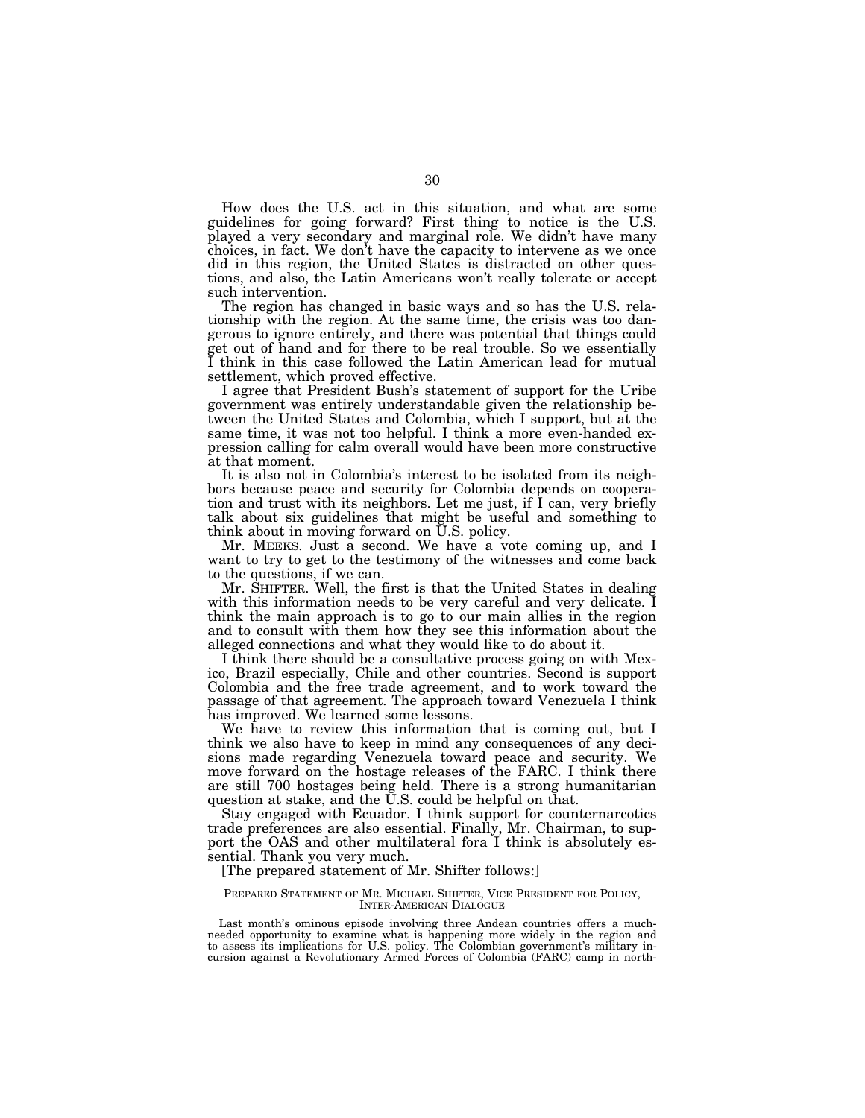How does the U.S. act in this situation, and what are some guidelines for going forward? First thing to notice is the U.S. played a very secondary and marginal role. We didn't have many choices, in fact. We don't have the capacity to intervene as we once did in this region, the United States is distracted on other questions, and also, the Latin Americans won't really tolerate or accept such intervention.

The region has changed in basic ways and so has the U.S. relationship with the region. At the same time, the crisis was too dangerous to ignore entirely, and there was potential that things could get out of hand and for there to be real trouble. So we essentially I think in this case followed the Latin American lead for mutual settlement, which proved effective.

I agree that President Bush's statement of support for the Uribe government was entirely understandable given the relationship between the United States and Colombia, which I support, but at the same time, it was not too helpful. I think a more even-handed expression calling for calm overall would have been more constructive at that moment.

It is also not in Colombia's interest to be isolated from its neighbors because peace and security for Colombia depends on cooperation and trust with its neighbors. Let me just, if I can, very briefly talk about six guidelines that might be useful and something to think about in moving forward on U.S. policy.

Mr. MEEKS. Just a second. We have a vote coming up, and I want to try to get to the testimony of the witnesses and come back to the questions, if we can.

Mr. SHIFTER. Well, the first is that the United States in dealing with this information needs to be very careful and very delicate. I think the main approach is to go to our main allies in the region and to consult with them how they see this information about the alleged connections and what they would like to do about it.

I think there should be a consultative process going on with Mexico, Brazil especially, Chile and other countries. Second is support Colombia and the free trade agreement, and to work toward the passage of that agreement. The approach toward Venezuela I think has improved. We learned some lessons.

We have to review this information that is coming out, but I think we also have to keep in mind any consequences of any decisions made regarding Venezuela toward peace and security. We move forward on the hostage releases of the FARC. I think there are still 700 hostages being held. There is a strong humanitarian question at stake, and the U.S. could be helpful on that.

Stay engaged with Ecuador. I think support for counternarcotics trade preferences are also essential. Finally, Mr. Chairman, to support the OAS and other multilateral fora I think is absolutely essential. Thank you very much.

[The prepared statement of Mr. Shifter follows:]

#### PREPARED STATEMENT OF MR. MICHAEL SHIFTER, VICE PRESIDENT FOR POLICY, INTER-AMERICAN DIALOGUE

Last month's ominous episode involving three Andean countries offers a muchneeded opportunity to examine what is happening more widely in the region and to assess its implications for U.S. policy. The Colombian government's military incursion against a Revolutionary Armed Forces of Colombia (FARC) camp in north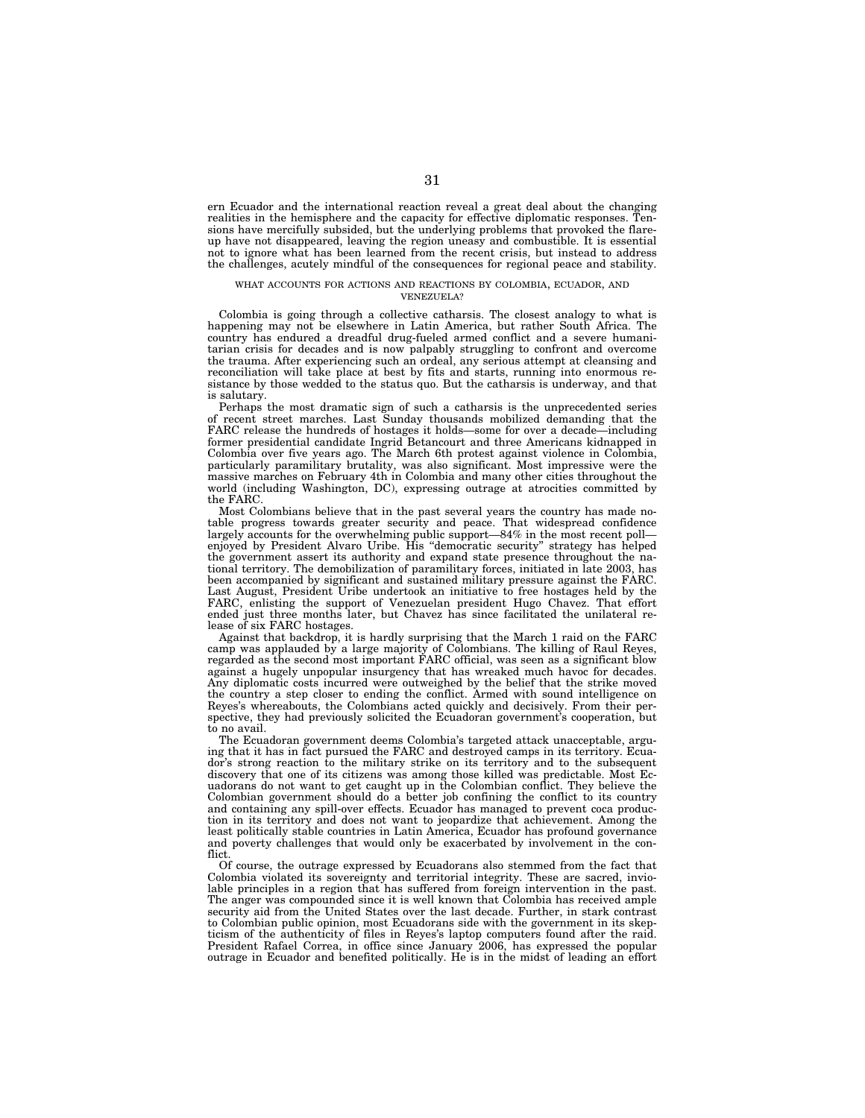ern Ecuador and the international reaction reveal a great deal about the changing realities in the hemisphere and the capacity for effective diplomatic responses. Tensions have mercifully subsided, but the underlying problems that provoked the flareup have not disappeared, leaving the region uneasy and combustible. It is essential not to ignore what has been learned from the recent crisis, but instead to address the challenges, acutely mindful of the consequences for regional peace and stability.

#### WHAT ACCOUNTS FOR ACTIONS AND REACTIONS BY COLOMBIA, ECUADOR, AND VENEZUELA?

Colombia is going through a collective catharsis. The closest analogy to what is happening may not be elsewhere in Latin America, but rather South Africa. The country has endured a dreadful drug-fueled armed conflict and a severe humanitarian crisis for decades and is now palpably struggling to confront and overcome the trauma. After experiencing such an ordeal, any serious attempt at cleansing and reconciliation will take place at best by fits and starts, running into enormous resistance by those wedded to the status quo. But the catharsis is underway, and that is salutary.

Perhaps the most dramatic sign of such a catharsis is the unprecedented series of recent street marches. Last Sunday thousands mobilized demanding that the FARC release the hundreds of hostages it holds—some for over a decade—including former presidential candidate Ingrid Betancourt and three Americans kidnapped in Colombia over five years ago. The March 6th protest against violence in Colombia, particularly paramilitary brutality, was also significant. Most impressive were the massive marches on February 4th in Colombia and many other cities throughout the world (including Washington, DC), expressing outrage at atrocities committed by the FARC.

Most Colombians believe that in the past several years the country has made notable progress towards greater security and peace. That widespread confidence largely accounts for the overwhelming public support—84% in the most recent poll enjoyed by President Alvaro Uribe. His ''democratic security'' strategy has helped the government assert its authority and expand state presence throughout the national territory. The demobilization of paramilitary forces, initiated in late 2003, has been accompanied by significant and sustained military pressure against the FARC. Last August, President Uribe undertook an initiative to free hostages held by the FARC, enlisting the support of Venezuelan president Hugo Chavez. That effort ended just three months later, but Chavez has since facilitated the unilateral release of six FARC hostages.

Against that backdrop, it is hardly surprising that the March 1 raid on the FARC camp was applauded by a large majority of Colombians. The killing of Raul Reyes, regarded as the second most important FARC official, was seen as a significant blow against a hugely unpopular insurgency that has wreaked much havoc for decades. Any diplomatic costs incurred were outweighed by the belief that the strike moved the country a step closer to ending the conflict. Armed with sound intelligence on Reyes's whereabouts, the Colombians acted quickly and decisively. From their perspective, they had previously solicited the Ecuadoran government's cooperation, but to no avail.

The Ecuadoran government deems Colombia's targeted attack unacceptable, arguing that it has in fact pursued the FARC and destroyed camps in its territory. Ecuador's strong reaction to the military strike on its territory and to the subsequent discovery that one of its citizens was among those killed was predictable. Most Ecuadorans do not want to get caught up in the Colombian conflict. They believe the Colombian government should do a better job confining the conflict to its country and containing any spill-over effects. Ecuador has managed to prevent coca production in its territory and does not want to jeopardize that achievement. Among the least politically stable countries in Latin America, Ecuador has profound governance and poverty challenges that would only be exacerbated by involvement in the conflict.

Of course, the outrage expressed by Ecuadorans also stemmed from the fact that Colombia violated its sovereignty and territorial integrity. These are sacred, inviolable principles in a region that has suffered from foreign intervention in the past. The anger was compounded since it is well known that Colombia has received ample security aid from the United States over the last decade. Further, in stark contrast to Colombian public opinion, most Ecuadorans side with the government in its skepticism of the authenticity of files in Reyes's laptop computers found after the raid. President Rafael Correa, in office since January 2006, has expressed the popular outrage in Ecuador and benefited politically. He is in the midst of leading an effort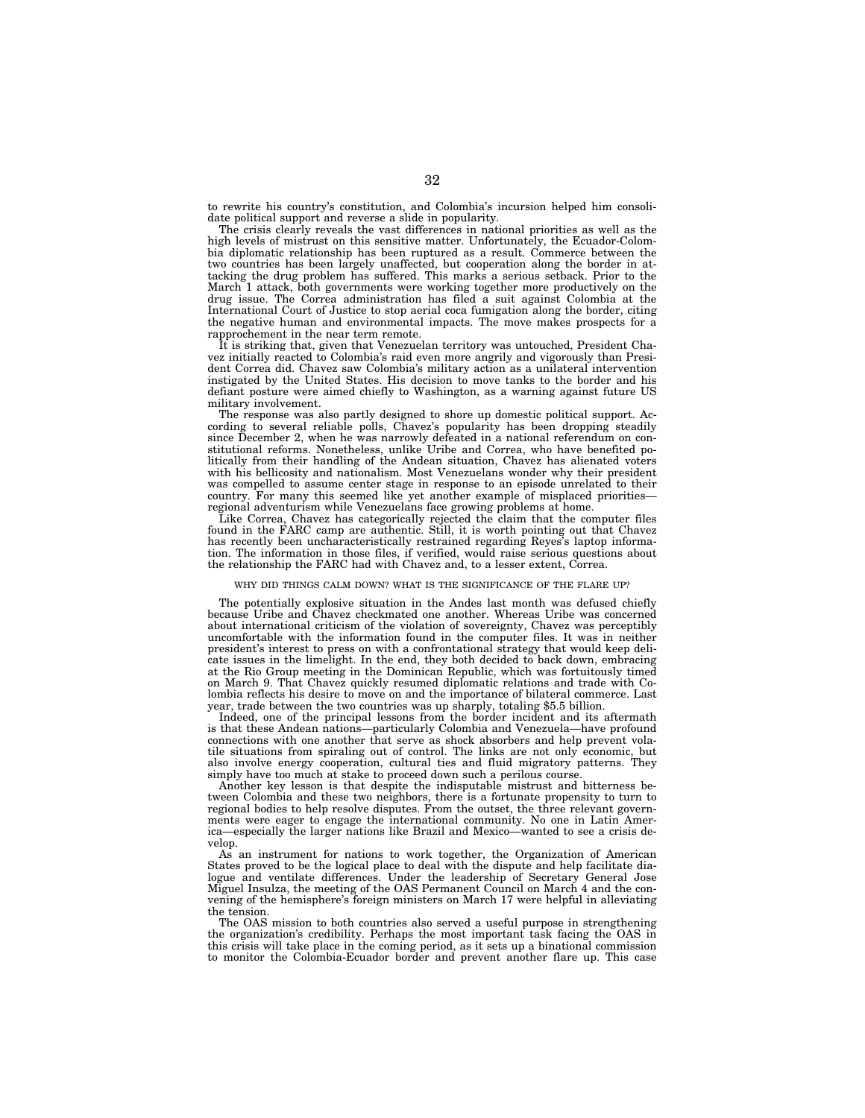to rewrite his country's constitution, and Colombia's incursion helped him consolidate political support and reverse a slide in popularity.

The crisis clearly reveals the vast differences in national priorities as well as the high levels of mistrust on this sensitive matter. Unfortunately, the Ecuador-Colombia diplomatic relationship has been ruptured as a result. Commerce between the two countries has been largely unaffected, but cooperation along the border in attacking the drug problem has suffered. This marks a serious setback. Prior to the March 1 attack, both governments were working together more productively on the drug issue. The Correa administration has filed a suit against Colombia at the International Court of Justice to stop aerial coca fumigation along the border, citing the negative human and environmental impacts. The move makes prospects for a rapprochement in the near term remote.

It is striking that, given that Venezuelan territory was untouched, President Chavez initially reacted to Colombia's raid even more angrily and vigorously than President Correa did. Chavez saw Colombia's military action as a unilateral intervention instigated by the United States. His decision to move tanks to the border and his defiant posture were aimed chiefly to Washington, as a warning against future US military involvement.

The response was also partly designed to shore up domestic political support. According to several reliable polls, Chavez's popularity has been dropping steadily since December 2, when he was narrowly defeated in a national referendum on constitutional reforms. Nonetheless, unlike Uribe and Correa, who have benefited politically from their handling of the Andean situation, Chavez has alienated voters with his bellicosity and nationalism. Most Venezuelans wonder why their president was compelled to assume center stage in response to an episode unrelated to their country. For many this seemed like yet another example of misplaced priorities regional adventurism while Venezuelans face growing problems at home.

Like Correa, Chavez has categorically rejected the claim that the computer files found in the FARC camp are authentic. Still, it is worth pointing out that Chavez has recently been uncharacteristically restrained regarding Reyes's laptop information. The information in those files, if verified, would raise serious questions about the relationship the FARC had with Chavez and, to a lesser extent, Correa.

#### WHY DID THINGS CALM DOWN? WHAT IS THE SIGNIFICANCE OF THE FLARE UP?

The potentially explosive situation in the Andes last month was defused chiefly because Uribe and Chavez checkmated one another. Whereas Uribe was concerned about international criticism of the violation of sovereignty, Chavez was perceptibly uncomfortable with the information found in the computer files. It was in neither president's interest to press on with a confrontational strategy that would keep delicate issues in the limelight. In the end, they both decided to back down, embracing at the Rio Group meeting in the Dominican Republic, which was fortuitously timed on March 9. That Chavez quickly resumed diplomatic relations and trade with Colombia reflects his desire to move on and the importance of bilateral commerce. Last year, trade between the two countries was up sharply, totaling \$5.5 billion.

Indeed, one of the principal lessons from the border incident and its aftermath is that these Andean nations—particularly Colombia and Venezuela—have profound connections with one another that serve as shock absorbers and help prevent volatile situations from spiraling out of control. The links are not only economic, but also involve energy cooperation, cultural ties and fluid migratory patterns. They simply have too much at stake to proceed down such a perilous course

Another key lesson is that despite the indisputable mistrust and bitterness between Colombia and these two neighbors, there is a fortunate propensity to turn to regional bodies to help resolve disputes. From the outset, the three relevant governments were eager to engage the international community. No one in Latin America—especially the larger nations like Brazil and Mexico—wanted to see a crisis develop.

As an instrument for nations to work together, the Organization of American States proved to be the logical place to deal with the dispute and help facilitate dialogue and ventilate differences. Under the leadership of Secretary General Jose Miguel Insulza, the meeting of the OAS Permanent Council on March 4 and the convening of the hemisphere's foreign ministers on March 17 were helpful in alleviating the tension.

The OAS mission to both countries also served a useful purpose in strengthening the organization's credibility. Perhaps the most important task facing the OAS in this crisis will take place in the coming period, as it sets up a binational commission to monitor the Colombia-Ecuador border and prevent another flare up. This case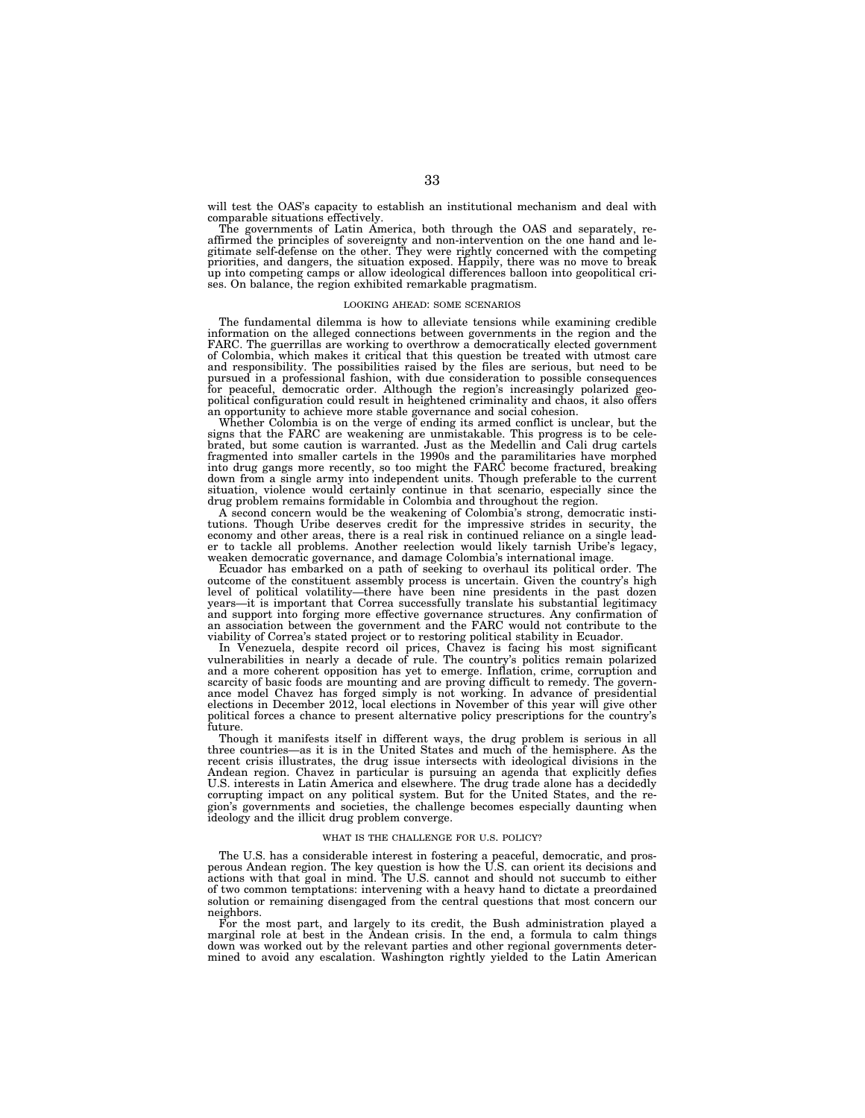will test the OAS's capacity to establish an institutional mechanism and deal with comparable situations effectively.

The governments of Latin America, both through the OAS and separately, reaffirmed the principles of sovereignty and non-intervention on the one hand and le-gitimate self-defense on the other. They were rightly concerned with the competing priorities, and dangers, the situation exposed. Happily, there was no move to break up into competing camps or allow ideological differences balloon into geopolitical crises. On balance, the region exhibited remarkable pragmatism.

#### LOOKING AHEAD: SOME SCENARIOS

The fundamental dilemma is how to alleviate tensions while examining credible information on the alleged connections between governments in the region and the FARC. The guerrillas are working to overthrow a democratically elected government of Colombia, which makes it critical that this question be treated with utmost care and responsibility. The possibilities raised by the files are serious, but need to be pursued in a professional fashion, with due consideration to possible consequences for peaceful, democratic order. Although the region's increasingly polarized geopolitical configuration could result in heightened criminality and chaos, it also offers

an opportunity to achieve more stable governance and social cohesion. Whether Colombia is on the verge of ending its armed conflict is unclear, but the signs that the FARC are weakening are unmistakable. This progress is to be cele-brated, but some caution is warranted. Just as the Medellin and Cali drug cartels fragmented into smaller cartels in the 1990s and the paramilitaries have morphed into drug gangs more recently, so too might the FARC become fractured, breaking down from a single army into independent units. Though preferable to the current situation, violence would certainly continue in that scenario, especially since the drug problem remains formidable in Colombia and throughout the region.

A second concern would be the weakening of Colombia's strong, democratic institutions. Though Uribe deserves credit for the impressive strides in security, the economy and other areas, there is a real risk in continued reliance on a single leader to tackle all problems. Another reelection would likely tarnish Uribe's legacy, weaken democratic governance, and damage Colombia's international image.

Ecuador has embarked on a path of seeking to overhaul its political order. The outcome of the constituent assembly process is uncertain. Given the country's high level of political volatility—there have been nine presidents in the past dozen years—it is important that Correa successfully translate his substantial legitimacy and support into forging more effective governance structures. Any confirmation of an association between the government and the FARC would not contribute to the viability of Correa's stated project or to restoring political stability in Ecuador.

In Venezuela, despite record oil prices, Chavez is facing his most significant vulnerabilities in nearly a decade of rule. The country's politics remain polarized and a more coherent opposition has yet to emerge. Inflation, crime, corruption and scarcity of basic foods are mounting and are proving difficult to remedy. The governance model Chavez has forged simply is not working. In advance of presidential elections in December 2012, local elections in November of this year will give other political forces a chance to present alternative policy prescriptions for the country's future.

Though it manifests itself in different ways, the drug problem is serious in all three countries—as it is in the United States and much of the hemisphere. As the recent crisis illustrates, the drug issue intersects with ideological divisions in the Andean region. Chavez in particular is pursuing an agenda that explicitly defies U.S. interests in Latin America and elsewhere. The drug trade alone has a decidedly corrupting impact on any political system. But for the United States, and the region's governments and societies, the challenge becomes especially daunting when ideology and the illicit drug problem converge.

#### WHAT IS THE CHALLENGE FOR U.S. POLICY?

The U.S. has a considerable interest in fostering a peaceful, democratic, and prosperous Andean region. The key question is how the U.S. can orient its decisions and actions with that goal in mind. The U.S. cannot and should not succumb to either of two common temptations: intervening with a heavy hand to dictate a preordained solution or remaining disengaged from the central questions that most concern our neighbors.

For the most part, and largely to its credit, the Bush administration played a marginal role at best in the Andean crisis. In the end, a formula to calm things down was worked out by the relevant parties and other regional governments determined to avoid any escalation. Washington rightly yielded to the Latin American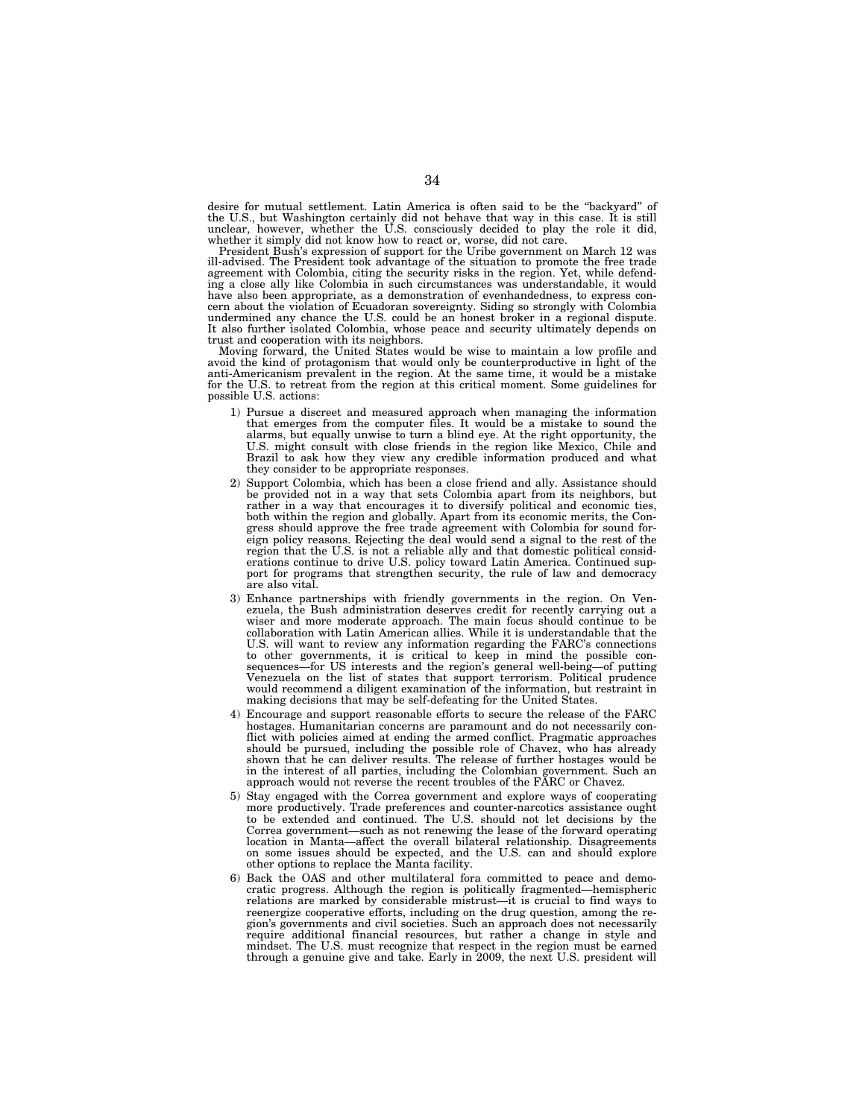desire for mutual settlement. Latin America is often said to be the ''backyard'' of the U.S., but Washington certainly did not behave that way in this case. It is still unclear, however, whether the U.S. consciously decided to play the role it did, whether it simply did not know how to react or, worse, did not care.

President Bush's expression of support for the Uribe government on March 12 was ill-advised. The President took advantage of the situation to promote the free trade agreement with Colombia, citing the security risks in the region. Yet, while defending a close ally like Colombia in such circumstances was understandable, it would have also been appropriate, as a demonstration of evenhandedness, to express concern about the violation of Ecuadoran sovereignty. Siding so strongly with Colombia undermined any chance the U.S. could be an honest broker in a regional dispute. It also further isolated Colombia, whose peace and security ultimately depends on trust and cooperation with its neighbors.

Moving forward, the United States would be wise to maintain a low profile and avoid the kind of protagonism that would only be counterproductive in light of the anti-Americanism prevalent in the region. At the same time, it would be a mistake for the U.S. to retreat from the region at this critical moment. Some guidelines for possible U.S. actions:

- 1) Pursue a discreet and measured approach when managing the information that emerges from the computer files. It would be a mistake to sound the alarms, but equally unwise to turn a blind eye. At the right opportunity, the U.S. might consult with close friends in the region like Mexico, Chile and Brazil to ask how they view any credible information produced and what they consider to be appropriate responses.
- 2) Support Colombia, which has been a close friend and ally. Assistance should be provided not in a way that sets Colombia apart from its neighbors, but rather in a way that encourages it to diversify political and economic ties, both within the region and globally. Apart from its economic merits, the Congress should approve the free trade agreement with Colombia for sound foreign policy reasons. Rejecting the deal would send a signal to the rest of the region that the U.S. is not a reliable ally and that domestic political considerations continue to drive U.S. policy toward Latin America. Continued support for programs that strengthen security, the rule of law and democracy are also vital.
- 3) Enhance partnerships with friendly governments in the region. On Venezuela, the Bush administration deserves credit for recently carrying out a wiser and more moderate approach. The main focus should continue to be collaboration with Latin American allies. While it is understandable that the U.S. will want to review any information regarding the FARC's connections to other governments, it is critical to keep in mind the possible consequences—for US interests and the region's general well-being—of putting Venezuela on the list of states that support terrorism. Political prudence would recommend a diligent examination of the information, but restraint in making decisions that may be self-defeating for the United States.
- 4) Encourage and support reasonable efforts to secure the release of the FARC hostages. Humanitarian concerns are paramount and do not necessarily conflict with policies aimed at ending the armed conflict. Pragmatic approaches should be pursued, including the possible role of Chavez, who has already shown that he can deliver results. The release of further hostages would be in the interest of all parties, including the Colombian government. Such an approach would not reverse the recent troubles of the FARC or Chavez.
- 5) Stay engaged with the Correa government and explore ways of cooperating more productively. Trade preferences and counter-narcotics assistance ought to be extended and continued. The U.S. should not let decisions by the Correa government—such as not renewing the lease of the forward operating location in Manta—affect the overall bilateral relationship. Disagreements on some issues should be expected, and the U.S. can and should explore other options to replace the Manta facility.
- 6) Back the OAS and other multilateral fora committed to peace and democratic progress. Although the region is politically fragmented—hemispheric relations are marked by considerable mistrust—it is crucial to find ways to reenergize cooperative efforts, including on the drug question, among the region's governments and civil societies. Such an approach does not necessarily require additional financial resources, but rather a change in style and mindset. The U.S. must recognize that respect in the region must be earned through a genuine give and take. Early in 2009, the next U.S. president will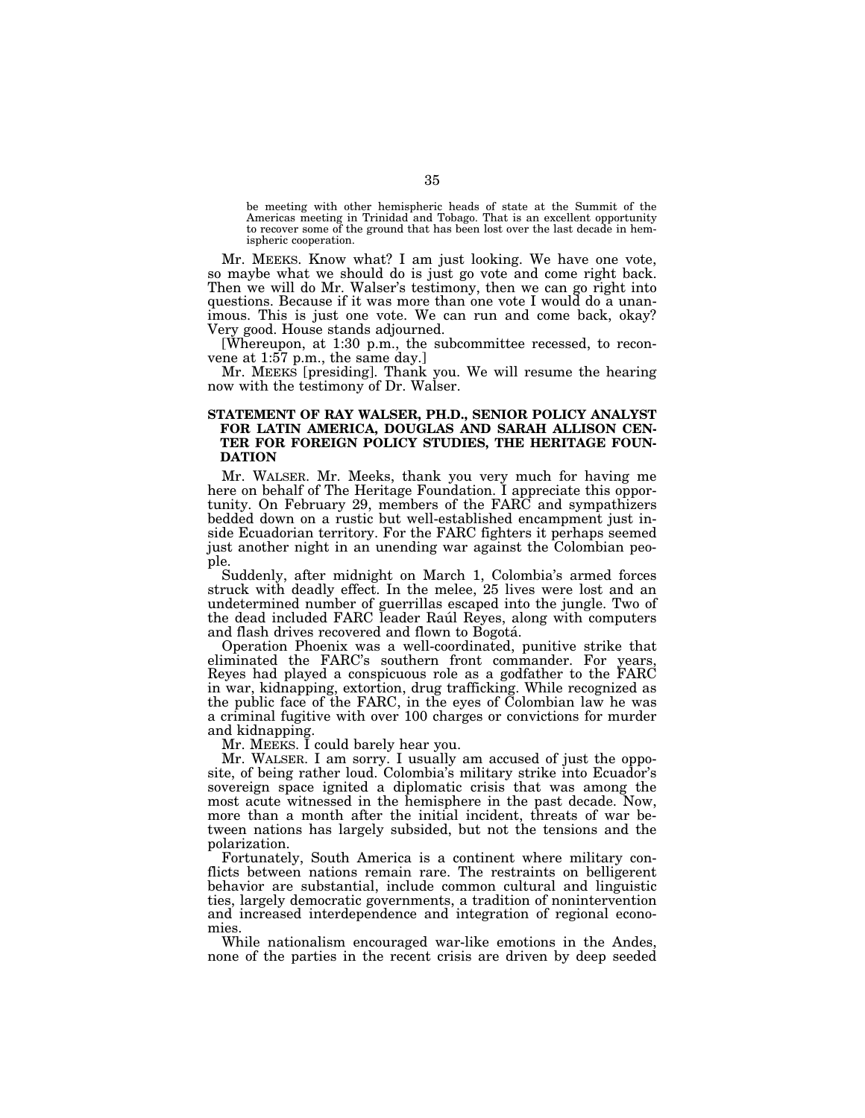be meeting with other hemispheric heads of state at the Summit of the Americas meeting in Trinidad and Tobago. That is an excellent opportunity to recover some of the ground that has been lost over the last decade in hemispheric cooperation.

Mr. MEEKS. Know what? I am just looking. We have one vote, so maybe what we should do is just go vote and come right back. Then we will do Mr. Walser's testimony, then we can go right into questions. Because if it was more than one vote I would do a unanimous. This is just one vote. We can run and come back, okay? Very good. House stands adjourned.

[Whereupon, at 1:30 p.m., the subcommittee recessed, to reconvene at 1:57 p.m., the same day.]

Mr. MEEKS [presiding]. Thank you. We will resume the hearing now with the testimony of Dr. Walser.

## **STATEMENT OF RAY WALSER, PH.D., SENIOR POLICY ANALYST FOR LATIN AMERICA, DOUGLAS AND SARAH ALLISON CEN-TER FOR FOREIGN POLICY STUDIES, THE HERITAGE FOUN-DATION**

Mr. WALSER. Mr. Meeks, thank you very much for having me here on behalf of The Heritage Foundation. I appreciate this opportunity. On February 29, members of the FARC and sympathizers bedded down on a rustic but well-established encampment just inside Ecuadorian territory. For the FARC fighters it perhaps seemed just another night in an unending war against the Colombian people.

Suddenly, after midnight on March 1, Colombia's armed forces struck with deadly effect. In the melee, 25 lives were lost and an undetermined number of guerrillas escaped into the jungle. Two of the dead included FARC leader Rau l Reyes, along with computers and flash drives recovered and flown to Bogotá.<br>
Operation Phoenix was a well-coordinated, punitive strike that

eliminated the FARC's southern front commander. For years, Reyes had played a conspicuous role as a godfather to the FARC in war, kidnapping, extortion, drug trafficking. While recognized as the public face of the FARC, in the eyes of Colombian law he was a criminal fugitive with over 100 charges or convictions for murder and kidnapping.

Mr. MEEKS. I could barely hear you.

Mr. WALSER. I am sorry. I usually am accused of just the opposite, of being rather loud. Colombia's military strike into Ecuador's sovereign space ignited a diplomatic crisis that was among the most acute witnessed in the hemisphere in the past decade. Now, more than a month after the initial incident, threats of war between nations has largely subsided, but not the tensions and the polarization.

Fortunately, South America is a continent where military conflicts between nations remain rare. The restraints on belligerent behavior are substantial, include common cultural and linguistic ties, largely democratic governments, a tradition of nonintervention and increased interdependence and integration of regional economies.

While nationalism encouraged war-like emotions in the Andes, none of the parties in the recent crisis are driven by deep seeded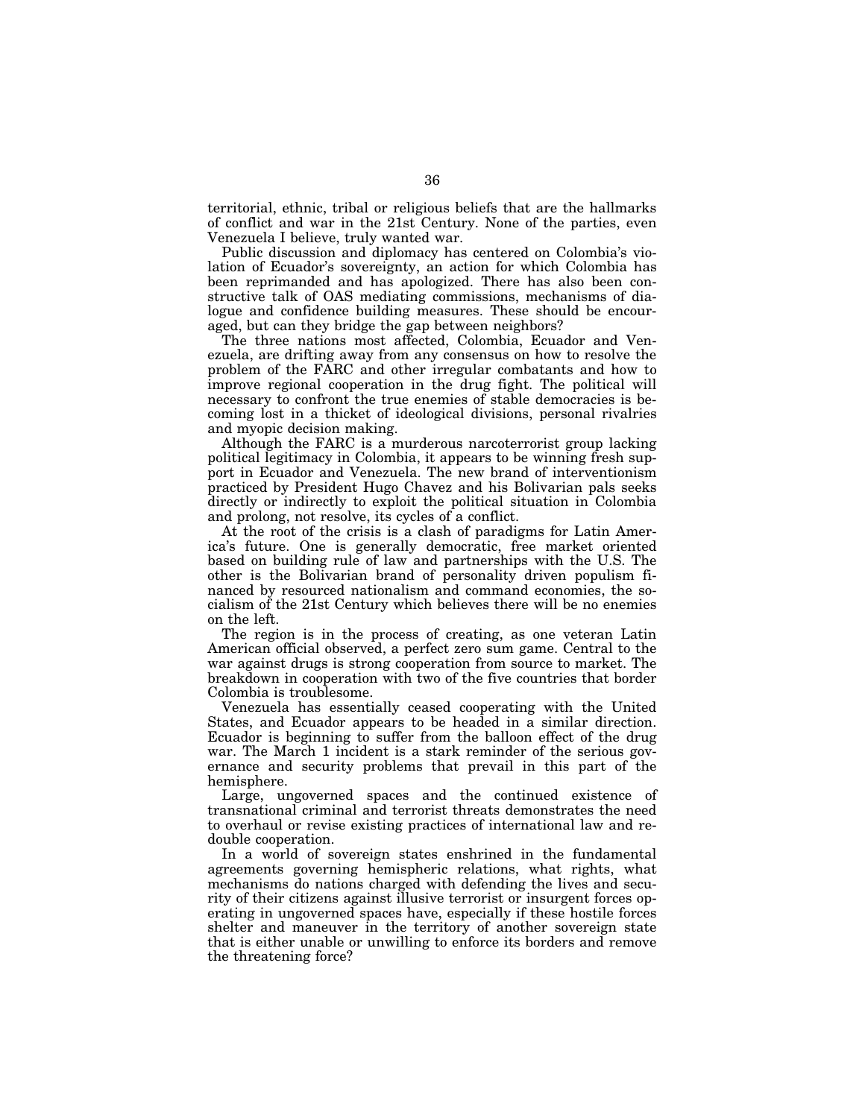territorial, ethnic, tribal or religious beliefs that are the hallmarks of conflict and war in the 21st Century. None of the parties, even Venezuela I believe, truly wanted war.

Public discussion and diplomacy has centered on Colombia's violation of Ecuador's sovereignty, an action for which Colombia has been reprimanded and has apologized. There has also been constructive talk of OAS mediating commissions, mechanisms of dialogue and confidence building measures. These should be encouraged, but can they bridge the gap between neighbors?

The three nations most affected, Colombia, Ecuador and Venezuela, are drifting away from any consensus on how to resolve the problem of the FARC and other irregular combatants and how to improve regional cooperation in the drug fight. The political will necessary to confront the true enemies of stable democracies is becoming lost in a thicket of ideological divisions, personal rivalries and myopic decision making.

Although the FARC is a murderous narcoterrorist group lacking political legitimacy in Colombia, it appears to be winning fresh support in Ecuador and Venezuela. The new brand of interventionism practiced by President Hugo Chavez and his Bolivarian pals seeks directly or indirectly to exploit the political situation in Colombia and prolong, not resolve, its cycles of a conflict.

At the root of the crisis is a clash of paradigms for Latin America's future. One is generally democratic, free market oriented based on building rule of law and partnerships with the U.S. The other is the Bolivarian brand of personality driven populism financed by resourced nationalism and command economies, the socialism of the 21st Century which believes there will be no enemies on the left.

The region is in the process of creating, as one veteran Latin American official observed, a perfect zero sum game. Central to the war against drugs is strong cooperation from source to market. The breakdown in cooperation with two of the five countries that border Colombia is troublesome.

Venezuela has essentially ceased cooperating with the United States, and Ecuador appears to be headed in a similar direction. Ecuador is beginning to suffer from the balloon effect of the drug war. The March 1 incident is a stark reminder of the serious governance and security problems that prevail in this part of the hemisphere.

Large, ungoverned spaces and the continued existence of transnational criminal and terrorist threats demonstrates the need to overhaul or revise existing practices of international law and redouble cooperation.

In a world of sovereign states enshrined in the fundamental agreements governing hemispheric relations, what rights, what mechanisms do nations charged with defending the lives and security of their citizens against illusive terrorist or insurgent forces operating in ungoverned spaces have, especially if these hostile forces shelter and maneuver in the territory of another sovereign state that is either unable or unwilling to enforce its borders and remove the threatening force?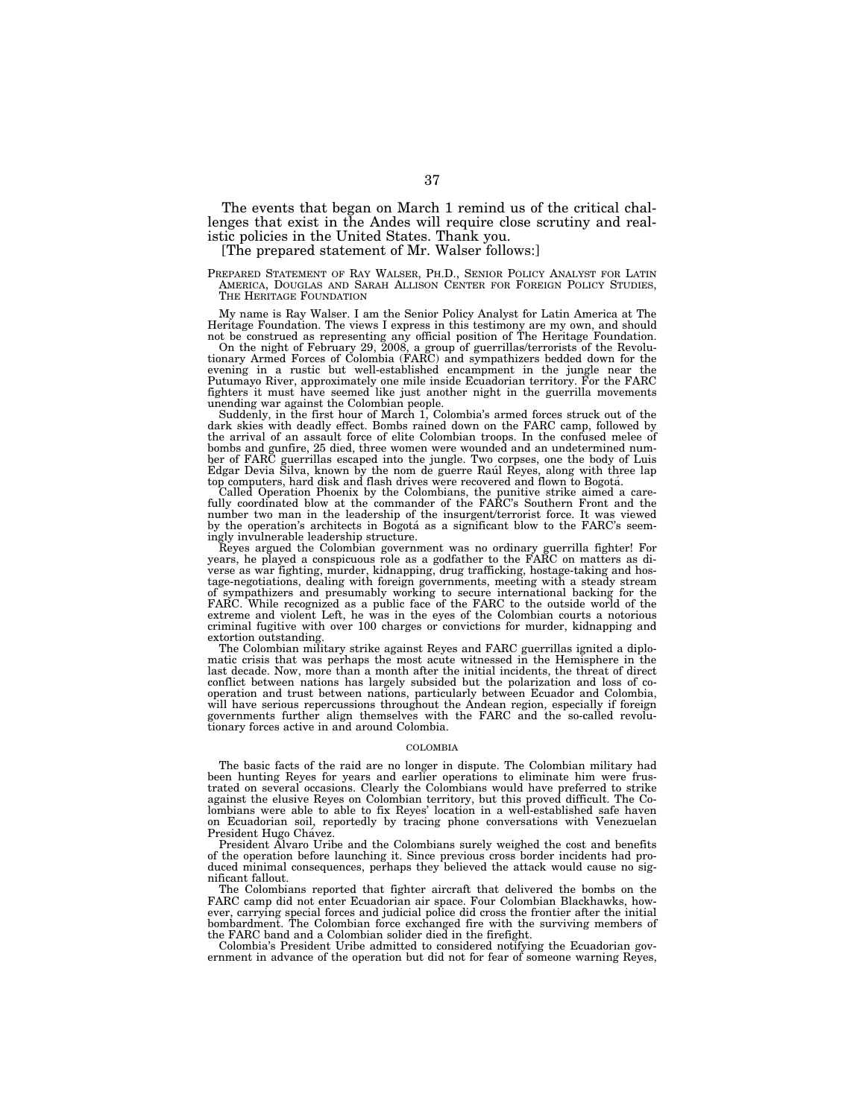The events that began on March 1 remind us of the critical challenges that exist in the Andes will require close scrutiny and realistic policies in the United States. Thank you.

[The prepared statement of Mr. Walser follows:]

PREPARED STATEMENT OF RAY WALSER, PH.D., SENIOR POLICY ANALYST FOR LATIN AMERICA, DOUGLAS AND SARAH ALLISON CENTER FOR FOREIGN POLICY STUDIES, THE HERITAGE FOUNDATION

My name is Ray Walser. I am the Senior Policy Analyst for Latin America at The Heritage Foundation. The views I express in this testimony are my own, and should

not be construed as representing any official position of The Heritage Foundation.<br>On the night of February 29, 2008, a group of guerrillas/terrorists of the Revolu-<br>tionary Armed Forces of Colombia (FARC) and sympathizers Putumayo River, approximately one mile inside Ecuadorian territory. For the FARC fighters it must have seemed like just another night in the guerrilla movements

unending war against the Colombian people. Suddenly, in the first hour of March 1, Colombia's armed forces struck out of the dark skies with deadly effect. Bombs rained down on the FARC camp, followed by the arrival of an assault force of elite Colombian troops. In the confused melee of bombs and gunfire, 25 died, three women were wounded and an undetermined num-ber of FARC guerrillas escaped into the jungle. Two corpses, one the body of Luis Edgar Devia Silva, known by the nom de guerre Raul Reyes, along with three lap<br>top computers, hard disk and flash drives were recovered and flown to Bogotá.

top computers, hard disk and flash drives were recovered and flown to Bogotá.<br>Called Operation Phoenix by the Colombians, the punitive strike aimed a care-<br>fully coordinated blow at the commander of the FARC's Southern Fro number two man in the leadership of the insurgent/terrorist force. It was viewed by the operation's architects in Bogotá as a significant blow to the FARC's seemingly invulnerable leadership structure.

Reyes argued the Colombian government was no ordinary guerrilla fighter! For years, he played a conspicuous role as a godfather to the FARC on matters as diverse as war fighting, murder, kidnapping, drug trafficking, hostage-taking and hostage-negotiations, dealing with foreign governments, meeting with a steady stream<br>of sympathizers and presumably working to secure international backing for the<br>FARC. While recognized as a public face of the FARC to the ou criminal fugitive with over 100 charges or convictions for murder, kidnapping and extortion outstanding.

The Colombian military strike against Reyes and FARC guerrillas ignited a diplomatic crisis that was perhaps the most acute witnessed in the Hemisphere in the last decade. Now, more than a month after the initial incidents, the threat of direct conflict between nations has largely subsided but the polarization and loss of cooperation and trust between nations, particularly between Ecuador and Colombia, will have serious repercussions throughout the Andean region, especially if foreign governments further align themselves with the FARC and the so-called revolutionary forces active in and around Colombia.

#### COLOMBIA

The basic facts of the raid are no longer in dispute. The Colombian military had been hunting Reyes for years and earlier operations to eliminate him were frustrated on several occasions. Clearly the Colombians would have preferred to strike against the elusive Reyes on Colombian territory, but this proved difficult. The Colombians were able to able to fix Reyes' location in a well-established safe haven on Ecuadorian soil, reportedly by tracing phone conversations with Venezuelan President Hugo Chávez.

President Avaro Uribe and the Colombians surely weighed the cost and benefits of the operation before launching it. Since previous cross border incidents had produced minimal consequences, perhaps they believed the attack would cause no significant fallout.

The Colombians reported that fighter aircraft that delivered the bombs on the FARC camp did not enter Ecuadorian air space. Four Colombian Blackhawks, however, carrying special forces and judicial police did cross the frontier after the initial bombardment. The Colombian force exchanged fire with the surviving members of the FARC band and a Colombian solider died in the firefight.

Colombia's President Uribe admitted to considered notifying the Ecuadorian government in advance of the operation but did not for fear of someone warning Reyes,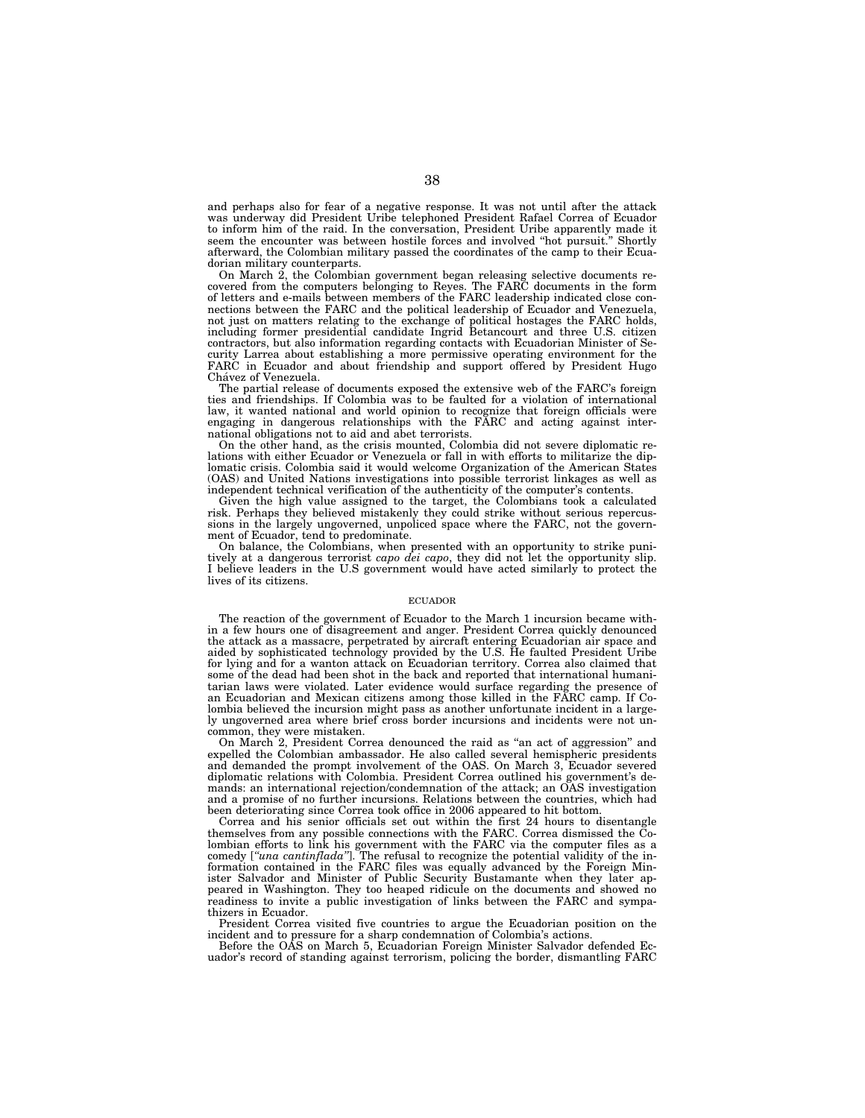and perhaps also for fear of a negative response. It was not until after the attack was underway did President Uribe telephoned President Rafael Correa of Ecuador to inform him of the raid. In the conversation, President Uribe apparently made it seem the encounter was between hostile forces and involved ''hot pursuit.'' Shortly afterward, the Colombian military passed the coordinates of the camp to their Ecuadorian military counterparts.

On March 2, the Colombian government began releasing selective documents recovered from the computers belonging to Reyes. The FARC documents in the form of letters and e-mails between members of the FARC leadership indicated close connections between the FARC and the political leadership of Ecuador and Venezuela, not just on matters relating to the exchange of political hostages the FARC holds, including former presidential candidate Ingrid Betancourt and three U.S. citizen contractors, but also information regarding contacts with Ecuadorian Minister of Security Larrea about establishing a more permissive operating environment for the FARC in Ecuador and about friendship and support offered by President Hugo Chávez of Venezuela.

The partial release of documents exposed the extensive web of the FARC's foreign ties and friendships. If Colombia was to be faulted for a violation of international law, it wanted national and world opinion to recognize that foreign officials were engaging in dangerous relationships with the FARC and acting against international obligations not to aid and abet terrorists.

On the other hand, as the crisis mounted, Colombia did not severe diplomatic relations with either Ecuador or Venezuela or fall in with efforts to militarize the diplomatic crisis. Colombia said it would welcome Organization of the American States (OAS) and United Nations investigations into possible terrorist linkages as well as independent technical verification of the authenticity of the computer's contents.

Given the high value assigned to the target, the Colombians took a calculated risk. Perhaps they believed mistakenly they could strike without serious repercussions in the largely ungoverned, unpoliced space where the FARC, not the government of Ecuador, tend to predominate.

On balance, the Colombians, when presented with an opportunity to strike punitively at a dangerous terrorist *capo dei capo*, they did not let the opportunity slip. I believe leaders in the U.S government would have acted similarly to protect the lives of its citizens.

#### ECUADOR

The reaction of the government of Ecuador to the March 1 incursion became within a few hours one of disagreement and anger. President Correa quickly denounced the attack as a massacre, perpetrated by aircraft entering Ecuadorian air space and aided by sophisticated technology provided by the U.S. He faulted President Uribe for lying and for a wanton attack on Ecuadorian territory. Correa also claimed that some of the dead had been shot in the back and reported that international humanitarian laws were violated. Later evidence would surface regarding the presence of an Ecuadorian and Mexican citizens among those killed in the FARC camp. If Colombia believed the incursion might pass as another unfortunate incident in a largely ungoverned area where brief cross border incursions and incidents were not uncommon, they were mistaken.

On March 2, President Correa denounced the raid as ''an act of aggression'' and expelled the Colombian ambassador. He also called several hemispheric presidents and demanded the prompt involvement of the OAS. On March 3, Ecuador severed diplomatic relations with Colombia. President Correa outlined his government's demands: an international rejection/condemnation of the attack; an OAS investigation and a promise of no further incursions. Relations between the countries, which had been deteriorating since Correa took office in 2006 appeared to hit bottom.

Correa and his senior officials set out within the first 24 hours to disentangle themselves from any possible connections with the FARC. Correa dismissed the Colombian efforts to link his government with the FARC via the computer files as a comedy [*''una cantinflada''*]. The refusal to recognize the potential validity of the information contained in the FARC files was equally advanced by the Foreign Minister Salvador and Minister of Public Security Bustamante when they later appeared in Washington. They too heaped ridicule on the documents and showed no readiness to invite a public investigation of links between the FARC and sympathizers in Ecuador.

President Correa visited five countries to argue the Ecuadorian position on the

incident and to pressure for a sharp condemnation of Colombia's actions. Before the OAS on March 5, Ecuadorian Foreign Minister Salvador defended Ecuador's record of standing against terrorism, policing the border, dismantling FARC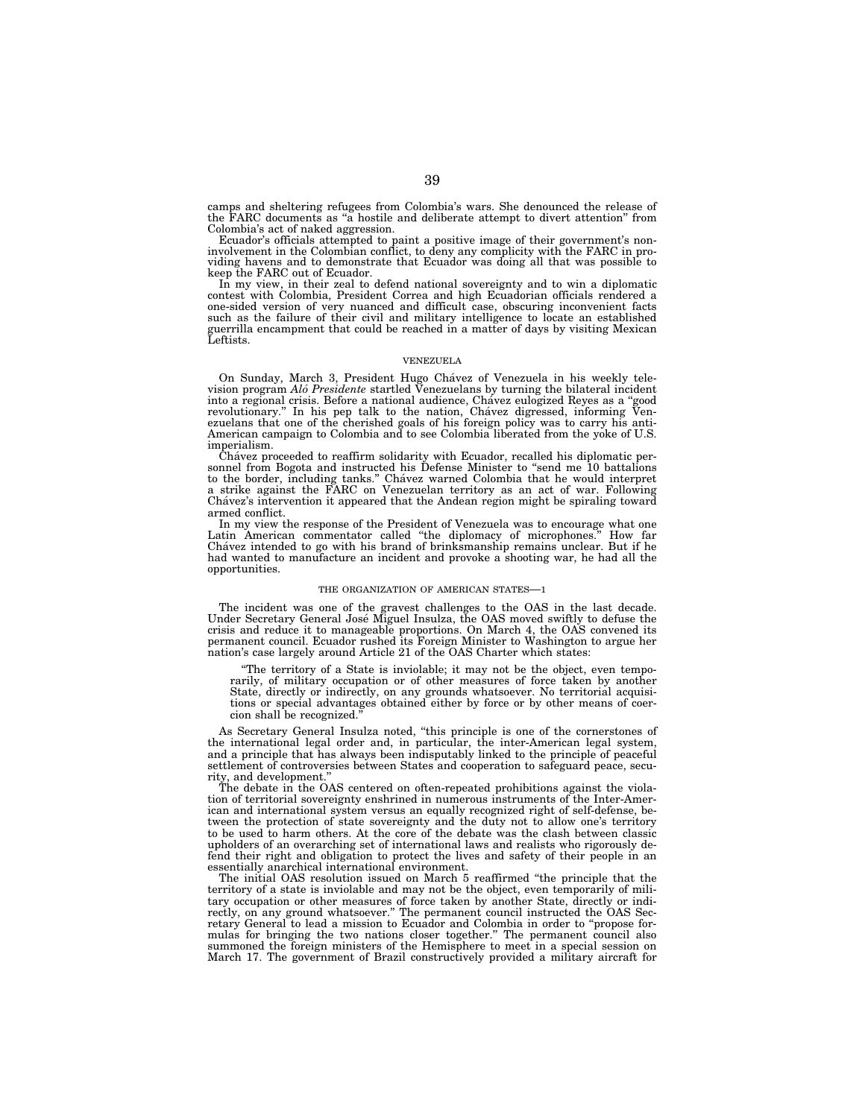camps and sheltering refugees from Colombia's wars. She denounced the release of the FARC documents as ''a hostile and deliberate attempt to divert attention'' from Colombia's act of naked aggression.

Ecuador's officials attempted to paint a positive image of their government's non-<br>involvement in the Colombian conflict, to deny any complicity with the FARC in pro-<br>viding havens and to demonstrate that Ecuador was doing keep the FARC out of Ecuador.

In my view, in their zeal to defend national sovereignty and to win a diplomatic contest with Colombia, President Correa and high Ecuadorian officials rendered a one-sided version of very nuanced and difficult case, obscuring inconvenient facts such as the failure of their civil and military intelligence to locate an established guerrilla encampment that could be reached in a matter of days by visiting Mexican Leftists.

#### VENEZUELA

On Sunday, March 3, President Hugo Cha´vez of Venezuela in his weekly tele-vision program *Alo´ Presidente* startled Venezuelans by turning the bilateral incident into a regional crisis. Before a national audience, Chávez eulogized Reyes as a "good revolutionary." In his pep talk to the nation, Chávez digressed, informing Venezuelans that one of the cherished goals of his foreign policy was to carry his anti-American campaign to Colombia and to see Colombia liberated from the yoke of U.S. imperialism.

Cha´vez proceeded to reaffirm solidarity with Ecuador, recalled his diplomatic personnel from Bogota and instructed his Defense Minister to "send me 10 battalions" to the border, including tanks.'' Cha´vez warned Colombia that he would interpret a strike against the FARC on Venezuelan territory as an act of war. Following Cha´vez's intervention it appeared that the Andean region might be spiraling toward armed conflict.

In my view the response of the President of Venezuela was to encourage what one Latin American commentator called ''the diplomacy of microphones.'' How far Chavez intended to go with his brand of brinksmanship remains unclear. But if he had wanted to manufacture an incident and provoke a shooting war, he had all the opportunities.

#### THE ORGANIZATION OF AMERICAN STATES—1

The incident was one of the gravest challenges to the OAS in the last decade. Under Secretary General Jose´ Miguel Insulza, the OAS moved swiftly to defuse the crisis and reduce it to manageable proportions. On March 4, the OAS convened its permanent council. Ecuador rushed its Foreign Minister to Washington to argue her nation's case largely around Article 21 of the OAS Charter which states:

''The territory of a State is inviolable; it may not be the object, even temporarily, of military occupation or of other measures of force taken by another State, directly or indirectly, on any grounds whatsoever. No territorial acquisitions or special advantages obtained either by force or by other means of coercion shall be recognized.

As Secretary General Insulza noted, ''this principle is one of the cornerstones of the international legal order and, in particular, the inter-American legal system, and a principle that has always been indisputably linked to the principle of peaceful settlement of controversies between States and cooperation to safeguard peace, security, and development.''

The debate in the OAS centered on often-repeated prohibitions against the violation of territorial sovereignty enshrined in numerous instruments of the Inter-American and international system versus an equally recognized right of self-defense, between the protection of state sovereignty and the duty not to allow one's territory to be used to harm others. At the core of the debate was the clash between classic upholders of an overarching set of international laws and realists who rigorously defend their right and obligation to protect the lives and safety of their people in an essentially anarchical international environment.

The initial OAS resolution issued on March 5 reaffirmed ''the principle that the territory of a state is inviolable and may not be the object, even temporarily of military occupation or other measures of force taken by another State, directly or indirectly, on any ground whatsoever.'' The permanent council instructed the OAS Secretary General to lead a mission to Ecuador and Colombia in order to ''propose formulas for bringing the two nations closer together.'' The permanent council also summoned the foreign ministers of the Hemisphere to meet in a special session on March 17. The government of Brazil constructively provided a military aircraft for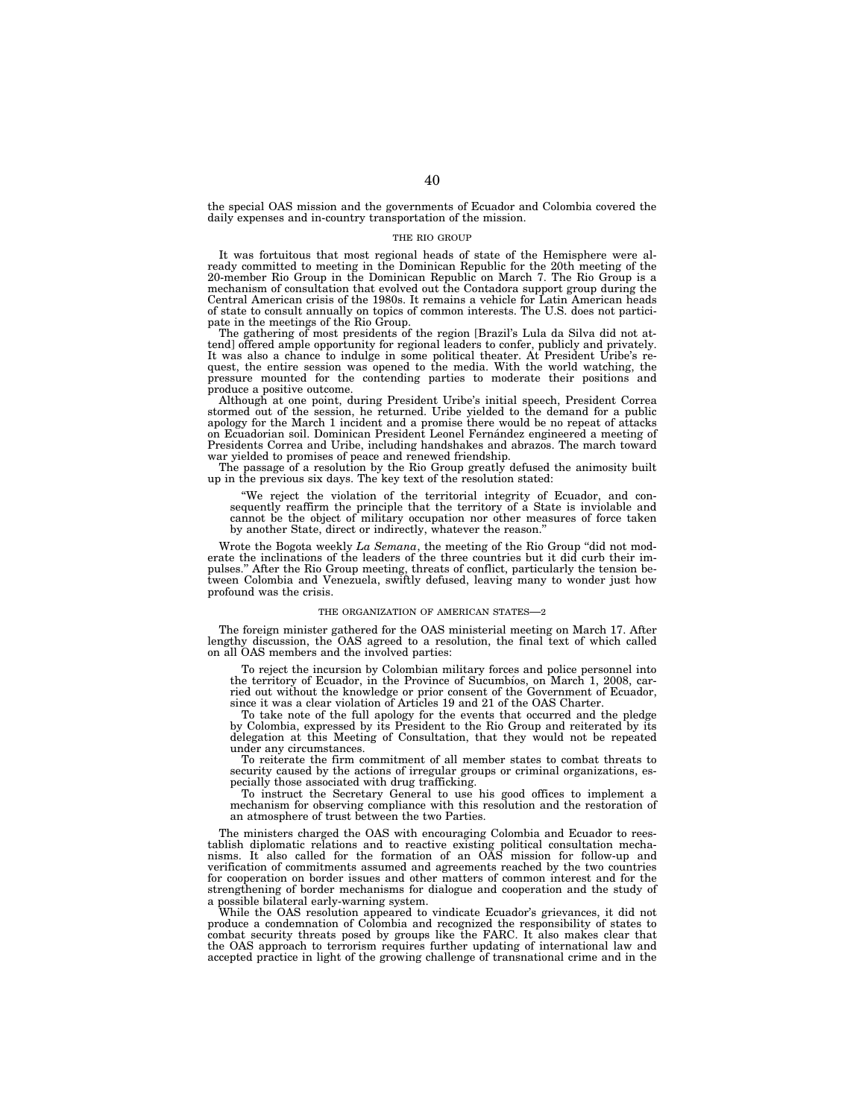the special OAS mission and the governments of Ecuador and Colombia covered the daily expenses and in-country transportation of the mission.

#### THE RIO GROUP

It was fortuitous that most regional heads of state of the Hemisphere were already committed to meeting in the Dominican Republic for the 20th meeting of the 20-member Rio Group in the Dominican Republic on March 7. The Rio Group is a mechanism of consultation that evolved out the Contadora support group during the Central American crisis of the 1980s. It remains a vehicle for Latin American heads of state to consult annually on topics of common interests. The U.S. does not participate in the meetings of the Rio Group. The gathering of most presidents of the region [Brazil's Lula da Silva did not at-

tend] offered ample opportunity for regional leaders to confer, publicly and privately. It was also a chance to indulge in some political theater. At President Uribe's re-quest, the entire session was opened to the media. With the world watching, the pressure mounted for the contending parties to moderate their positions and produce a positive outcome.

Although at one point, during President Uribe's initial speech, President Correa stormed out of the session, he returned. Uribe yielded to the demand for a public apology for the March 1 incident and a promise there would be no repeat of attacks on Ecuadorian soil. Dominican President Leonel Ferna´ndez engineered a meeting of Presidents Correa and Uribe, including handshakes and abrazos. The march toward war yielded to promises of peace and renewed friendship.

The passage of a resolution by the Rio Group greatly defused the animosity built up in the previous six days. The key text of the resolution stated:

''We reject the violation of the territorial integrity of Ecuador, and consequently reaffirm the principle that the territory of a State is inviolable and cannot be the object of military occupation nor other measures of force taken by another State, direct or indirectly, whatever the reason.''

Wrote the Bogota weekly *La Semana*, the meeting of the Rio Group ''did not moderate the inclinations of the leaders of the three countries but it did curb their impulses.'' After the Rio Group meeting, threats of conflict, particularly the tension between Colombia and Venezuela, swiftly defused, leaving many to wonder just how profound was the crisis.

#### THE ORGANIZATION OF AMERICAN STATES—2

The foreign minister gathered for the OAS ministerial meeting on March 17. After lengthy discussion, the OAS agreed to a resolution, the final text of which called on all OAS members and the involved parties:

To reject the incursion by Colombian military forces and police personnel into the territory of Ecuador, in the Province of Sucumbios, on March 1, 2008, carried out without the knowledge or prior consent of the Government of Ecuador, since it was a clear violation of Articles 19 and 21 of the OAS Charter.

To take note of the full apology for the events that occurred and the pledge by Colombia, expressed by its President to the Rio Group and reiterated by its delegation at this Meeting of Consultation, that they would not be repeated under any circumstances.

To reiterate the firm commitment of all member states to combat threats to security caused by the actions of irregular groups or criminal organizations, especially those associated with drug trafficking.

To instruct the Secretary General to use his good offices to implement a mechanism for observing compliance with this resolution and the restoration of an atmosphere of trust between the two Parties.

The ministers charged the OAS with encouraging Colombia and Ecuador to reestablish diplomatic relations and to reactive existing political consultation mechanisms. It also called for the formation of an OAS mission for follow-up and verification of commitments assumed and agreements reached by the two countries for cooperation on border issues and other matters of common interest and for the strengthening of border mechanisms for dialogue and cooperation and the study of a possible bilateral early-warning system.

While the OAS resolution appeared to vindicate Ecuador's grievances, it did not produce a condemnation of Colombia and recognized the responsibility of states to combat security threats posed by groups like the FARC. It also makes clear that the OAS approach to terrorism requires further updating of international law and accepted practice in light of the growing challenge of transnational crime and in the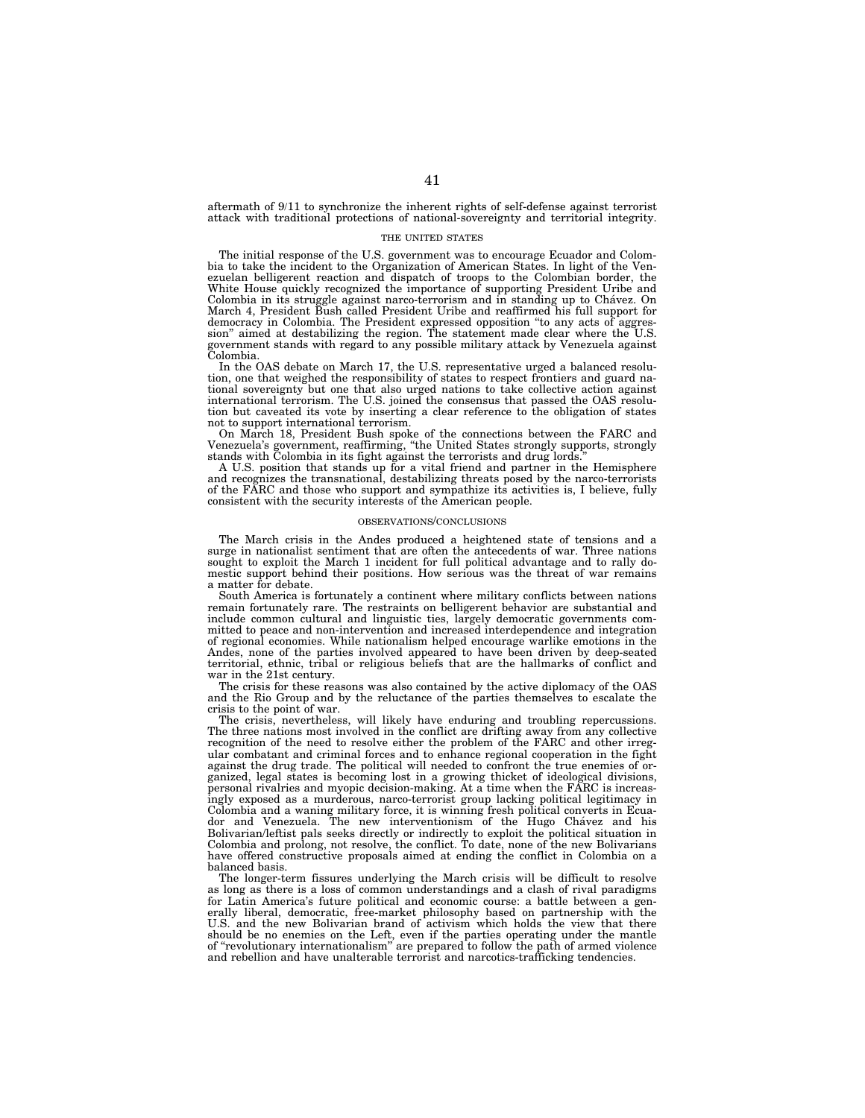aftermath of 9/11 to synchronize the inherent rights of self-defense against terrorist attack with traditional protections of national-sovereignty and territorial integrity.

#### THE UNITED STATES

The initial response of the U.S. government was to encourage Ecuador and Colombia to take the incident to the Organization of American States. In light of the Venezuelan belligerent reaction and dispatch of troops to the Colombian border, the White House quickly recognized the importance of supporting President Uribe and Colombia in its struggle against narco-terrorism and in standing up to Chavez. On March 4, President Bush called President Uribe and reaffirmed his full support for democracy in Colombia. The President expressed opposition ''to any acts of aggression'' aimed at destabilizing the region. The statement made clear where the U.S. government stands with regard to any possible military attack by Venezuela against Colombia.

In the OAS debate on March 17, the U.S. representative urged a balanced resolution, one that weighed the responsibility of states to respect frontiers and guard national sovereignty but one that also urged nations to take collective action against international terrorism. The U.S. joined the consensus that passed the OAS resolution but caveated its vote by inserting a clear reference to the obligation of states not to support international terrorism.

On March 18, President Bush spoke of the connections between the FARC and Venezuela's government, reaffirming, ''the United States strongly supports, strongly stands with Colombia in its fight against the terrorists and drug lords.''

A U.S. position that stands up for a vital friend and partner in the Hemisphere and recognizes the transnational, destabilizing threats posed by the narco-terrorists of the FARC and those who support and sympathize its activities is, I believe, fully consistent with the security interests of the American people.

#### OBSERVATIONS/CONCLUSIONS

The March crisis in the Andes produced a heightened state of tensions and a surge in nationalist sentiment that are often the antecedents of war. Three nations sought to exploit the March 1 incident for full political advantage and to rally domestic support behind their positions. How serious was the threat of war remains a matter for debate.

South America is fortunately a continent where military conflicts between nations remain fortunately rare. The restraints on belligerent behavior are substantial and include common cultural and linguistic ties, largely democratic governments committed to peace and non-intervention and increased interdependence and integration of regional economies. While nationalism helped encourage warlike emotions in the Andes, none of the parties involved appeared to have been driven by deep-seated territorial, ethnic, tribal or religious beliefs that are the hallmarks of conflict and war in the 21st century.

The crisis for these reasons was also contained by the active diplomacy of the OAS and the Rio Group and by the reluctance of the parties themselves to escalate the crisis to the point of war.

The crisis, nevertheless, will likely have enduring and troubling repercussions. The three nations most involved in the conflict are drifting away from any collective recognition of the need to resolve either the problem of the FARC and other irregular combatant and criminal forces and to enhance regional cooperation in the fight against the drug trade. The political will needed to confront the true enemies of organized, legal states is becoming lost in a growing thicket of ideological divisions, personal rivalries and myopic decision-making. At a time when the FARC is increasingly exposed as a murderous, narco-terrorist group lacking political legitimacy in Colombia and a waning military force, it is winning fresh political converts in Ecuador and Venezuela. The new interventionism of the Hugo Chavez and his Bolivarian/leftist pals seeks directly or indirectly to exploit the political situation in Colombia and prolong, not resolve, the conflict. To date, none of the new Bolivarians have offered constructive proposals aimed at ending the conflict in Colombia on a balanced basis.

The longer-term fissures underlying the March crisis will be difficult to resolve as long as there is a loss of common understandings and a clash of rival paradigms for Latin America's future political and economic course: a battle between a generally liberal, democratic, free-market philosophy based on partnership with the U.S. and the new Bolivarian brand of activism which holds the view that there should be no enemies on the Left, even if the parties operating under the mantle of "revolutionary internationalism" are prepared to follow the path of armed violence and rebellion and have unalterable terrorist and narcotics-trafficking tendencies.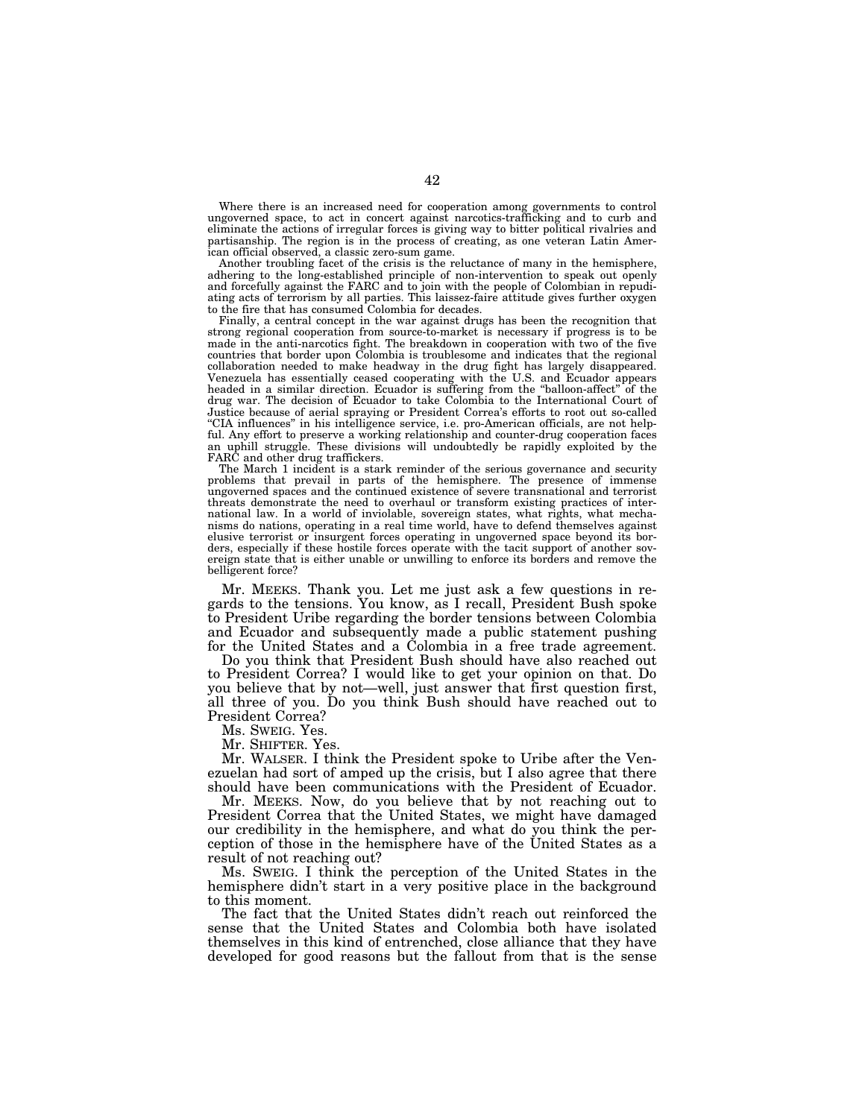Where there is an increased need for cooperation among governments to control ungoverned space, to act in concert against narcotics-trafficking and to curb and eliminate the actions of irregular forces is giving way to bitter political rivalries and partisanship. The region is in the process of creating, as one veteran Latin American official observed, a classic zero-sum game.

Another troubling facet of the crisis is the reluctance of many in the hemisphere, adhering to the long-established principle of non-intervention to speak out openly and forcefully against the FARC and to join with the people of Colombian in repudiating acts of terrorism by all parties. This laissez-faire attitude gives further oxygen to the fire that has consumed Colombia for decades.

Finally, a central concept in the war against drugs has been the recognition that strong regional cooperation from source-to-market is necessary if progress is to be made in the anti-narcotics fight. The breakdown in cooperation with two of the five countries that border upon Colombia is troublesome and indicates that the regional collaboration needed to make headway in the drug fight has largely disappeared. Venezuela has essentially ceased cooperating with the U.S. and Ecuador appears headed in a similar direction. Ecuador is suffering from the ''balloon-affect'' of the drug war. The decision of Ecuador to take Colombia to the International Court of Justice because of aerial spraying or President Correa's efforts to root out so-called ''CIA influences'' in his intelligence service, i.e. pro-American officials, are not helpful. Any effort to preserve a working relationship and counter-drug cooperation faces an uphill struggle. These divisions will undoubtedly be rapidly exploited by the FARC and other drug traffickers.

The March 1 incident is a stark reminder of the serious governance and security problems that prevail in parts of the hemisphere. The presence of immense ungoverned spaces and the continued existence of severe transnational and terrorist threats demonstrate the need to overhaul or transform existing practices of international law. In a world of inviolable, sovereign states, what rights, what mechanisms do nations, operating in a real time world, have to defend themselves against elusive terrorist or insurgent forces operating in ungoverned space beyond its borders, especially if these hostile forces operate with the tacit support of another sovereign state that is either unable or unwilling to enforce its borders and remove the belligerent force?

Mr. MEEKS. Thank you. Let me just ask a few questions in regards to the tensions. You know, as I recall, President Bush spoke to President Uribe regarding the border tensions between Colombia and Ecuador and subsequently made a public statement pushing for the United States and a Colombia in a free trade agreement.

Do you think that President Bush should have also reached out to President Correa? I would like to get your opinion on that. Do you believe that by not—well, just answer that first question first, all three of you. Do you think Bush should have reached out to President Correa?

Ms. SWEIG. Yes.

Mr. SHIFTER. Yes.

Mr. WALSER. I think the President spoke to Uribe after the Venezuelan had sort of amped up the crisis, but I also agree that there should have been communications with the President of Ecuador.

Mr. MEEKS. Now, do you believe that by not reaching out to President Correa that the United States, we might have damaged our credibility in the hemisphere, and what do you think the perception of those in the hemisphere have of the United States as a result of not reaching out?

Ms. SWEIG. I think the perception of the United States in the hemisphere didn't start in a very positive place in the background to this moment.

The fact that the United States didn't reach out reinforced the sense that the United States and Colombia both have isolated themselves in this kind of entrenched, close alliance that they have developed for good reasons but the fallout from that is the sense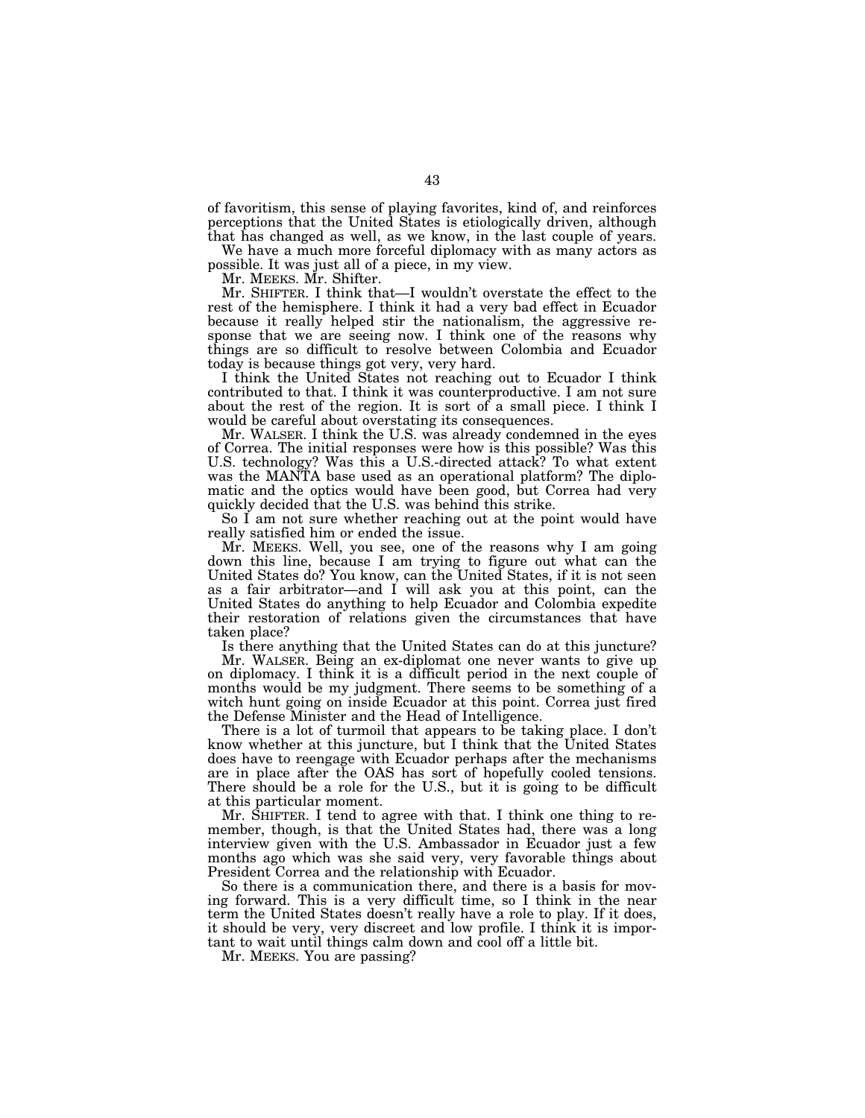of favoritism, this sense of playing favorites, kind of, and reinforces perceptions that the United States is etiologically driven, although that has changed as well, as we know, in the last couple of years.

We have a much more forceful diplomacy with as many actors as possible. It was just all of a piece, in my view.

Mr. MEEKS. Mr. Shifter.

Mr. SHIFTER. I think that—I wouldn't overstate the effect to the rest of the hemisphere. I think it had a very bad effect in Ecuador because it really helped stir the nationalism, the aggressive response that we are seeing now. I think one of the reasons why things are so difficult to resolve between Colombia and Ecuador today is because things got very, very hard.

I think the United States not reaching out to Ecuador I think contributed to that. I think it was counterproductive. I am not sure about the rest of the region. It is sort of a small piece. I think I would be careful about overstating its consequences.

Mr. WALSER. I think the U.S. was already condemned in the eyes of Correa. The initial responses were how is this possible? Was this U.S. technology? Was this a U.S.-directed attack? To what extent was the MANTA base used as an operational platform? The diplomatic and the optics would have been good, but Correa had very quickly decided that the U.S. was behind this strike.

So I am not sure whether reaching out at the point would have really satisfied him or ended the issue.

Mr. MEEKS. Well, you see, one of the reasons why I am going down this line, because I am trying to figure out what can the United States do? You know, can the United States, if it is not seen as a fair arbitrator—and I will ask you at this point, can the United States do anything to help Ecuador and Colombia expedite their restoration of relations given the circumstances that have taken place?

Is there anything that the United States can do at this juncture?

Mr. WALSER. Being an ex-diplomat one never wants to give up on diplomacy. I think it is a difficult period in the next couple of months would be my judgment. There seems to be something of a witch hunt going on inside Ecuador at this point. Correa just fired the Defense Minister and the Head of Intelligence.

There is a lot of turmoil that appears to be taking place. I don't know whether at this juncture, but I think that the United States does have to reengage with Ecuador perhaps after the mechanisms are in place after the OAS has sort of hopefully cooled tensions. There should be a role for the U.S., but it is going to be difficult at this particular moment.

Mr. SHIFTER. I tend to agree with that. I think one thing to remember, though, is that the United States had, there was a long interview given with the U.S. Ambassador in Ecuador just a few months ago which was she said very, very favorable things about President Correa and the relationship with Ecuador.

So there is a communication there, and there is a basis for moving forward. This is a very difficult time, so I think in the near term the United States doesn't really have a role to play. If it does, it should be very, very discreet and low profile. I think it is important to wait until things calm down and cool off a little bit.

Mr. MEEKS. You are passing?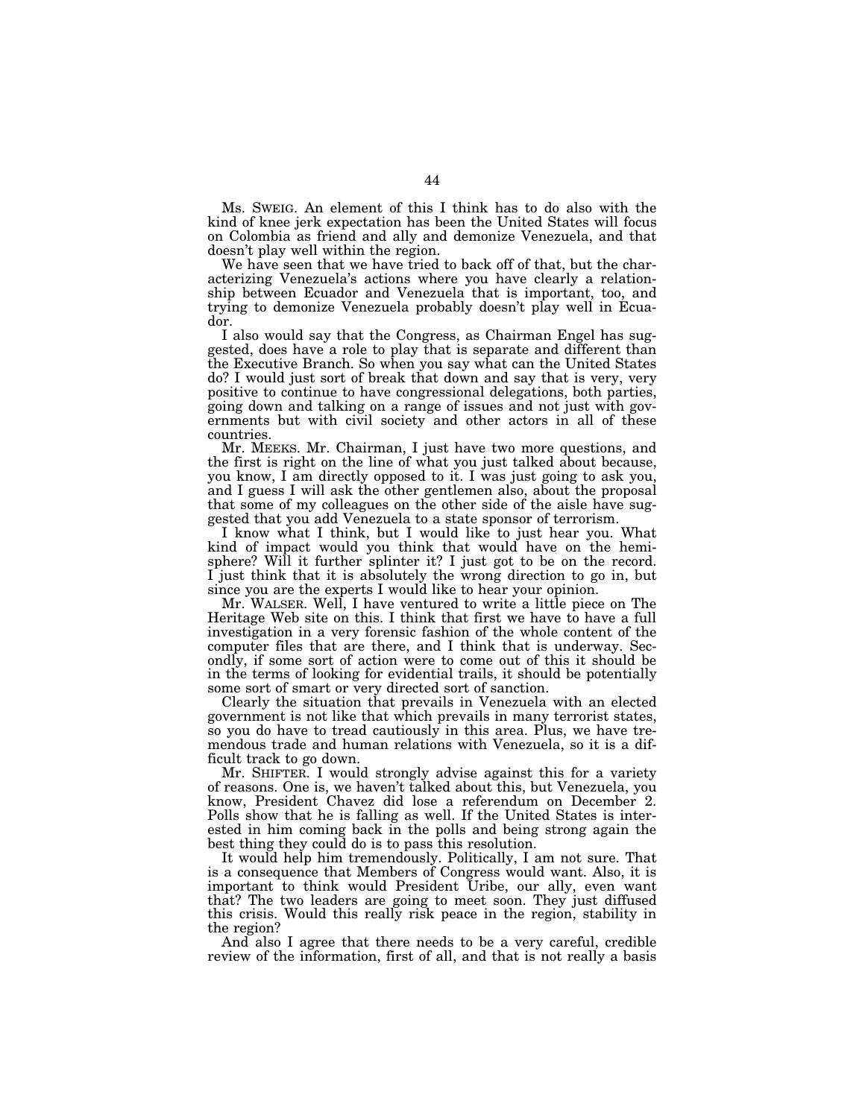Ms. SWEIG. An element of this I think has to do also with the kind of knee jerk expectation has been the United States will focus on Colombia as friend and ally and demonize Venezuela, and that doesn't play well within the region.

We have seen that we have tried to back off of that, but the characterizing Venezuela's actions where you have clearly a relationship between Ecuador and Venezuela that is important, too, and trying to demonize Venezuela probably doesn't play well in Ecuador.

I also would say that the Congress, as Chairman Engel has suggested, does have a role to play that is separate and different than the Executive Branch. So when you say what can the United States do? I would just sort of break that down and say that is very, very positive to continue to have congressional delegations, both parties, going down and talking on a range of issues and not just with governments but with civil society and other actors in all of these countries.

Mr. MEEKS. Mr. Chairman, I just have two more questions, and the first is right on the line of what you just talked about because, you know, I am directly opposed to it. I was just going to ask you, and I guess I will ask the other gentlemen also, about the proposal that some of my colleagues on the other side of the aisle have suggested that you add Venezuela to a state sponsor of terrorism.

I know what I think, but I would like to just hear you. What kind of impact would you think that would have on the hemisphere? Will it further splinter it? I just got to be on the record. I just think that it is absolutely the wrong direction to go in, but since you are the experts I would like to hear your opinion.

Mr. WALSER. Well, I have ventured to write a little piece on The Heritage Web site on this. I think that first we have to have a full investigation in a very forensic fashion of the whole content of the computer files that are there, and I think that is underway. Secondly, if some sort of action were to come out of this it should be in the terms of looking for evidential trails, it should be potentially some sort of smart or very directed sort of sanction.

Clearly the situation that prevails in Venezuela with an elected government is not like that which prevails in many terrorist states, so you do have to tread cautiously in this area. Plus, we have tremendous trade and human relations with Venezuela, so it is a difficult track to go down.

Mr. SHIFTER. I would strongly advise against this for a variety of reasons. One is, we haven't talked about this, but Venezuela, you know, President Chavez did lose a referendum on December 2. Polls show that he is falling as well. If the United States is interested in him coming back in the polls and being strong again the best thing they could do is to pass this resolution.

It would help him tremendously. Politically, I am not sure. That is a consequence that Members of Congress would want. Also, it is important to think would President Uribe, our ally, even want that? The two leaders are going to meet soon. They just diffused this crisis. Would this really risk peace in the region, stability in the region?

And also I agree that there needs to be a very careful, credible review of the information, first of all, and that is not really a basis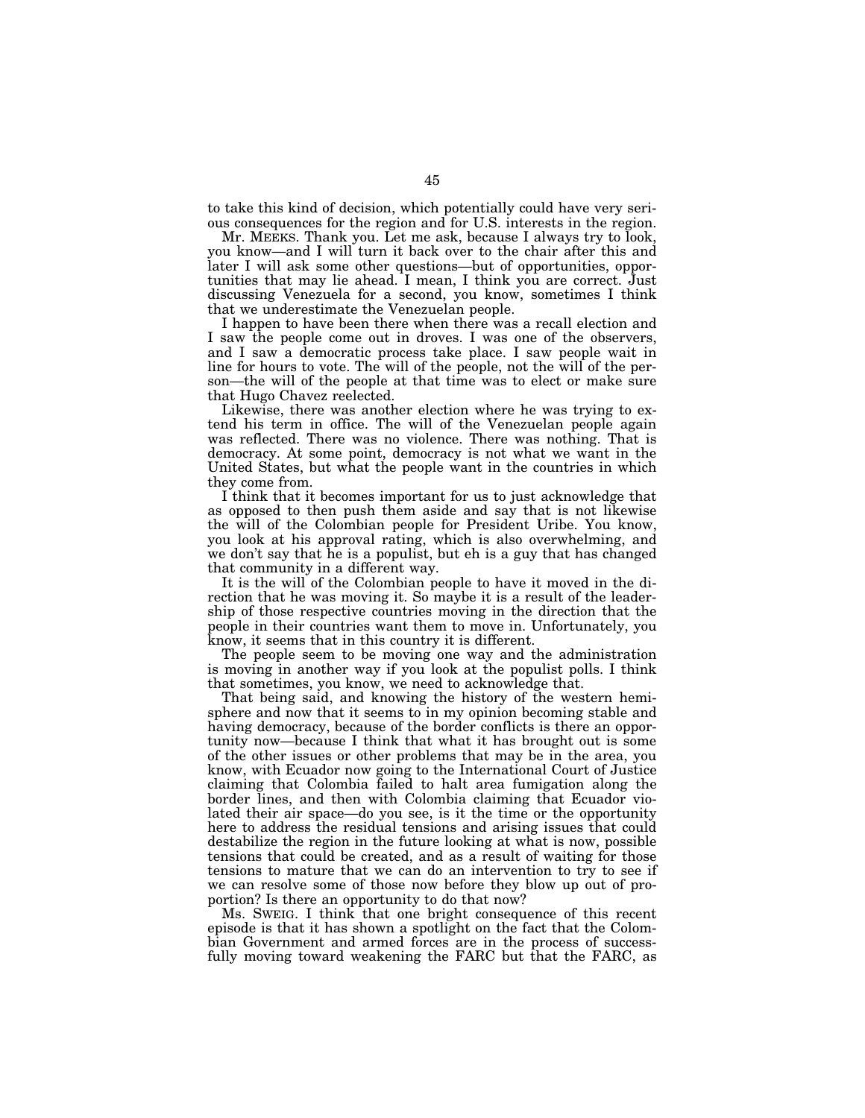to take this kind of decision, which potentially could have very serious consequences for the region and for U.S. interests in the region.

Mr. MEEKS. Thank you. Let me ask, because I always try to look, you know—and I will turn it back over to the chair after this and later I will ask some other questions—but of opportunities, opportunities that may lie ahead. I mean, I think you are correct. Just discussing Venezuela for a second, you know, sometimes I think that we underestimate the Venezuelan people.

I happen to have been there when there was a recall election and I saw the people come out in droves. I was one of the observers, and I saw a democratic process take place. I saw people wait in line for hours to vote. The will of the people, not the will of the person—the will of the people at that time was to elect or make sure that Hugo Chavez reelected.

Likewise, there was another election where he was trying to extend his term in office. The will of the Venezuelan people again was reflected. There was no violence. There was nothing. That is democracy. At some point, democracy is not what we want in the United States, but what the people want in the countries in which they come from.

I think that it becomes important for us to just acknowledge that as opposed to then push them aside and say that is not likewise the will of the Colombian people for President Uribe. You know, you look at his approval rating, which is also overwhelming, and we don't say that he is a populist, but eh is a guy that has changed that community in a different way.

It is the will of the Colombian people to have it moved in the direction that he was moving it. So maybe it is a result of the leadership of those respective countries moving in the direction that the people in their countries want them to move in. Unfortunately, you know, it seems that in this country it is different.

The people seem to be moving one way and the administration is moving in another way if you look at the populist polls. I think that sometimes, you know, we need to acknowledge that.

That being said, and knowing the history of the western hemisphere and now that it seems to in my opinion becoming stable and having democracy, because of the border conflicts is there an opportunity now—because I think that what it has brought out is some of the other issues or other problems that may be in the area, you know, with Ecuador now going to the International Court of Justice claiming that Colombia failed to halt area fumigation along the border lines, and then with Colombia claiming that Ecuador violated their air space—do you see, is it the time or the opportunity here to address the residual tensions and arising issues that could destabilize the region in the future looking at what is now, possible tensions that could be created, and as a result of waiting for those tensions to mature that we can do an intervention to try to see if we can resolve some of those now before they blow up out of proportion? Is there an opportunity to do that now?

Ms. SWEIG. I think that one bright consequence of this recent episode is that it has shown a spotlight on the fact that the Colombian Government and armed forces are in the process of successfully moving toward weakening the FARC but that the FARC, as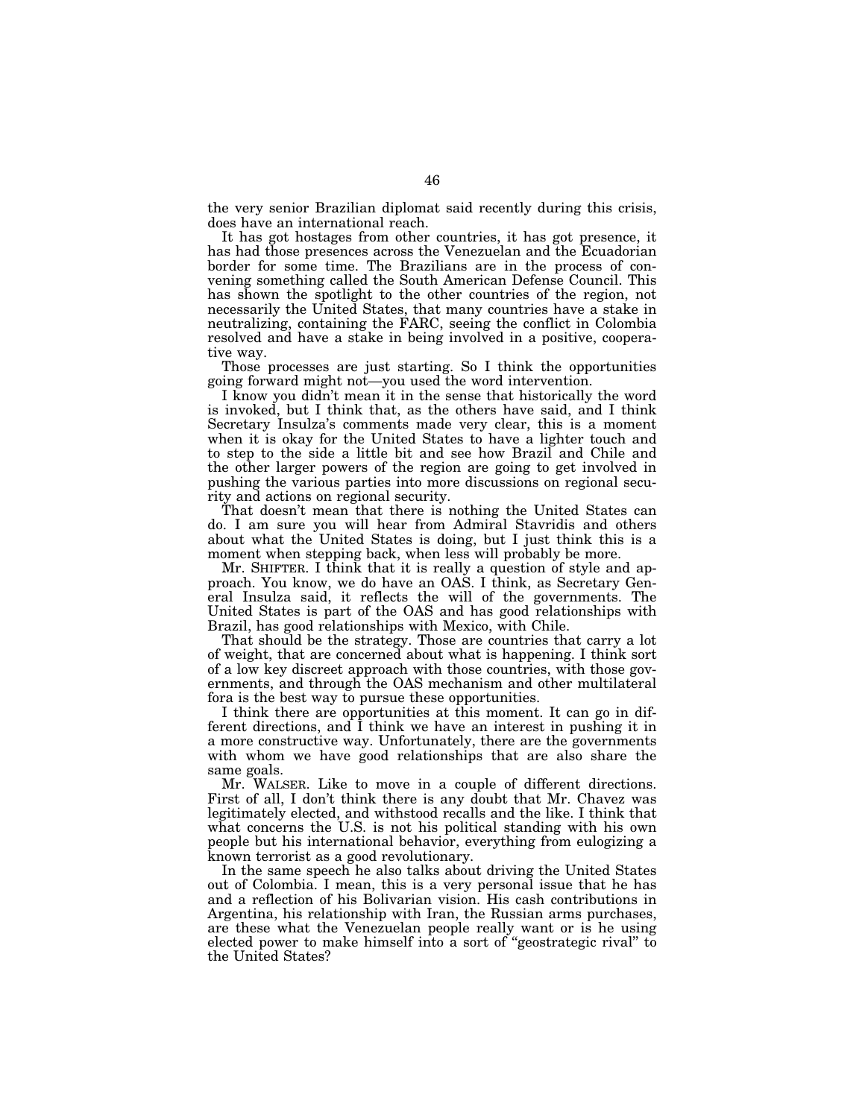the very senior Brazilian diplomat said recently during this crisis, does have an international reach.

It has got hostages from other countries, it has got presence, it has had those presences across the Venezuelan and the Ecuadorian border for some time. The Brazilians are in the process of convening something called the South American Defense Council. This has shown the spotlight to the other countries of the region, not necessarily the United States, that many countries have a stake in neutralizing, containing the FARC, seeing the conflict in Colombia resolved and have a stake in being involved in a positive, cooperative way.

Those processes are just starting. So I think the opportunities going forward might not—you used the word intervention.

I know you didn't mean it in the sense that historically the word is invoked, but I think that, as the others have said, and I think Secretary Insulza's comments made very clear, this is a moment when it is okay for the United States to have a lighter touch and to step to the side a little bit and see how Brazil and Chile and the other larger powers of the region are going to get involved in pushing the various parties into more discussions on regional security and actions on regional security.

That doesn't mean that there is nothing the United States can do. I am sure you will hear from Admiral Stavridis and others about what the United States is doing, but I just think this is a moment when stepping back, when less will probably be more.

Mr. SHIFTER. I think that it is really a question of style and approach. You know, we do have an OAS. I think, as Secretary General Insulza said, it reflects the will of the governments. The United States is part of the OAS and has good relationships with Brazil, has good relationships with Mexico, with Chile.

That should be the strategy. Those are countries that carry a lot of weight, that are concerned about what is happening. I think sort of a low key discreet approach with those countries, with those governments, and through the OAS mechanism and other multilateral fora is the best way to pursue these opportunities.

I think there are opportunities at this moment. It can go in different directions, and I think we have an interest in pushing it in a more constructive way. Unfortunately, there are the governments with whom we have good relationships that are also share the same goals.

Mr. WALSER. Like to move in a couple of different directions. First of all, I don't think there is any doubt that Mr. Chavez was legitimately elected, and withstood recalls and the like. I think that what concerns the U.S. is not his political standing with his own people but his international behavior, everything from eulogizing a known terrorist as a good revolutionary.

In the same speech he also talks about driving the United States out of Colombia. I mean, this is a very personal issue that he has and a reflection of his Bolivarian vision. His cash contributions in Argentina, his relationship with Iran, the Russian arms purchases, are these what the Venezuelan people really want or is he using elected power to make himself into a sort of ''geostrategic rival'' to the United States?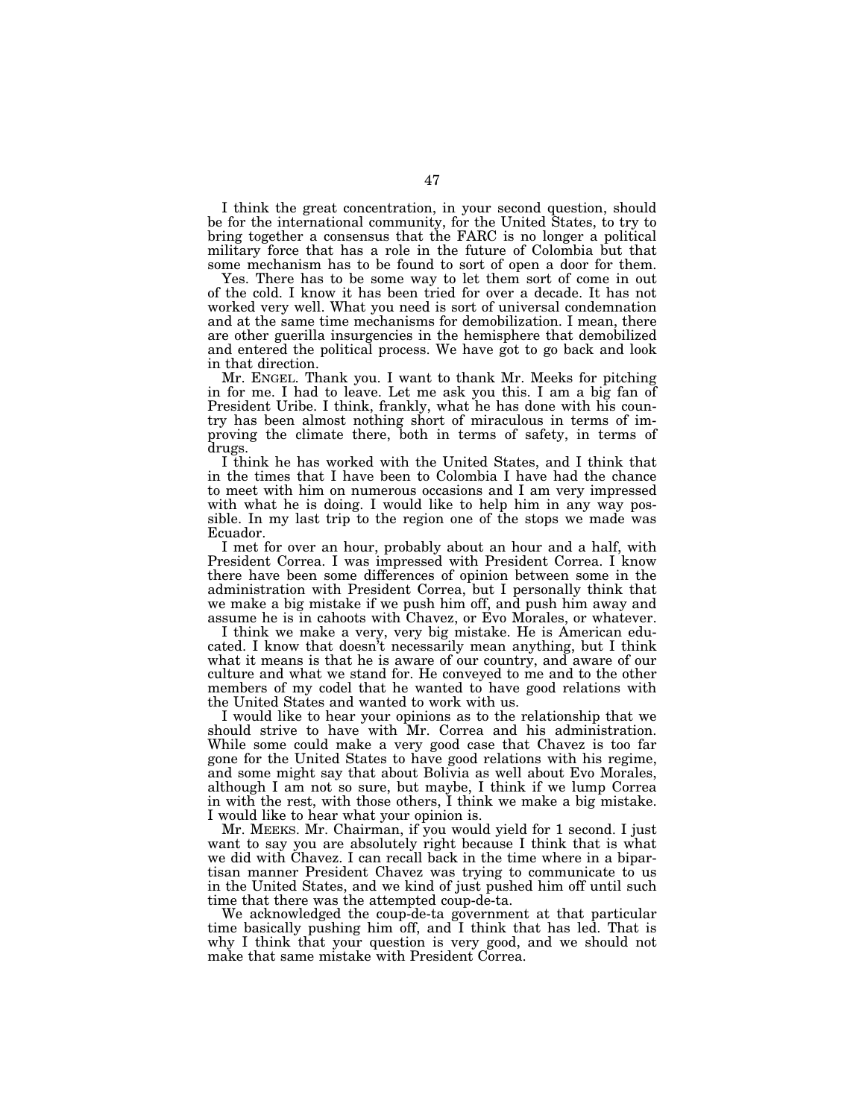I think the great concentration, in your second question, should be for the international community, for the United States, to try to bring together a consensus that the FARC is no longer a political military force that has a role in the future of Colombia but that some mechanism has to be found to sort of open a door for them.

Yes. There has to be some way to let them sort of come in out of the cold. I know it has been tried for over a decade. It has not worked very well. What you need is sort of universal condemnation and at the same time mechanisms for demobilization. I mean, there are other guerilla insurgencies in the hemisphere that demobilized and entered the political process. We have got to go back and look in that direction.

Mr. ENGEL. Thank you. I want to thank Mr. Meeks for pitching in for me. I had to leave. Let me ask you this. I am a big fan of President Uribe. I think, frankly, what he has done with his country has been almost nothing short of miraculous in terms of improving the climate there, both in terms of safety, in terms of drugs.

I think he has worked with the United States, and I think that in the times that I have been to Colombia I have had the chance to meet with him on numerous occasions and I am very impressed with what he is doing. I would like to help him in any way possible. In my last trip to the region one of the stops we made was Ecuador.

I met for over an hour, probably about an hour and a half, with President Correa. I was impressed with President Correa. I know there have been some differences of opinion between some in the administration with President Correa, but I personally think that we make a big mistake if we push him off, and push him away and assume he is in cahoots with Chavez, or Evo Morales, or whatever.

I think we make a very, very big mistake. He is American educated. I know that doesn't necessarily mean anything, but I think what it means is that he is aware of our country, and aware of our culture and what we stand for. He conveyed to me and to the other members of my codel that he wanted to have good relations with the United States and wanted to work with us.

I would like to hear your opinions as to the relationship that we should strive to have with Mr. Correa and his administration. While some could make a very good case that Chavez is too far gone for the United States to have good relations with his regime, and some might say that about Bolivia as well about Evo Morales, although I am not so sure, but maybe, I think if we lump Correa in with the rest, with those others, I think we make a big mistake. I would like to hear what your opinion is.

Mr. MEEKS. Mr. Chairman, if you would yield for 1 second. I just want to say you are absolutely right because I think that is what we did with Chavez. I can recall back in the time where in a bipartisan manner President Chavez was trying to communicate to us in the United States, and we kind of just pushed him off until such time that there was the attempted coup-de-ta.

We acknowledged the coup-de-ta government at that particular time basically pushing him off, and I think that has led. That is why I think that your question is very good, and we should not make that same mistake with President Correa.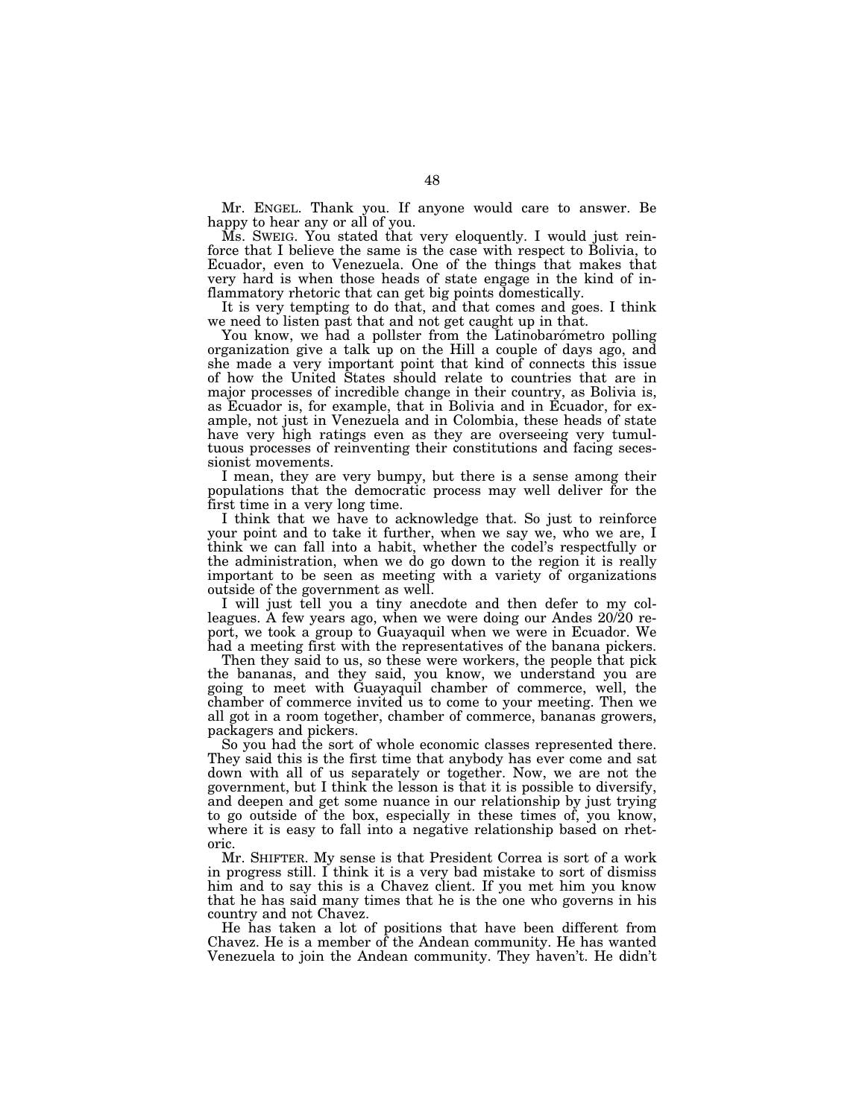Mr. ENGEL. Thank you. If anyone would care to answer. Be happy to hear any or all of you.

Ms. SWEIG. You stated that very eloquently. I would just reinforce that I believe the same is the case with respect to Bolivia, to Ecuador, even to Venezuela. One of the things that makes that very hard is when those heads of state engage in the kind of inflammatory rhetoric that can get big points domestically.

It is very tempting to do that, and that comes and goes. I think we need to listen past that and not get caught up in that.

You know, we had a pollster from the Latinobarometro polling organization give a talk up on the Hill a couple of days ago, and she made a very important point that kind of connects this issue of how the United States should relate to countries that are in major processes of incredible change in their country, as Bolivia is, as Ecuador is, for example, that in Bolivia and in Ecuador, for example, not just in Venezuela and in Colombia, these heads of state have very high ratings even as they are overseeing very tumultuous processes of reinventing their constitutions and facing secessionist movements.

I mean, they are very bumpy, but there is a sense among their populations that the democratic process may well deliver for the first time in a very long time.

I think that we have to acknowledge that. So just to reinforce your point and to take it further, when we say we, who we are, I think we can fall into a habit, whether the codel's respectfully or the administration, when we do go down to the region it is really important to be seen as meeting with a variety of organizations outside of the government as well.

I will just tell you a tiny anecdote and then defer to my colleagues. A few years ago, when we were doing our Andes 20/20 report, we took a group to Guayaquil when we were in Ecuador. We had a meeting first with the representatives of the banana pickers.

Then they said to us, so these were workers, the people that pick the bananas, and they said, you know, we understand you are going to meet with Guayaquil chamber of commerce, well, the chamber of commerce invited us to come to your meeting. Then we all got in a room together, chamber of commerce, bananas growers, packagers and pickers.

So you had the sort of whole economic classes represented there. They said this is the first time that anybody has ever come and sat down with all of us separately or together. Now, we are not the government, but I think the lesson is that it is possible to diversify, and deepen and get some nuance in our relationship by just trying to go outside of the box, especially in these times of, you know, where it is easy to fall into a negative relationship based on rhetoric.

Mr. SHIFTER. My sense is that President Correa is sort of a work in progress still. I think it is a very bad mistake to sort of dismiss him and to say this is a Chavez client. If you met him you know that he has said many times that he is the one who governs in his country and not Chavez.

He has taken a lot of positions that have been different from Chavez. He is a member of the Andean community. He has wanted Venezuela to join the Andean community. They haven't. He didn't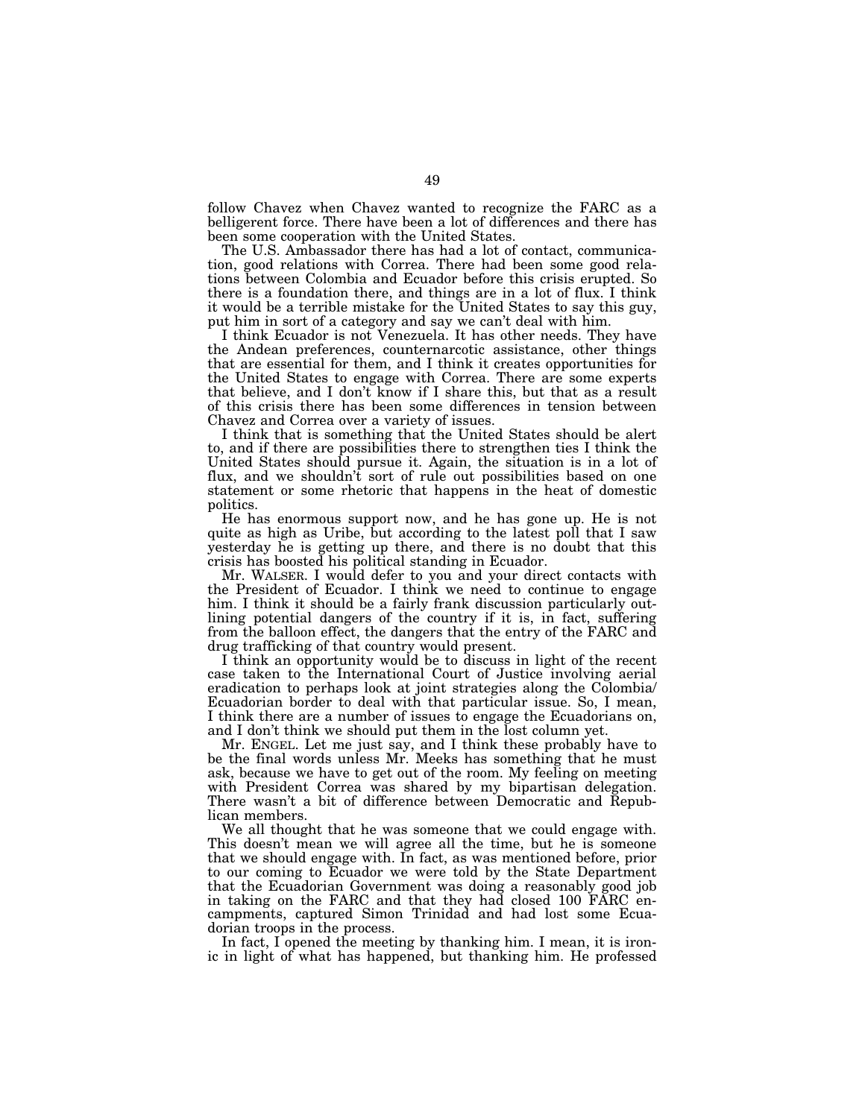follow Chavez when Chavez wanted to recognize the FARC as a belligerent force. There have been a lot of differences and there has been some cooperation with the United States.

The U.S. Ambassador there has had a lot of contact, communication, good relations with Correa. There had been some good relations between Colombia and Ecuador before this crisis erupted. So there is a foundation there, and things are in a lot of flux. I think it would be a terrible mistake for the United States to say this guy, put him in sort of a category and say we can't deal with him.

I think Ecuador is not Venezuela. It has other needs. They have the Andean preferences, counternarcotic assistance, other things that are essential for them, and I think it creates opportunities for the United States to engage with Correa. There are some experts that believe, and I don't know if I share this, but that as a result of this crisis there has been some differences in tension between Chavez and Correa over a variety of issues.

I think that is something that the United States should be alert to, and if there are possibilities there to strengthen ties I think the United States should pursue it. Again, the situation is in a lot of flux, and we shouldn't sort of rule out possibilities based on one statement or some rhetoric that happens in the heat of domestic politics.

He has enormous support now, and he has gone up. He is not quite as high as Uribe, but according to the latest poll that I saw yesterday he is getting up there, and there is no doubt that this crisis has boosted his political standing in Ecuador.

Mr. WALSER. I would defer to you and your direct contacts with the President of Ecuador. I think we need to continue to engage him. I think it should be a fairly frank discussion particularly outlining potential dangers of the country if it is, in fact, suffering from the balloon effect, the dangers that the entry of the FARC and drug trafficking of that country would present.

I think an opportunity would be to discuss in light of the recent case taken to the International Court of Justice involving aerial eradication to perhaps look at joint strategies along the Colombia/ Ecuadorian border to deal with that particular issue. So, I mean, I think there are a number of issues to engage the Ecuadorians on, and I don't think we should put them in the lost column yet.

Mr. ENGEL. Let me just say, and I think these probably have to be the final words unless Mr. Meeks has something that he must ask, because we have to get out of the room. My feeling on meeting with President Correa was shared by my bipartisan delegation. There wasn't a bit of difference between Democratic and Republican members.

We all thought that he was someone that we could engage with. This doesn't mean we will agree all the time, but he is someone that we should engage with. In fact, as was mentioned before, prior to our coming to Ecuador we were told by the State Department that the Ecuadorian Government was doing a reasonably good job in taking on the FARC and that they had closed 100 FARC encampments, captured Simon Trinidad and had lost some Ecuadorian troops in the process.

In fact, I opened the meeting by thanking him. I mean, it is ironic in light of what has happened, but thanking him. He professed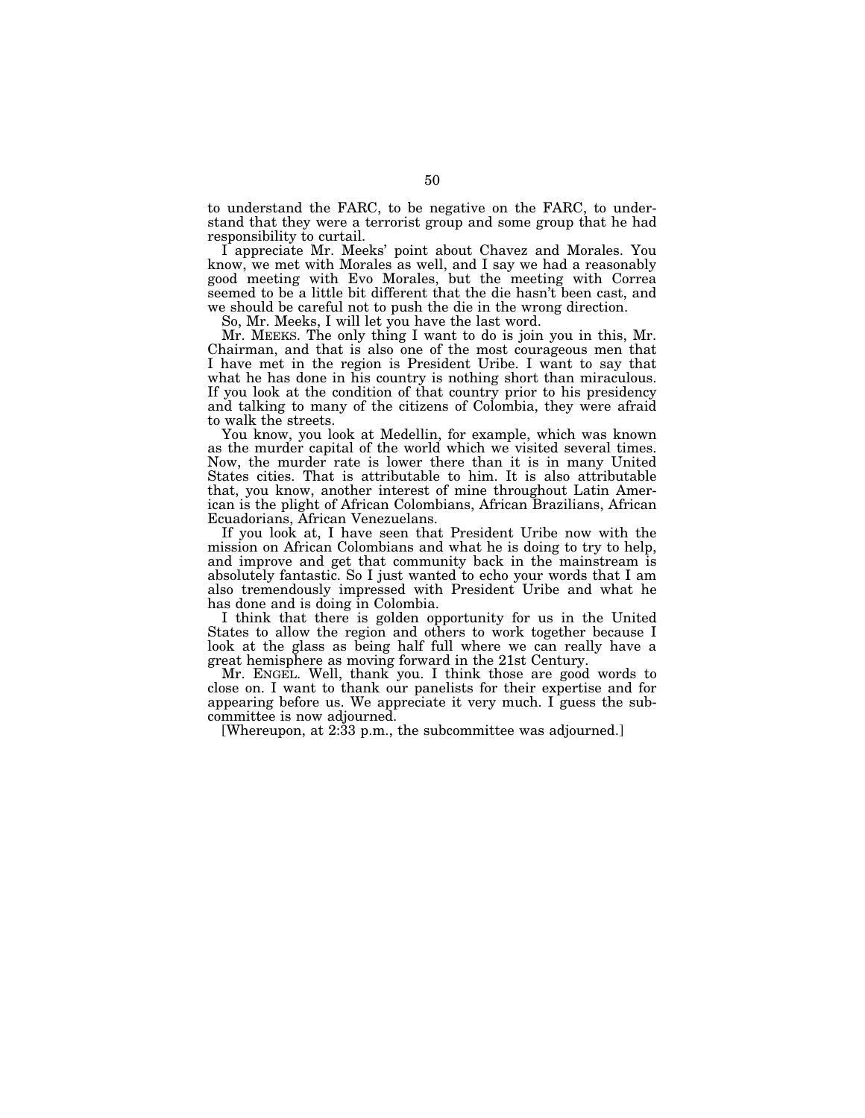to understand the FARC, to be negative on the FARC, to understand that they were a terrorist group and some group that he had responsibility to curtail.

I appreciate Mr. Meeks' point about Chavez and Morales. You know, we met with Morales as well, and I say we had a reasonably good meeting with Evo Morales, but the meeting with Correa seemed to be a little bit different that the die hasn't been cast, and we should be careful not to push the die in the wrong direction.

So, Mr. Meeks, I will let you have the last word.

Mr. MEEKS. The only thing I want to do is join you in this, Mr. Chairman, and that is also one of the most courageous men that I have met in the region is President Uribe. I want to say that what he has done in his country is nothing short than miraculous. If you look at the condition of that country prior to his presidency and talking to many of the citizens of Colombia, they were afraid to walk the streets.

You know, you look at Medellin, for example, which was known as the murder capital of the world which we visited several times. Now, the murder rate is lower there than it is in many United States cities. That is attributable to him. It is also attributable that, you know, another interest of mine throughout Latin American is the plight of African Colombians, African Brazilians, African Ecuadorians, African Venezuelans.

If you look at, I have seen that President Uribe now with the mission on African Colombians and what he is doing to try to help, and improve and get that community back in the mainstream is absolutely fantastic. So I just wanted to echo your words that I am also tremendously impressed with President Uribe and what he has done and is doing in Colombia.

I think that there is golden opportunity for us in the United States to allow the region and others to work together because I look at the glass as being half full where we can really have a great hemisphere as moving forward in the 21st Century.

Mr. ENGEL. Well, thank you. I think those are good words to close on. I want to thank our panelists for their expertise and for appearing before us. We appreciate it very much. I guess the subcommittee is now adjourned.

[Whereupon, at 2:33 p.m., the subcommittee was adjourned.]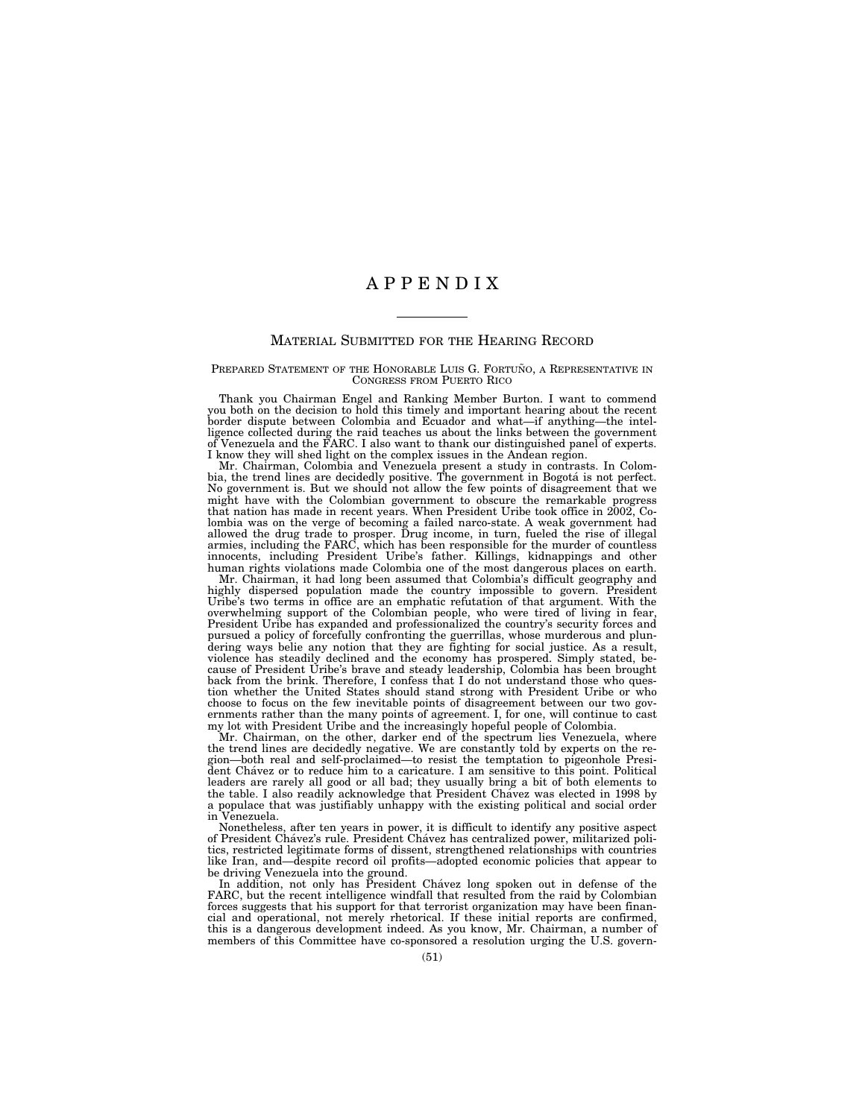## A P P E N D I X

## MATERIAL SUBMITTED FOR THE HEARING RECORD

PREPARED STATEMENT OF THE HONORABLE LUIS G. FORTUNO, A REPRESENTATIVE IN CONGRESS FROM PUERTO RICO

Thank you Chairman Engel and Ranking Member Burton. I want to commend you both on the decision to hold this timely and important hearing about the recent border dispute between Colombia and Ecuador and what—if anything—the intelligence collected during the raid teaches us about the links between the government of Venezuela and the FARC. I also want to thank our distinguished panel of experts. I know they will shed light on the complex issues in the Andean region.

Mr. Chairman, Colombia and Venezuela present a study in contrasts. In Colombia, the trend lines are decidedly positive. The government in Bogotá is not perfect. No government is. But we should not allow the few points of disagreement that we might have with the Colombian government to obscure the remarkable progress that nation has made in recent years. When President Uribe took office in 2002, Colombia was on the verge of becoming a failed narco-state. A weak government had allowed the drug trade to prosper. Drug income, in turn, fueled the rise of illegal armies, including the FARC, which has been responsible for the murder of countless innocents, including President Uribe's father. Killings, kidnappings and other human rights violations made Colombia one of the most dangerous places on earth.

Mr. Chairman, it had long been assumed that Colombia's difficult geography and highly dispersed population made the country impossible to govern. President Uribe's two terms in office are an emphatic refutation of that argument. With the overwhelming support of the Colombian people, who were tired of living in fear, President Uribe has expanded and professionalized the country's security forces and pursued a policy of forcefully confronting the guerrillas, whose murderous and plundering ways belie any notion that they are fighting for social justice. As a result, violence has steadily declined and the economy has prospered. Simply stated, because of President Uribe's brave and steady leadership, Colombia has been brought back from the brink. Therefore, I confess that I do not understand those who question whether the United States should stand strong with President Uribe or who choose to focus on the few inevitable points of disagreement between our two governments rather than the many points of agreement. I, for one, will continue to cast my lot with President Uribe and the increasingly hopeful people of Colombia.

Mr. Chairman, on the other, darker end of the spectrum lies Venezuela, where the trend lines are decidedly negative. We are constantly told by experts on the region—both real and self-proclaimed—to resist the temptation to pigeonhole President Cha´vez or to reduce him to a caricature. I am sensitive to this point. Political leaders are rarely all good or all bad; they usually bring a bit of both elements to the table. I also readily acknowledge that President Cha´vez was elected in 1998 by a populace that was justifiably unhappy with the existing political and social order in Venezuela.

Nonetheless, after ten years in power, it is difficult to identify any positive aspect of President Cha´vez's rule. President Cha´vez has centralized power, militarized politics, restricted legitimate forms of dissent, strengthened relationships with countries like Iran, and—despite record oil profits—adopted economic policies that appear to

be driving Venezuela into the ground. In addition, not only has President Cha´vez long spoken out in defense of the FARC, but the recent intelligence windfall that resulted from the raid by Colombian forces suggests that his support for that terrorist organization may have been financial and operational, not merely rhetorical. If these initial reports are confirmed, this is a dangerous development indeed. As you know, Mr. Chairman, a number of members of this Committee have co-sponsored a resolution urging the U.S. govern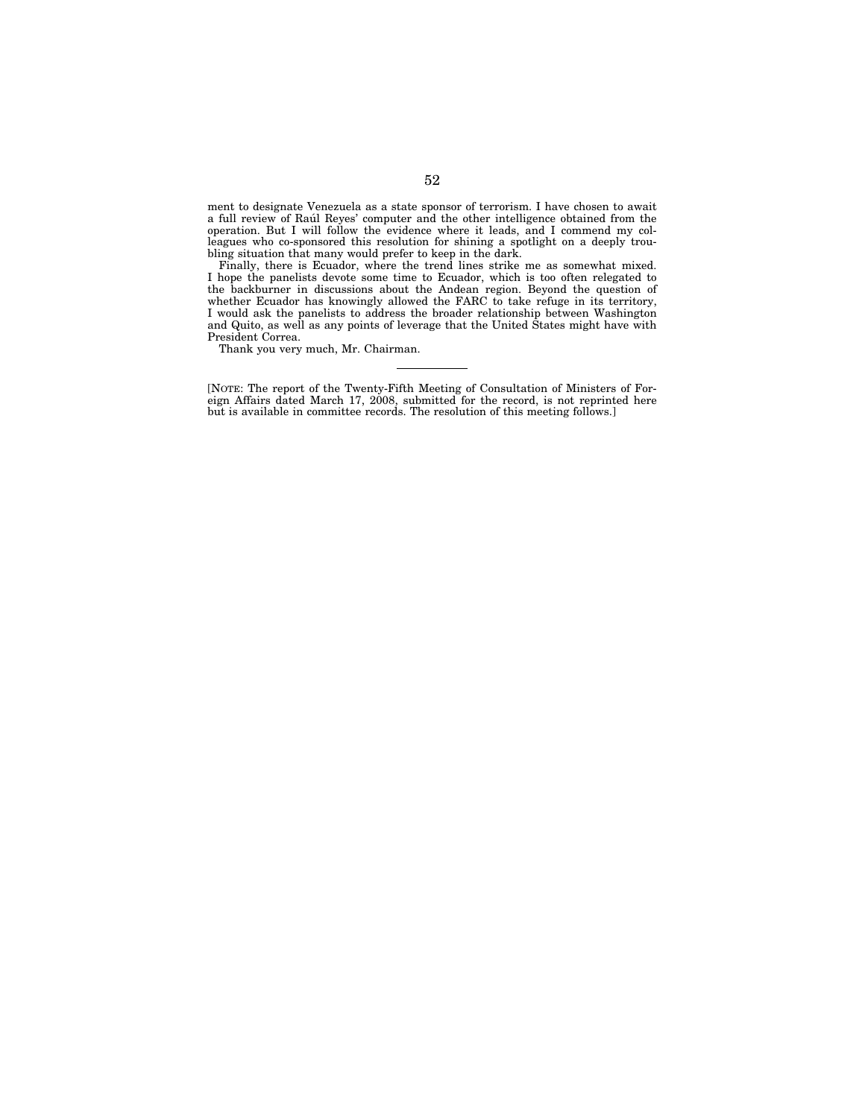ment to designate Venezuela as a state sponsor of terrorism. I have chosen to await a full review of Rau´l Reyes' computer and the other intelligence obtained from the operation. But I will follow the evidence where it leads, and I commend my colleagues who co-sponsored this resolution for shining a spotlight on a deeply troubling situation that many would prefer to keep in the dark.

Finally, there is Ecuador, where the trend lines strike me as somewhat mixed. I hope the panelists devote some time to Ecuador, which is too often relegated to the backburner in discussions about the Andean region. Beyond the question of whether Ecuador has knowingly allowed the FARC to take refuge in its territory, I would ask the panelists to address the broader relationship between Washington and Quito, as well as any points of leverage that the United States might have with President Correa.

Thank you very much, Mr. Chairman.

[NOTE: The report of the Twenty-Fifth Meeting of Consultation of Ministers of Foreign Affairs dated March 17, 2008, submitted for the record, is not reprinted here but is available in committee records. The resolution of this meeting follows.]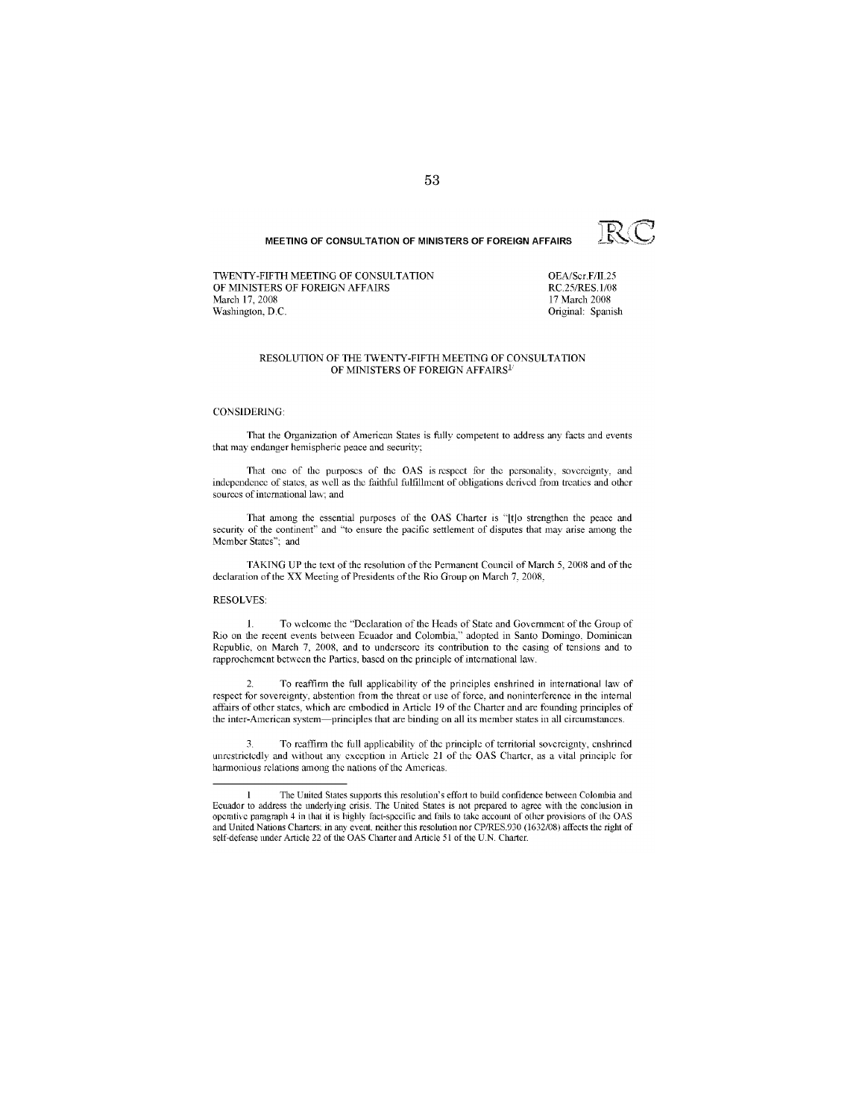MEETING OF CONSULTATION OF MINISTERS OF FOREIGN AFFAIRS

TWENTY-FIFTH MEETING OF CONSULTATION OF MINISTERS OF FOREIGN AFFAIRS March 17, 2008 Washington, D.C.

OEA/Ser.F/II.25 RC.25/RES.1/08 17 March 2008 Original: Spanish

RCC

#### RESOLUTION OF THE TWENTY-FIFTH MEETING OF CONSULTATION OF MINISTERS OF FOREIGN AFFAIRS<sup>1</sup>

#### **CONSIDERING:**

That the Organization of American States is fully competent to address any facts and events that may endanger hemispheric peace and security;

That one of the purposes of the OAS is respect for the personality, sovereignty, and independence of states, as well as the faithful fulfillment of obligations derived from treaties and other sources of international law: and

That among the essential purposes of the OAS Charter is "[t]o strengthen the peace and security of the continent" and "to ensure the pacific settlement of disputes that may arise among the Member States"; and

TAKING UP the text of the resolution of the Permanent Council of March 5, 2008 and of the declaration of the XX Meeting of Presidents of the Rio Group on March 7, 2008,

#### **RESOLVES:**

To welcome the "Declaration of the Heads of State and Government of the Group of  $\mathbf{1}$ Rio on the recent events between Ecuador and Colombia," adopted in Santo Domingo, Dominican Republic, on March 7, 2008, and to underscore its contribution to the easing of tensions and to rapprochement between the Parties, based on the principle of international law.

To reaffirm the full applicability of the principles enshrined in international law of respect for sovereignty, abstention from the threat or use of force, and noninterference in the internal affairs of other states, which are embodied in Article 19 of the Charter and are founding principles of the inter-American system—principles that are binding on all its member states in all circumstances.

To reaffirm the full applicability of the principle of territorial sovereignty, enshrined unrestrictedly and without any exception in Article 21 of the OAS Charter, as a vital principle for harmonious relations among the nations of the Americas.

The United States supports this resolution's effort to build confidence between Colombia and Ecuador to address the underlying crisis. The United States is not prepared to agree with the conclusion in operative paragraph 4 in that it is highly fact-specific and fails to take account of other provisions of the OAS and United Nations Charters: in any event, neither this resolution nor CP/RES.930 (1632/08) affects the right of self-defense under Article 22 of the OAS Charter and Article 51 of the U.N. Charter.